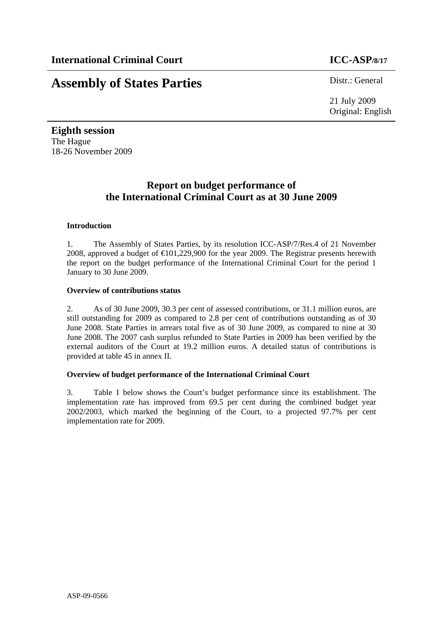# **Assembly of States Parties** Distr.: General

21 July 2009 Original: English

**Eighth session**  The Hague 18-26 November 2009

## **Report on budget performance of the International Criminal Court as at 30 June 2009**

### **Introduction**

1. The Assembly of States Parties, by its resolution ICC-ASP/7/Res.4 of 21 November 2008, approved a budget of  $\text{€}01,229,900$  for the year 2009. The Registrar presents herewith the report on the budget performance of the International Criminal Court for the period 1 January to 30 June 2009.

### **Overview of contributions status**

2. As of 30 June 2009, 30.3 per cent of assessed contributions, or 31.1 million euros, are still outstanding for 2009 as compared to 2.8 per cent of contributions outstanding as of 30 June 2008. State Parties in arrears total five as of 30 June 2009, as compared to nine at 30 June 2008. The 2007 cash surplus refunded to State Parties in 2009 has been verified by the external auditors of the Court at 19.2 million euros. A detailed status of contributions is provided at table 45 in annex II.

### **Overview of budget performance of the International Criminal Court**

3. Table 1 below shows the Court's budget performance since its establishment. The implementation rate has improved from 69.5 per cent during the combined budget year 2002/2003, which marked the beginning of the Court, to a projected 97.7% per cent implementation rate for 2009.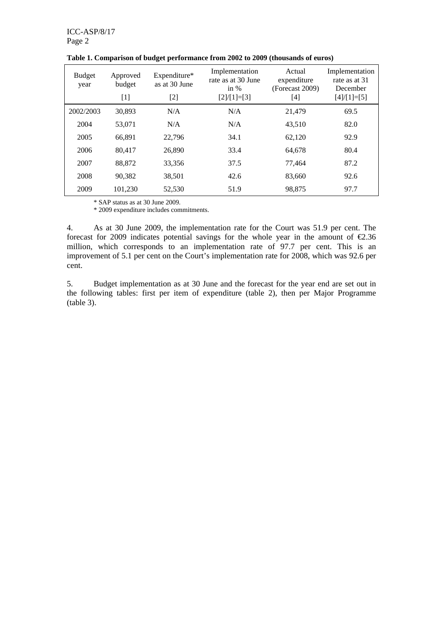| <b>Budget</b><br>year | Approved<br>budget<br>$[1]$ | Expenditure*<br>as at 30 June<br>[2] | Implementation<br>rate as at 30 June<br>in $%$<br>$[2]/[1]=[3]$ | Actual<br>expenditure<br>(Forecast 2009)<br>[4] | Implementation<br>rate as at 31<br>December<br>$[4]/[1]=[5]$ |
|-----------------------|-----------------------------|--------------------------------------|-----------------------------------------------------------------|-------------------------------------------------|--------------------------------------------------------------|
| 2002/2003             | 30.893                      | N/A                                  | N/A                                                             | 21.479                                          | 69.5                                                         |
| 2004                  | 53,071                      | N/A                                  | N/A                                                             | 43,510                                          | 82.0                                                         |
| 2005                  | 66.891                      | 22,796                               | 34.1                                                            | 62,120                                          | 92.9                                                         |
| 2006                  | 80.417                      | 26,890                               | 33.4                                                            | 64.678                                          | 80.4                                                         |
| 2007                  | 88,872                      | 33,356                               | 37.5                                                            | 77,464                                          | 87.2                                                         |
| 2008                  | 90.382                      | 38,501                               | 42.6                                                            | 83,660                                          | 92.6                                                         |
| 2009                  | 101,230                     | 52,530                               | 51.9                                                            | 98,875                                          | 97.7                                                         |

**Table 1. Comparison of budget performance from 2002 to 2009 (thousands of euros)** 

\* SAP status as at 30 June 2009.

\* 2009 expenditure includes commitments.

4. As at 30 June 2009, the implementation rate for the Court was 51.9 per cent. The forecast for 2009 indicates potential savings for the whole year in the amount of  $\epsilon$ 2.36 million, which corresponds to an implementation rate of 97.7 per cent. This is an improvement of 5.1 per cent on the Court's implementation rate for 2008, which was 92.6 per cent.

5. Budget implementation as at 30 June and the forecast for the year end are set out in the following tables: first per item of expenditure (table 2), then per Major Programme (table 3).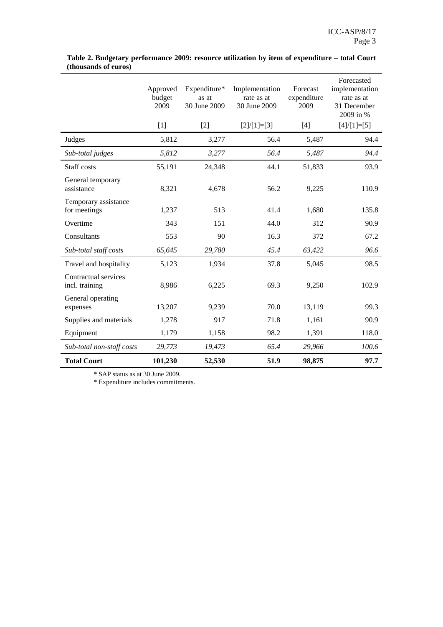|                                        | Approved<br>budget<br>2009 | Expenditure*<br>as at<br>30 June 2009 | Implementation<br>rate as at<br>30 June 2009 | Forecast<br>expenditure<br>2009 | Forecasted<br>implementation<br>rate as at<br>31 December<br>2009 in % |
|----------------------------------------|----------------------------|---------------------------------------|----------------------------------------------|---------------------------------|------------------------------------------------------------------------|
|                                        | $[1]$                      | $[2]$                                 | $[2]/[1]=[3]$                                | $[4]$                           | $[4]/[1]=[5]$                                                          |
| Judges                                 | 5,812                      | 3,277                                 | 56.4                                         | 5,487                           | 94.4                                                                   |
| Sub-total judges                       | 5,812                      | 3,277                                 | 56.4                                         | 5,487                           | 94.4                                                                   |
| Staff costs                            | 55,191                     | 24,348                                | 44.1                                         | 51,833                          | 93.9                                                                   |
| General temporary<br>assistance        | 8,321                      | 4,678                                 | 56.2                                         | 9,225                           | 110.9                                                                  |
| Temporary assistance<br>for meetings   | 1,237                      | 513                                   | 41.4                                         | 1,680                           | 135.8                                                                  |
| Overtime                               | 343                        | 151                                   | 44.0                                         | 312                             | 90.9                                                                   |
| Consultants                            | 553                        | 90                                    | 16.3                                         | 372                             | 67.2                                                                   |
| Sub-total staff costs                  | 65,645                     | 29,780                                | 45.4                                         | 63,422                          | 96.6                                                                   |
| Travel and hospitality                 | 5,123                      | 1,934                                 | 37.8                                         | 5,045                           | 98.5                                                                   |
| Contractual services<br>incl. training | 8,986                      | 6,225                                 | 69.3                                         | 9,250                           | 102.9                                                                  |
| General operating<br>expenses          | 13,207                     | 9,239                                 | 70.0                                         | 13,119                          | 99.3                                                                   |
| Supplies and materials                 | 1,278                      | 917                                   | 71.8                                         | 1,161                           | 90.9                                                                   |
| Equipment                              | 1,179                      | 1,158                                 | 98.2                                         | 1,391                           | 118.0                                                                  |
| Sub-total non-staff costs              | 29,773                     | 19,473                                | 65.4                                         | 29,966                          | 100.6                                                                  |
| <b>Total Court</b>                     | 101,230                    | 52,530                                | 51.9                                         | 98,875                          | 97.7                                                                   |

**Table 2. Budgetary performance 2009: resource utilization by item of expenditure – total Court (thousands of euros)** 

\* SAP status as at 30 June 2009.

\* Expenditure includes commitments.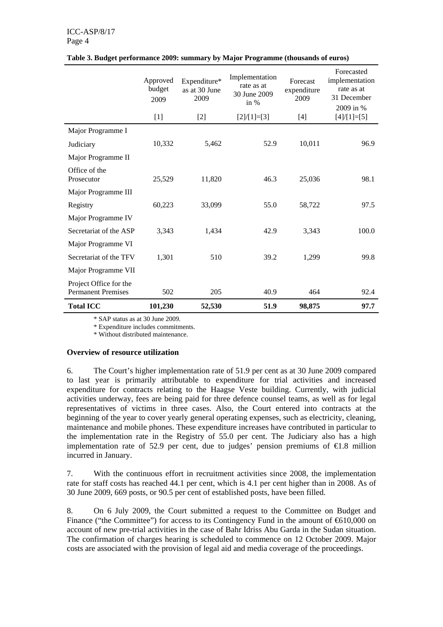### ICC-ASP/8/17 Page 4

|                                                     | Approved<br>budget<br>2009 | Expenditure*<br>as at 30 June<br>2009 | Implementation<br>rate as at<br>30 June 2009<br>in $%$ | Forecast<br>expenditure<br>2009 | Forecasted<br>implementation<br>rate as at<br>31 December<br>2009 in % |
|-----------------------------------------------------|----------------------------|---------------------------------------|--------------------------------------------------------|---------------------------------|------------------------------------------------------------------------|
|                                                     | $[1]$                      | $[2]$                                 | $[2]/[1]=[3]$                                          | $[4]$                           | $[4]/[1]=[5]$                                                          |
| Major Programme I                                   |                            |                                       |                                                        |                                 |                                                                        |
| Judiciary                                           | 10,332                     | 5,462                                 | 52.9                                                   | 10,011                          | 96.9                                                                   |
| Major Programme II                                  |                            |                                       |                                                        |                                 |                                                                        |
| Office of the<br>Prosecutor                         | 25,529                     | 11,820                                | 46.3                                                   | 25,036                          | 98.1                                                                   |
| Major Programme III                                 |                            |                                       |                                                        |                                 |                                                                        |
| Registry                                            | 60,223                     | 33,099                                | 55.0                                                   | 58,722                          | 97.5                                                                   |
| Major Programme IV                                  |                            |                                       |                                                        |                                 |                                                                        |
| Secretariat of the ASP                              | 3,343                      | 1,434                                 | 42.9                                                   | 3,343                           | 100.0                                                                  |
| Major Programme VI                                  |                            |                                       |                                                        |                                 |                                                                        |
| Secretariat of the TFV                              | 1,301                      | 510                                   | 39.2                                                   | 1,299                           | 99.8                                                                   |
| Major Programme VII                                 |                            |                                       |                                                        |                                 |                                                                        |
| Project Office for the<br><b>Permanent Premises</b> | 502                        | 205                                   | 40.9                                                   | 464                             | 92.4                                                                   |
| <b>Total ICC</b>                                    | 101,230                    | 52,530                                | 51.9                                                   | 98,875                          | 97.7                                                                   |

### **Table 3. Budget performance 2009: summary by Major Programme (thousands of euros)**

\* SAP status as at 30 June 2009.

\* Expenditure includes commitments.

\* Without distributed maintenance.

### **Overview of resource utilization**

6. The Court's higher implementation rate of 51.9 per cent as at 30 June 2009 compared to last year is primarily attributable to expenditure for trial activities and increased expenditure for contracts relating to the Haagse Veste building. Currently, with judicial activities underway, fees are being paid for three defence counsel teams, as well as for legal representatives of victims in three cases. Also, the Court entered into contracts at the beginning of the year to cover yearly general operating expenses, such as electricity, cleaning, maintenance and mobile phones. These expenditure increases have contributed in particular to the implementation rate in the Registry of 55.0 per cent. The Judiciary also has a high implementation rate of 52.9 per cent, due to judges' pension premiums of  $\epsilon$ 1.8 million incurred in January.

7. With the continuous effort in recruitment activities since 2008, the implementation rate for staff costs has reached 44.1 per cent, which is 4.1 per cent higher than in 2008. As of 30 June 2009, 669 posts, or 90.5 per cent of established posts, have been filled.

8. On 6 July 2009, the Court submitted a request to the Committee on Budget and Finance ("the Committee") for access to its Contingency Fund in the amount of  $610,000$  on account of new pre-trial activities in the case of Bahr Idriss Abu Garda in the Sudan situation. The confirmation of charges hearing is scheduled to commence on 12 October 2009. Major costs are associated with the provision of legal aid and media coverage of the proceedings.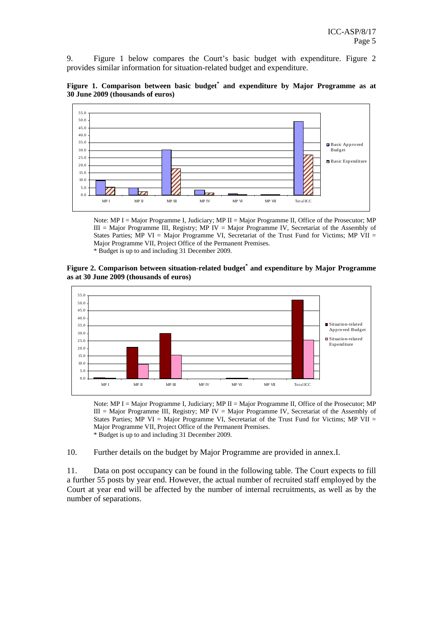9. Figure 1 below compares the Court's basic budget with expenditure. Figure 2 provides similar information for situation-related budget and expenditure.





Note: MP I = Major Programme I, Judiciary; MP II = Major Programme II, Office of the Prosecutor; MP  $III =$  Major Programme III, Registry; MP IV = Major Programme IV, Secretariat of the Assembly of States Parties; MP VI = Major Programme VI, Secretariat of the Trust Fund for Victims; MP VII = Major Programme VII, Project Office of the Permanent Premises.

\* Budget is up to and including 31 December 2009.

### **Figure 2. Comparison between situation-related budget\* and expenditure by Major Programme as at 30 June 2009 (thousands of euros)**



Note: MP I = Major Programme I, Judiciary; MP II = Major Programme II, Office of the Prosecutor; MP III = Major Programme III, Registry; MP IV = Major Programme IV, Secretariat of the Assembly of States Parties;  $\overline{MP}$  VI = Major Programme VI, Secretariat of the Trust Fund for Victims;  $\overline{MP}$  VII = Major Programme VII, Project Office of the Permanent Premises. \* Budget is up to and including 31 December 2009.

10. Further details on the budget by Major Programme are provided in annex.I.

11. Data on post occupancy can be found in the following table. The Court expects to fill a further 55 posts by year end. However, the actual number of recruited staff employed by the Court at year end will be affected by the number of internal recruitments, as well as by the number of separations.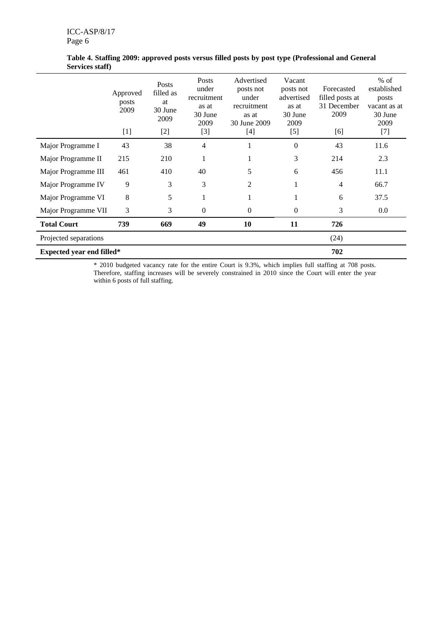|                                  | Approved<br>posts<br>2009<br>$[1]$ | Posts<br>filled as<br>at<br>30 June<br>2009<br>$[2]$ | <b>Posts</b><br>under<br>recruitment<br>as at<br>30 June<br>2009<br>$[3]$ | Advertised<br>posts not<br>under<br>recruitment<br>as at<br>30 June 2009<br>$[4]$ | Vacant<br>posts not<br>advertised<br>as at<br>30 June<br>2009<br>$[5]$ | Forecasted<br>filled posts at<br>31 December<br>2009<br>[6] | $%$ of<br>established<br>posts<br>vacant as at<br>30 June<br>2009<br>$[7]$ |
|----------------------------------|------------------------------------|------------------------------------------------------|---------------------------------------------------------------------------|-----------------------------------------------------------------------------------|------------------------------------------------------------------------|-------------------------------------------------------------|----------------------------------------------------------------------------|
| Major Programme I                | 43                                 | 38                                                   | $\overline{4}$                                                            |                                                                                   | $\boldsymbol{0}$                                                       | 43                                                          | 11.6                                                                       |
| Major Programme II               | 215                                | 210                                                  | 1                                                                         | 1                                                                                 | 3                                                                      | 214                                                         | 2.3                                                                        |
| Major Programme III              | 461                                | 410                                                  | 40                                                                        | 5                                                                                 | 6                                                                      | 456                                                         | 11.1                                                                       |
| Major Programme IV               | 9                                  | 3                                                    | 3                                                                         | 2                                                                                 | 1                                                                      | $\overline{4}$                                              | 66.7                                                                       |
| Major Programme VI               | 8                                  | 5                                                    |                                                                           |                                                                                   |                                                                        | 6                                                           | 37.5                                                                       |
| Major Programme VII              | 3                                  | 3                                                    | $\mathbf{0}$                                                              | 0                                                                                 | $\boldsymbol{0}$                                                       | 3                                                           | $0.0\,$                                                                    |
| <b>Total Court</b>               | 739                                | 669                                                  | 49                                                                        | 10                                                                                | 11                                                                     | 726                                                         |                                                                            |
| Projected separations            |                                    |                                                      |                                                                           |                                                                                   |                                                                        | (24)                                                        |                                                                            |
| <b>Expected year end filled*</b> |                                    |                                                      |                                                                           |                                                                                   | 702                                                                    |                                                             |                                                                            |

**Table 4. Staffing 2009: approved posts versus filled posts by post type (Professional and General Services staff)** 

\* 2010 budgeted vacancy rate for the entire Court is 9.3%, which implies full staffing at 708 posts. Therefore, staffing increases will be severely constrained in 2010 since the Court will enter the year within 6 posts of full staffing.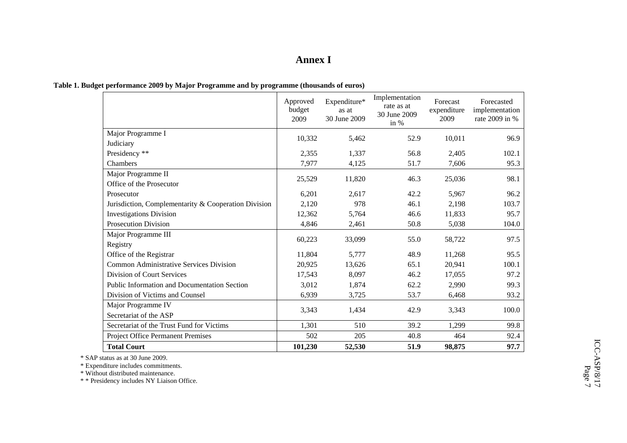### **Annex I**

|                                                      | Approved<br>budget<br>2009 | Expenditure*<br>as at<br>30 June 2009 | Implementation<br>rate as at<br>30 June 2009<br>in $%$ | Forecast<br>expenditure<br>2009 | Forecasted<br>implementation<br>rate 2009 in % |
|------------------------------------------------------|----------------------------|---------------------------------------|--------------------------------------------------------|---------------------------------|------------------------------------------------|
| Major Programme I                                    | 10,332                     | 5,462                                 | 52.9                                                   | 10,011                          | 96.9                                           |
| Judiciary                                            |                            |                                       |                                                        |                                 |                                                |
| Presidency **                                        | 2,355                      | 1,337                                 | 56.8                                                   | 2,405                           | 102.1                                          |
| <b>Chambers</b>                                      | 7,977                      | 4,125                                 | 51.7                                                   | 7,606                           | 95.3                                           |
| Major Programme II                                   | 25,529                     | 11,820                                | 46.3                                                   | 25,036                          | 98.1                                           |
| Office of the Prosecutor                             |                            |                                       |                                                        |                                 |                                                |
| Prosecutor                                           | 6,201                      | 2,617                                 | 42.2                                                   | 5,967                           | 96.2                                           |
| Jurisdiction, Complementarity & Cooperation Division | 2,120                      | 978                                   | 46.1                                                   | 2,198                           | 103.7                                          |
| <b>Investigations Division</b>                       | 12,362                     | 5,764                                 | 46.6                                                   | 11,833                          | 95.7                                           |
| <b>Prosecution Division</b>                          | 4,846                      | 2,461                                 | 50.8                                                   | 5,038                           | 104.0                                          |
| Major Programme III                                  |                            | 33,099                                | 55.0                                                   |                                 | 97.5                                           |
| Registry                                             | 60,223                     |                                       |                                                        | 58,722                          |                                                |
| Office of the Registrar                              | 11,804                     | 5,777                                 | 48.9                                                   | 11,268                          | 95.5                                           |
| <b>Common Administrative Services Division</b>       | 20,925                     | 13,626                                | 65.1                                                   | 20,941                          | 100.1                                          |
| Division of Court Services                           | 17,543                     | 8,097                                 | 46.2                                                   | 17,055                          | 97.2                                           |
| <b>Public Information and Documentation Section</b>  | 3,012                      | 1,874                                 | 62.2                                                   | 2,990                           | 99.3                                           |
| Division of Victims and Counsel                      | 6,939                      | 3,725                                 | 53.7                                                   | 6,468                           | 93.2                                           |
| Major Programme IV                                   |                            |                                       |                                                        |                                 |                                                |
| Secretariat of the ASP                               | 3,343                      | 1,434                                 | 42.9                                                   | 3,343                           | 100.0                                          |
| Secretariat of the Trust Fund for Victims            | 1,301                      | 510                                   | 39.2                                                   | 1,299                           | 99.8                                           |
| Project Office Permanent Premises                    | 502                        | 205                                   | 40.8                                                   | 464                             | 92.4                                           |
| <b>Total Court</b>                                   | 101,230                    | 52,530                                | 51.9                                                   | 98,875                          | 97.7                                           |

**Table 1. Budget performance 2009 by Major Programme and by programme (thousands of euros)** 

\* SAP status as at 30 June 2009.

\* Expenditure includes commitments.

\* Without distributed maintenance. \* \* Presidency includes NY Liaison Office.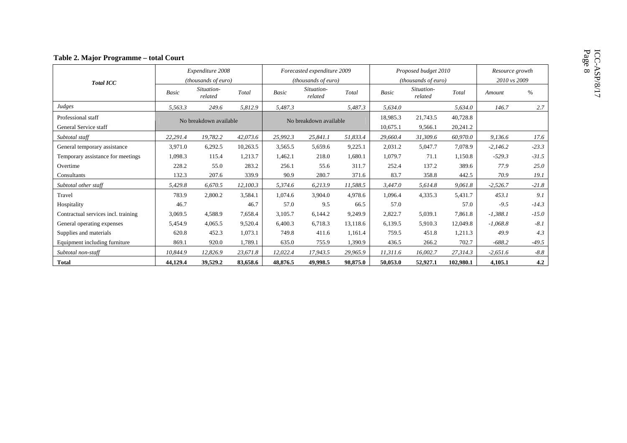|  |  |  | Table 2. Major Programme – total Court |  |  |
|--|--|--|----------------------------------------|--|--|
|--|--|--|----------------------------------------|--|--|

|                                     |              | Expenditure 2008       |          |              | Forecasted expenditure 2009 |          |              | Proposed budget 2010  |           | Resource growth |              |  |
|-------------------------------------|--------------|------------------------|----------|--------------|-----------------------------|----------|--------------|-----------------------|-----------|-----------------|--------------|--|
| <b>Total ICC</b>                    |              | (thousands of euro)    |          |              | (thousands of euro)         |          |              | (thousands of euro)   |           |                 | 2010 vs 2009 |  |
|                                     | <b>Basic</b> | Situation-<br>related  | Total    | <b>Basic</b> | Situation-<br>related       | Total    | <b>Basic</b> | Situation-<br>related | Total     | Amount          | $\%$         |  |
| Judges                              | 5.563.3      | 249.6                  | 5,812.9  | 5,487.3      |                             | 5.487.3  | 5,634.0      |                       | 5,634.0   | 146.7           | 2.7          |  |
| Professional staff                  |              | No breakdown available |          |              | No breakdown available      |          | 18,985.3     | 21,743.5              | 40,728.8  |                 |              |  |
| General Service staff               |              |                        |          |              |                             | 10,675.1 | 9,566.1      | 20,241.2              |           |                 |              |  |
| Subtotal staff                      | 22,291.4     | 19,782.2               | 42,073.6 | 25,992.3     | 25,841.1                    | 51,833.4 | 29,660.4     | 31,309.6              | 60,970.0  | 9,136.6         | 17.6         |  |
| General temporary assistance        | 3,971.0      | 6,292.5                | 10,263.5 | 3,565.5      | 5,659.6                     | 9,225.1  | 2,031.2      | 5,047.7               | 7,078.9   | $-2,146.2$      | $-23.3$      |  |
| Temporary assistance for meetings   | 1,098.3      | 115.4                  | 1,213.7  | 1,462.1      | 218.0                       | 1,680.1  | 1,079.7      | 71.1                  | 1,150.8   | $-529.3$        | $-31.5$      |  |
| Overtime                            | 228.2        | 55.0                   | 283.2    | 256.1        | 55.6                        | 311.7    | 252.4        | 137.2                 | 389.6     | 77.9            | 25.0         |  |
| Consultants                         | 132.3        | 207.6                  | 339.9    | 90.9         | 280.7                       | 371.6    | 83.7         | 358.8                 | 442.5     | 70.9            | 19.1         |  |
| Subtotal other staff                | 5,429.8      | 6.670.5                | 12.100.3 | 5.374.6      | 6,213.9                     | 11.588.5 | 3,447.0      | 5,614.8               | 9,061.8   | $-2,526.7$      | $-21.8$      |  |
| Travel                              | 783.9        | 2,800.2                | 3,584.1  | 1,074.6      | 3,904.0                     | 4,978.6  | 1,096.4      | 4,335.3               | 5,431.7   | 453.1           | 9.1          |  |
| Hospitality                         | 46.7         |                        | 46.7     | 57.0         | 9.5                         | 66.5     | 57.0         |                       | 57.0      | $-9.5$          | $-14.3$      |  |
| Contractual services incl. training | 3,069.5      | 4,588.9                | 7,658.4  | 3,105.7      | 6,144.2                     | 9,249.9  | 2,822.7      | 5,039.1               | 7,861.8   | $-1,388.1$      | $-15.0$      |  |
| General operating expenses          | 5,454.9      | 4,065.5                | 9,520.4  | 6,400.3      | 6,718.3                     | 13,118.6 | 6,139.5      | 5,910.3               | 12,049.8  | $-1,068.8$      | $-8.1$       |  |
| Supplies and materials              | 620.8        | 452.3                  | 1,073.1  | 749.8        | 411.6                       | 1,161.4  | 759.5        | 451.8                 | 1,211.3   | 49.9            | 4.3          |  |
| Equipment including furniture       | 869.1        | 920.0                  | 1,789.1  | 635.0        | 755.9                       | 1,390.9  | 436.5        | 266.2                 | 702.7     | $-688.2$        | $-49.5$      |  |
| Subtotal non-staff                  | 10,844.9     | 12,826.9               | 23,671.8 | 12,022.4     | 17,943.5                    | 29,965.9 | 11,311.6     | 16,002.7              | 27,314.3  | $-2,651.6$      | $-8.8$       |  |
| <b>Total</b>                        | 44,129.4     | 39,529.2               | 83,658.6 | 48,876.5     | 49,998.5                    | 98,875.0 | 50,053.0     | 52,927.1              | 102,980.1 | 4,105.1         | 4.2          |  |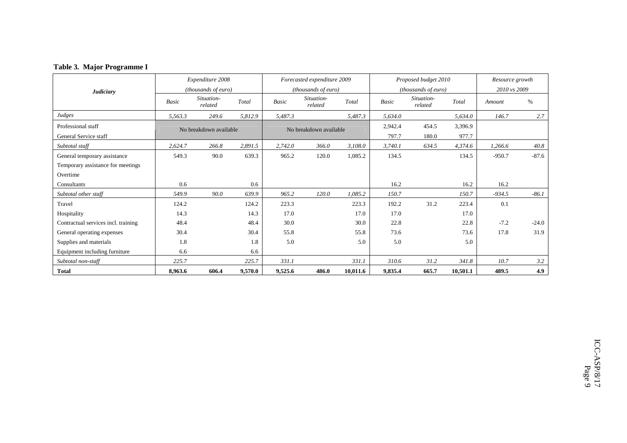|  |  | Table 3. Major Programme I |
|--|--|----------------------------|
|--|--|----------------------------|

| <b>Judiciary</b>                    |         | Expenditure 2008<br><i>(thousands of euro)</i> |         | Forecasted expenditure 2009<br>(thousands of euro) |                       |          |              | Proposed budget 2010<br><i>(thousands of euro)</i> |          | Resource growth<br>2010 vs 2009 |         |
|-------------------------------------|---------|------------------------------------------------|---------|----------------------------------------------------|-----------------------|----------|--------------|----------------------------------------------------|----------|---------------------------------|---------|
|                                     | Basic   | Situation-<br>related                          | Total   | Basic                                              | Situation-<br>related | Total    | <b>Basic</b> | Situation-<br>related                              | Total    | Amount                          | %       |
| Judges                              | 5,563.3 | 249.6                                          | 5,812.9 | 5,487.3                                            |                       | 5,487.3  | 5,634.0      |                                                    | 5,634.0  | 146.7                           | 2.7     |
| Professional staff                  |         | No breakdown available                         |         | No breakdown available                             |                       |          | 2,942.4      | 454.5                                              | 3,396.9  |                                 |         |
| General Service staff               |         |                                                |         |                                                    |                       |          |              | 180.0                                              | 977.7    |                                 |         |
| Subtotal staff                      | 2,624.7 | 266.8                                          | 2,891.5 | 2,742.0                                            | 366.0                 | 3,108.0  | 3,740.1      | 634.5                                              | 4,374.6  | 1,266.6                         | 40.8    |
| General temporary assistance        | 549.3   | 90.0                                           | 639.3   | 965.2                                              | 120.0                 | 1.085.2  | 134.5        |                                                    | 134.5    | $-950.7$                        | $-87.6$ |
| Temporary assistance for meetings   |         |                                                |         |                                                    |                       |          |              |                                                    |          |                                 |         |
| Overtime                            |         |                                                |         |                                                    |                       |          |              |                                                    |          |                                 |         |
| Consultants                         | 0.6     |                                                | 0.6     |                                                    |                       |          | 16.2         |                                                    | 16.2     | 16.2                            |         |
| Subtotal other staff                | 549.9   | 90.0                                           | 639.9   | 965.2                                              | 120.0                 | 1,085.2  | 150.7        |                                                    | 150.7    | $-934.5$                        | $-86.1$ |
| Travel                              | 124.2   |                                                | 124.2   | 223.3                                              |                       | 223.3    | 192.2        | 31.2                                               | 223.4    | 0.1                             |         |
| Hospitality                         | 14.3    |                                                | 14.3    | 17.0                                               |                       | 17.0     | 17.0         |                                                    | 17.0     |                                 |         |
| Contractual services incl. training | 48.4    |                                                | 48.4    | 30.0                                               |                       | 30.0     | 22.8         |                                                    | 22.8     | $-7.2$                          | $-24.0$ |
| General operating expenses          | 30.4    |                                                | 30.4    | 55.8                                               |                       | 55.8     | 73.6         |                                                    | 73.6     | 17.8                            | 31.9    |
| Supplies and materials              | 1.8     |                                                | 1.8     | 5.0                                                |                       | 5.0      | 5.0          |                                                    | 5.0      |                                 |         |
| Equipment including furniture       | 6.6     |                                                | 6.6     |                                                    |                       |          |              |                                                    |          |                                 |         |
| Subtotal non-staff                  | 225.7   |                                                | 225.7   | 331.1                                              |                       | 331.1    | 310.6        | 31.2                                               | 341.8    | 10.7                            | 3.2     |
| <b>Total</b>                        | 8,963.6 | 606.4                                          | 9,570.0 | 9,525.6                                            | 486.0                 | 10,011.6 | 9,835.4      | 665.7                                              | 10,501.1 | 489.5                           | 4.9     |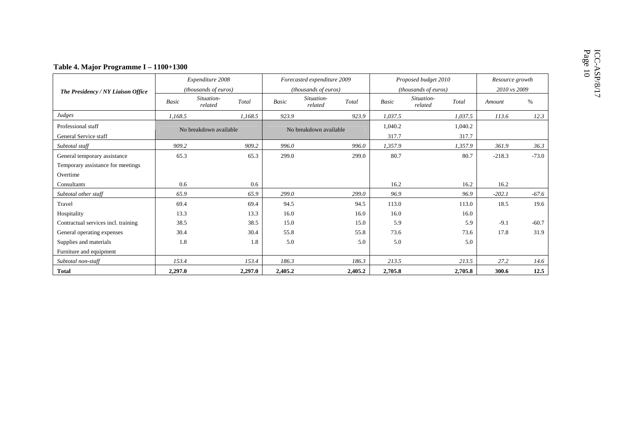|                                     |         | Expenditure 2008       |         |         | Forecasted expenditure 2009 |         |              | Proposed budget 2010           | Resource growth |              |  |  |
|-------------------------------------|---------|------------------------|---------|---------|-----------------------------|---------|--------------|--------------------------------|-----------------|--------------|--|--|
| The Presidency / NY Liaison Office  |         | (thousands of euros)   |         |         | (thousands of euros)        |         |              | (thousands of euros)           |                 | 2010 vs 2009 |  |  |
|                                     | Basic   | Situation-<br>related  | Total   | Basic   | Situation-<br>related       | Total   | <b>Basic</b> | Situation-<br>Total<br>related | Amount          | $\%$         |  |  |
| Judges                              | 1,168.5 |                        | 1,168.5 | 923.9   |                             | 923.9   | 1,037.5      | 1,037.5                        | 113.6           | 12.3         |  |  |
| Professional staff                  |         | No breakdown available |         |         | No breakdown available      |         | 1,040.2      | 1,040.2                        |                 |              |  |  |
| General Service staff               |         |                        |         |         |                             | 317.7   | 317.7        |                                |                 |              |  |  |
| Subtotal staff                      | 909.2   |                        | 909.2   | 996.0   |                             | 996.0   | 1,357.9      | 1,357.9                        | 361.9           | 36.3         |  |  |
| General temporary assistance        | 65.3    |                        | 65.3    | 299.0   |                             | 299.0   | 80.7         | 80.7                           | $-218.3$        | $-73.0$      |  |  |
| Temporary assistance for meetings   |         |                        |         |         |                             |         |              |                                |                 |              |  |  |
| Overtime                            |         |                        |         |         |                             |         |              |                                |                 |              |  |  |
| Consultants                         | 0.6     |                        | 0.6     |         |                             |         | 16.2         | 16.2                           | 16.2            |              |  |  |
| Subtotal other staff                | 65.9    |                        | 65.9    | 299.0   |                             | 299.0   | 96.9         | 96.9                           | $-202.1$        | $-67.6$      |  |  |
| Travel                              | 69.4    |                        | 69.4    | 94.5    |                             | 94.5    | 113.0        | 113.0                          | 18.5            | 19.6         |  |  |
| Hospitality                         | 13.3    |                        | 13.3    | 16.0    |                             | 16.0    | 16.0         | 16.0                           |                 |              |  |  |
| Contractual services incl. training | 38.5    |                        | 38.5    | 15.0    |                             | 15.0    | 5.9          | 5.9                            | $-9.1$          | $-60.7$      |  |  |
| General operating expenses          | 30.4    |                        | 30.4    | 55.8    |                             | 55.8    | 73.6         | 73.6                           | 17.8            | 31.9         |  |  |
| Supplies and materials              | 1.8     |                        | 1.8     | 5.0     |                             | 5.0     | 5.0          | 5.0                            |                 |              |  |  |
| Furniture and equipment             |         |                        |         |         |                             |         |              |                                |                 |              |  |  |
| Subtotal non-staff                  | 153.4   |                        | 153.4   | 186.3   |                             | 186.3   | 213.5        | 213.5                          | 27.2            | 14.6         |  |  |
| <b>Total</b>                        | 2,297.0 |                        | 2,297.0 | 2,405.2 |                             | 2,405.2 | 2,705.8      | 2,705.8                        | 300.6           | 12.5         |  |  |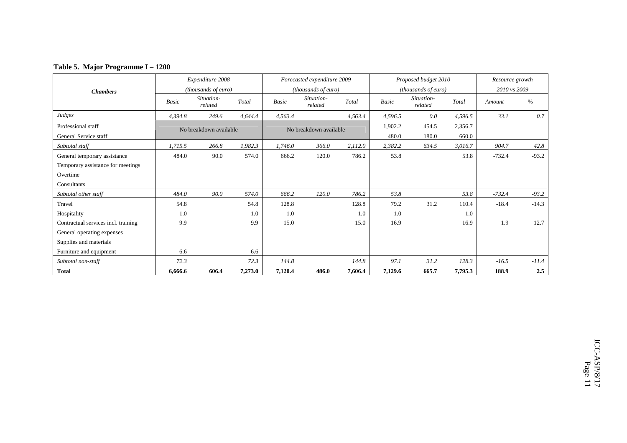| Table 5. Major Programme I – 1200 |  |
|-----------------------------------|--|
|-----------------------------------|--|

| <b>Chambers</b>                     |                        | Expenditure 2008<br>(thousands of euro) |         |                        | Forecasted expenditure 2009<br><i>(thousands of euro)</i> |         |              | Proposed budget 2010<br><i>(thousands of euro)</i> |         | Resource growth<br>2010 vs 2009 |         |
|-------------------------------------|------------------------|-----------------------------------------|---------|------------------------|-----------------------------------------------------------|---------|--------------|----------------------------------------------------|---------|---------------------------------|---------|
|                                     | Basic                  | Situation-<br>related                   | Total   | <b>Basic</b>           | Situation-<br>related                                     | Total   | <b>Basic</b> | Situation-<br>related                              | Total   | Amount                          | $\%$    |
| Judges                              | 4.394.8                | 249.6                                   | 4,644.4 | 4,563.4                |                                                           | 4,563.4 | 4,596.5      | 0.0                                                | 4,596.5 | 33.1                            | 0.7     |
| Professional staff                  | No breakdown available |                                         |         | No breakdown available |                                                           |         | 1,902.2      | 454.5                                              | 2,356.7 |                                 |         |
| General Service staff               |                        |                                         |         |                        |                                                           |         |              | 180.0                                              | 660.0   |                                 |         |
| Subtotal staff                      | 1,715.5                | 266.8                                   | 1,982.3 | 1,746.0                | 366.0                                                     | 2,112.0 | 2,382.2      | 634.5                                              | 3,016.7 | 904.7                           | 42.8    |
| General temporary assistance        | 484.0                  | 90.0                                    | 574.0   | 666.2                  | 120.0                                                     | 786.2   | 53.8         |                                                    | 53.8    | $-732.4$                        | $-93.2$ |
| Temporary assistance for meetings   |                        |                                         |         |                        |                                                           |         |              |                                                    |         |                                 |         |
| Overtime                            |                        |                                         |         |                        |                                                           |         |              |                                                    |         |                                 |         |
| Consultants                         |                        |                                         |         |                        |                                                           |         |              |                                                    |         |                                 |         |
| Subtotal other staff                | 484.0                  | 90.0                                    | 574.0   | 666.2                  | 120.0                                                     | 786.2   | 53.8         |                                                    | 53.8    | $-732.4$                        | $-93.2$ |
| Travel                              | 54.8                   |                                         | 54.8    | 128.8                  |                                                           | 128.8   | 79.2         | 31.2                                               | 110.4   | $-18.4$                         | $-14.3$ |
| Hospitality                         | 1.0                    |                                         | 1.0     | 1.0                    |                                                           | 1.0     | 1.0          |                                                    | 1.0     |                                 |         |
| Contractual services incl. training | 9.9                    |                                         | 9.9     | 15.0                   |                                                           | 15.0    | 16.9         |                                                    | 16.9    | 1.9                             | 12.7    |
| General operating expenses          |                        |                                         |         |                        |                                                           |         |              |                                                    |         |                                 |         |
| Supplies and materials              |                        |                                         |         |                        |                                                           |         |              |                                                    |         |                                 |         |
| Furniture and equipment             | 6.6                    |                                         | 6.6     |                        |                                                           |         |              |                                                    |         |                                 |         |
| Subtotal non-staff                  | 72.3                   |                                         | 72.3    | 144.8                  |                                                           | 144.8   | 97.1         | 31.2                                               | 128.3   | $-16.5$                         | $-11.4$ |
| <b>Total</b>                        | 6,666.6                | 606.4                                   | 7,273.0 | 7,120.4                | 486.0                                                     | 7,606.4 | 7,129.6      | 665.7                                              | 7,795.3 | 188.9                           | 2.5     |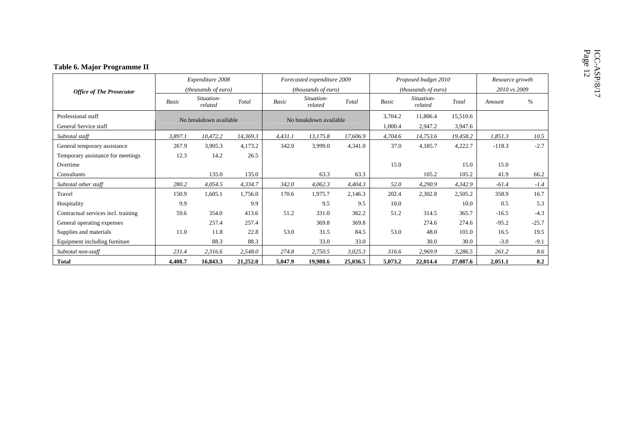|                                     |         | Expenditure 2008       |          |                        | Forecasted expenditure 2009 |          |              | Proposed budget 2010  |              | Resource growth |         |
|-------------------------------------|---------|------------------------|----------|------------------------|-----------------------------|----------|--------------|-----------------------|--------------|-----------------|---------|
| <b>Office of The Prosecutor</b>     |         | (thousands of euro)    |          |                        | (thousands of euro)         |          |              | (thousands of euro)   | 2010 vs 2009 |                 |         |
|                                     | Basic   | Situation-<br>related  | Total    | <b>Basic</b>           | Situation-<br>related       | Total    | <b>Basic</b> | Situation-<br>related | Total        | Amount          | $\%$    |
| Professional staff                  |         | No breakdown available |          | No breakdown available |                             |          | 3,704.2      | 11,806.4              | 15,510.6     |                 |         |
| General Service staff               |         |                        |          |                        |                             | 1,000.4  | 2,947.2      | 3,947.6               |              |                 |         |
| Subtotal staff                      | 3,897.1 | 10,472.2               | 14,369.3 | 4,431.1                | 13,175.8                    | 17,606.9 | 4,704.6      | 14,753.6              | 19,458.2     | 1,851.3         | 10.5    |
| General temporary assistance        | 267.9   | 3,905.3                | 4,173.2  | 342.0                  | 3,999.0                     | 4,341.0  | 37.0         | 4,185.7               | 4,222.7      | $-118.3$        | $-2.7$  |
| Temporary assistance for meetings   | 12.3    | 14.2                   | 26.5     |                        |                             |          |              |                       |              |                 |         |
| Overtime                            |         |                        |          |                        |                             |          | 15.0         |                       | 15.0         | 15.0            |         |
| Consultants                         |         | 135.0                  | 135.0    |                        | 63.3                        | 63.3     |              | 105.2                 | 105.2        | 41.9            | 66.2    |
| Subtotal other staff                | 280.2   | 4,054.5                | 4,334.7  | 342.0                  | 4,062.3                     | 4,404.3  | 52.0         | 4,290.9               | 4,342.9      | $-61.4$         | $-1.4$  |
| Travel                              | 150.9   | 1,605.1                | 1,756.0  | 170.6                  | 1,975.7                     | 2,146.3  | 202.4        | 2,302.8               | 2,505.2      | 358.9           | 16.7    |
| Hospitality                         | 9.9     |                        | 9.9      |                        | 9.5                         | 9.5      | 10.0         |                       | 10.0         | 0.5             | 5.3     |
| Contractual services incl. training | 59.6    | 354.0                  | 413.6    | 51.2                   | 331.0                       | 382.2    | 51.2         | 314.5                 | 365.7        | $-16.5$         | $-4.3$  |
| General operating expenses          |         | 257.4                  | 257.4    |                        | 369.8                       | 369.8    |              | 274.6                 | 274.6        | $-95.2$         | $-25.7$ |
| Supplies and materials              | 11.0    | 11.8                   | 22.8     | 53.0                   | 31.5                        | 84.5     | 53.0         | 48.0                  | 101.0        | 16.5            | 19.5    |
| Equipment including furniture       |         | 88.3                   | 88.3     |                        | 33.0                        | 33.0     |              | 30.0                  | 30.0         | $-3.0$          | $-9.1$  |
| Subtotal non-staff                  | 231.4   | 2,316.6                | 2,548.0  | 274.8                  | 2,750.5                     | 3,025.3  | 316.6        | 2,969.9               | 3,286.5      | 261.2           | 8.6     |
| <b>Total</b>                        | 4,408.7 | 16,843.3               | 21,252.0 | 5,047.9                | 19,988.6                    | 25,036.5 | 5,073.2      | 22,014.4              | 27,087.6     | 2,051.1         | 8.2     |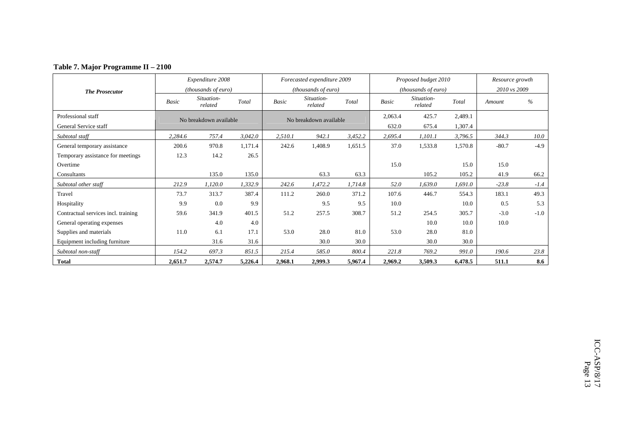| Table 7. Major Programme II - 2100 |
|------------------------------------|
|------------------------------------|

|                                     |         | Expenditure 2008       |         |         | Forecasted expenditure 2009 |         |         | Proposed budget 2010       |         | Resource growth |        |
|-------------------------------------|---------|------------------------|---------|---------|-----------------------------|---------|---------|----------------------------|---------|-----------------|--------|
| <b>The Prosecutor</b>               |         | (thousands of euro)    |         |         | <i>(thousands of euro)</i>  |         |         | <i>(thousands of euro)</i> |         | 2010 vs 2009    |        |
|                                     | Basic   | Situation-<br>related  | Total   | Basic   | Situation-<br>related       | Total   | Basic   | Situation-<br>related      | Total   | Amount          | $\%$   |
| Professional staff                  |         | No breakdown available |         |         | No breakdown available      |         | 2,063.4 | 425.7                      | 2,489.1 |                 |        |
| General Service staff               |         |                        |         |         |                             |         | 632.0   | 675.4                      | 1,307.4 |                 |        |
| Subtotal staff                      | 2,284.6 | 757.4                  | 3,042.0 | 2,510.1 | 942.1                       | 3,452.2 | 2,695.4 | 1,101.1                    | 3,796.5 | 344.3           | 10.0   |
| General temporary assistance        | 200.6   | 970.8                  | 1,171.4 | 242.6   | 1,408.9                     | 1,651.5 | 37.0    | 1,533.8                    | 1,570.8 | $-80.7$         | $-4.9$ |
| Temporary assistance for meetings   | 12.3    | 14.2                   | 26.5    |         |                             |         |         |                            |         |                 |        |
| Overtime                            |         |                        |         |         |                             |         | 15.0    |                            | 15.0    | 15.0            |        |
| Consultants                         |         | 135.0                  | 135.0   |         | 63.3                        | 63.3    |         | 105.2                      | 105.2   | 41.9            | 66.2   |
| Subtotal other staff                | 212.9   | 1,120.0                | 1,332.9 | 242.6   | 1,472.2                     | 1,714.8 | 52.0    | 1,639.0                    | 1,691.0 | $-23.8$         | $-1.4$ |
| Travel                              | 73.7    | 313.7                  | 387.4   | 111.2   | 260.0                       | 371.2   | 107.6   | 446.7                      | 554.3   | 183.1           | 49.3   |
| Hospitality                         | 9.9     | 0.0                    | 9.9     |         | 9.5                         | 9.5     | 10.0    |                            | 10.0    | 0.5             | 5.3    |
| Contractual services incl. training | 59.6    | 341.9                  | 401.5   | 51.2    | 257.5                       | 308.7   | 51.2    | 254.5                      | 305.7   | $-3.0$          | $-1.0$ |
| General operating expenses          |         | 4.0                    | 4.0     |         |                             |         |         | 10.0                       | 10.0    | 10.0            |        |
| Supplies and materials              | 11.0    | 6.1                    | 17.1    | 53.0    | 28.0                        | 81.0    | 53.0    | 28.0                       | 81.0    |                 |        |
| Equipment including furniture       |         | 31.6                   | 31.6    |         | 30.0                        | 30.0    |         | 30.0                       | 30.0    |                 |        |
| Subtotal non-staff                  | 154.2   | 697.3                  | 851.5   | 215.4   | 585.0                       | 800.4   | 221.8   | 769.2                      | 991.0   | 190.6           | 23.8   |
| <b>Total</b>                        | 2,651.7 | 2,574.7                | 5,226.4 | 2,968.1 | 2,999.3                     | 5,967.4 | 2,969.2 | 3,509.3                    | 6,478.5 | 511.1           | 8.6    |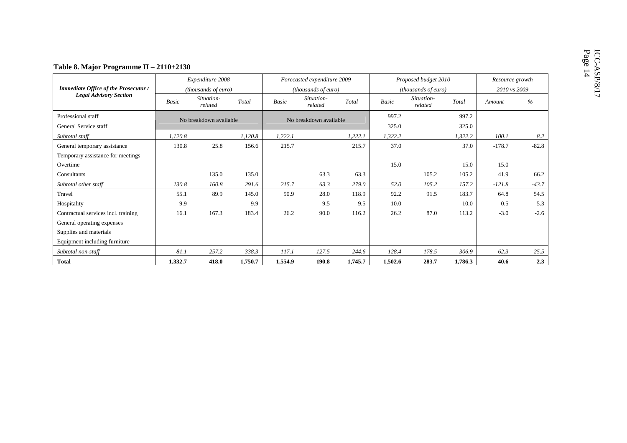|                                             |                        | Expenditure 2008      |         |                        | Forecasted expenditure 2009 |         |                     | Proposed budget 2010  |                | Resource growth |         |  |
|---------------------------------------------|------------------------|-----------------------|---------|------------------------|-----------------------------|---------|---------------------|-----------------------|----------------|-----------------|---------|--|
| Immediate Office of the Prosecutor /        |                        | (thousands of euro)   |         |                        | (thousands of euro)         |         | (thousands of euro) |                       |                | 2010 vs 2009    |         |  |
| <b>Legal Advisory Section</b>               | <b>Basic</b>           | Situation-<br>related | Total   | <b>Basic</b>           | Situation-<br>related       | Total   | Basic               | Situation-<br>related | Total          | Amount          | $\%$    |  |
| Professional staff<br>General Service staff | No breakdown available |                       |         | No breakdown available |                             |         | 997.2<br>325.0      |                       | 997.2<br>325.0 |                 |         |  |
| Subtotal staff                              | 1,120.8                |                       | 1,120.8 | 1,222.1                |                             | 1,222.1 | 1,322.2             |                       | 1,322.2        | 100.1           | 8.2     |  |
| General temporary assistance                | 130.8                  | 25.8                  | 156.6   | 215.7                  |                             | 215.7   | 37.0                |                       | 37.0           | $-178.7$        | $-82.8$ |  |
| Temporary assistance for meetings           |                        |                       |         |                        |                             |         |                     |                       |                |                 |         |  |
| Overtime                                    |                        |                       |         |                        |                             |         | 15.0                |                       | 15.0           | 15.0            |         |  |
| Consultants                                 |                        | 135.0                 | 135.0   |                        | 63.3                        | 63.3    |                     | 105.2                 | 105.2          | 41.9            | 66.2    |  |
| Subtotal other staff                        | 130.8                  | 160.8                 | 291.6   | 215.7                  | 63.3                        | 279.0   | 52.0                | 105.2                 | 157.2          | $-121.8$        | $-43.7$ |  |
| Travel                                      | 55.1                   | 89.9                  | 145.0   | 90.9                   | 28.0                        | 118.9   | 92.2                | 91.5                  | 183.7          | 64.8            | 54.5    |  |
| Hospitality                                 | 9.9                    |                       | 9.9     |                        | 9.5                         | 9.5     | 10.0                |                       | 10.0           | 0.5             | 5.3     |  |
| Contractual services incl. training         | 16.1                   | 167.3                 | 183.4   | 26.2                   | 90.0                        | 116.2   | 26.2                | 87.0                  | 113.2          | $-3.0$          | $-2.6$  |  |
| General operating expenses                  |                        |                       |         |                        |                             |         |                     |                       |                |                 |         |  |
| Supplies and materials                      |                        |                       |         |                        |                             |         |                     |                       |                |                 |         |  |
| Equipment including furniture               |                        |                       |         |                        |                             |         |                     |                       |                |                 |         |  |
| Subtotal non-staff                          | 81.1                   | 257.2                 | 338.3   | 117.1                  | 127.5                       | 244.6   | 128.4               | 178.5                 | 306.9          | 62.3            | 25.5    |  |
| <b>Total</b>                                | 1,332.7                | 418.0                 | 1,750.7 | 1,554.9                | 190.8                       | 1,745.7 | 1,502.6             | 283.7                 | 1.786.3        | 40.6            | 2.3     |  |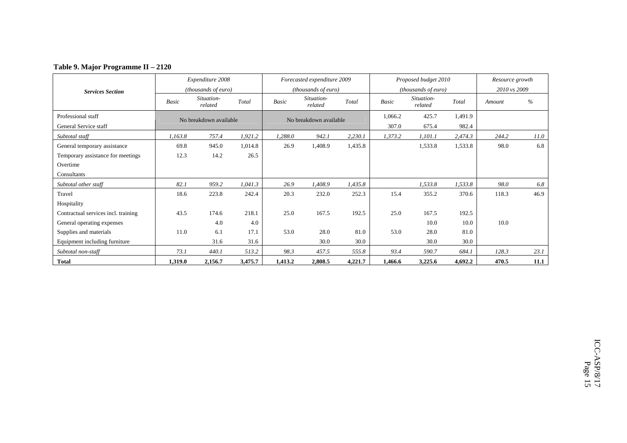| Table 9. Major Programme II - 2120 |
|------------------------------------|
|------------------------------------|

|                                     |         | Expenditure 2008             |         |         | Forecasted expenditure 2009 |         |              | Proposed budget 2010         |         | Resource growth |      |
|-------------------------------------|---------|------------------------------|---------|---------|-----------------------------|---------|--------------|------------------------------|---------|-----------------|------|
| <b>Services Section</b>             |         | ( <i>thousands of euro</i> ) |         |         | (thousands of euro)         |         |              | ( <i>thousands of euro</i> ) |         | 2010 vs 2009    |      |
|                                     | Basic   | Situation-<br>related        | Total   | Basic   | Situation-<br>related       | Total   | <b>Basic</b> | Situation-<br>related        | Total   | Amount          | $\%$ |
| Professional staff                  |         | No breakdown available       |         |         | No breakdown available      |         | 1,066.2      | 425.7                        | 1,491.9 |                 |      |
| General Service staff               |         |                              |         |         |                             |         | 307.0        | 675.4                        | 982.4   |                 |      |
| Subtotal staff                      | 1,163.8 | 757.4                        | 1,921.2 | 1,288.0 | 942.1                       | 2,230.1 | 1,373.2      | 1,101.1                      | 2,474.3 | 244.2           | 11.0 |
| General temporary assistance        | 69.8    | 945.0                        | 1,014.8 | 26.9    | 1,408.9                     | 1,435.8 |              | 1,533.8                      | 1,533.8 | 98.0            | 6.8  |
| Temporary assistance for meetings   | 12.3    | 14.2                         | 26.5    |         |                             |         |              |                              |         |                 |      |
| Overtime                            |         |                              |         |         |                             |         |              |                              |         |                 |      |
| Consultants                         |         |                              |         |         |                             |         |              |                              |         |                 |      |
| Subtotal other staff                | 82.1    | 959.2                        | 1,041.3 | 26.9    | 1,408.9                     | 1,435.8 |              | 1,533.8                      | 1,533.8 | 98.0            | 6.8  |
| Travel                              | 18.6    | 223.8                        | 242.4   | 20.3    | 232.0                       | 252.3   | 15.4         | 355.2                        | 370.6   | 118.3           | 46.9 |
| Hospitality                         |         |                              |         |         |                             |         |              |                              |         |                 |      |
| Contractual services incl. training | 43.5    | 174.6                        | 218.1   | 25.0    | 167.5                       | 192.5   | 25.0         | 167.5                        | 192.5   |                 |      |
| General operating expenses          |         | 4.0                          | 4.0     |         |                             |         |              | 10.0                         | 10.0    | 10.0            |      |
| Supplies and materials              | 11.0    | 6.1                          | 17.1    | 53.0    | 28.0                        | 81.0    | 53.0         | 28.0                         | 81.0    |                 |      |
| Equipment including furniture       |         | 31.6                         | 31.6    |         | 30.0                        | 30.0    |              | 30.0                         | 30.0    |                 |      |
| Subtotal non-staff                  | 73.1    | 440.1                        | 513.2   | 98.3    | 457.5                       | 555.8   | 93.4         | 590.7                        | 684.1   | 128.3           | 23.1 |
| <b>Total</b>                        | 1,319.0 | 2,156.7                      | 3,475.7 | 1,413.2 | 2,808.5                     | 4,221.7 | 1,466.6      | 3,225.6                      | 4,692.2 | 470.5           | 11.1 |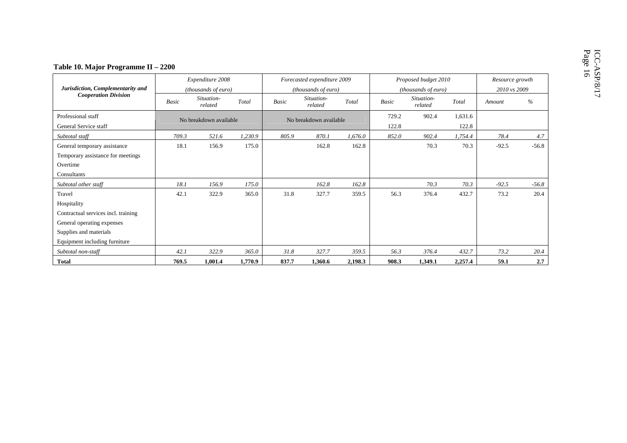| Table 10. Major Programme II - 2200                               |              |                        |         |                        |                             |         |                |                                             |                  |         |                 |  |  |
|-------------------------------------------------------------------|--------------|------------------------|---------|------------------------|-----------------------------|---------|----------------|---------------------------------------------|------------------|---------|-----------------|--|--|
|                                                                   |              | Expenditure 2008       |         |                        | Forecasted expenditure 2009 |         |                | Proposed budget 2010<br>(thousands of euro) |                  |         | Resource growth |  |  |
| Jurisdiction, Complementarity and                                 |              | (thousands of euro)    |         |                        | (thousands of euro)         |         |                |                                             |                  |         | 2010 vs 2009    |  |  |
| <b>Cooperation Division</b>                                       | <b>Basic</b> | Situation-<br>related  | Total   | <b>Basic</b>           | Situation-<br>related       | Total   | <b>Basic</b>   | Situation-<br>related                       | Total            | Amount  | $\frac{6}{6}$   |  |  |
| Professional staff<br>General Service staff                       |              | No breakdown available |         | No breakdown available |                             |         | 729.2<br>122.8 | 902.4                                       | 1,631.6<br>122.8 |         |                 |  |  |
| Subtotal staff                                                    | 709.3        | 521.6                  | 1,230.9 | 805.9                  | 870.1                       | 1,676.0 | 852.0          | 902.4                                       | 1,754.4          | 78.4    | 4.7             |  |  |
| General temporary assistance<br>Temporary assistance for meetings | 18.1         | 156.9                  | 175.0   |                        | 162.8                       | 162.8   |                | 70.3                                        | 70.3             | $-92.5$ | $-56.8$         |  |  |
| Overtime                                                          |              |                        |         |                        |                             |         |                |                                             |                  |         |                 |  |  |
| Consultants                                                       |              |                        |         |                        |                             |         |                |                                             |                  |         |                 |  |  |
| Subtotal other staff                                              | 18.1         | 156.9                  | 175.0   |                        | 162.8                       | 162.8   |                | 70.3                                        | 70.3             | $-92.5$ | $-56.8$         |  |  |
| Travel                                                            | 42.1         | 322.9                  | 365.0   | 31.8                   | 327.7                       | 359.5   | 56.3           | 376.4                                       | 432.7            | 73.2    | 20.4            |  |  |
| Hospitality                                                       |              |                        |         |                        |                             |         |                |                                             |                  |         |                 |  |  |
| Contractual services incl. training                               |              |                        |         |                        |                             |         |                |                                             |                  |         |                 |  |  |
| General operating expenses                                        |              |                        |         |                        |                             |         |                |                                             |                  |         |                 |  |  |
| Supplies and materials                                            |              |                        |         |                        |                             |         |                |                                             |                  |         |                 |  |  |
| Equipment including furniture                                     |              |                        |         |                        |                             |         |                |                                             |                  |         |                 |  |  |
| Subtotal non-staff                                                | 42.1         | 322.9                  | 365.0   | 31.8                   | 327.7                       | 359.5   | 56.3           | 376.4                                       | 432.7            | 73.2    | 20.4            |  |  |
| <b>Total</b>                                                      | 769.5        | 1,001.4                | 1,770.9 | 837.7                  | 1,360.6                     | 2,198.3 | 908.3          | 1,349.1                                     | 2,257.4          | 59.1    | 2.7             |  |  |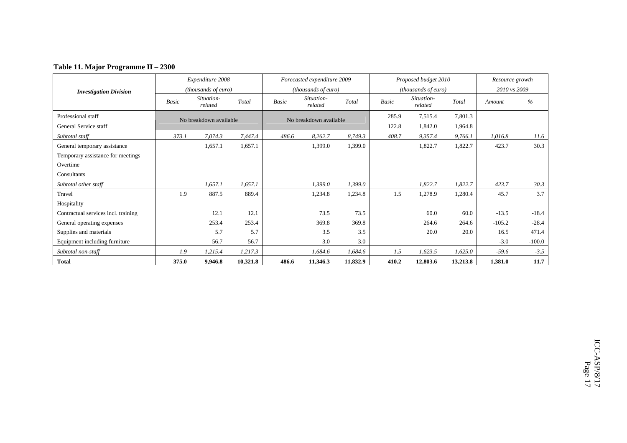### **Table 11. Major Programme II – 2300**

|                                     |              | Expenditure 2008       |          |              | Forecasted expenditure 2009 |          |       | Proposed budget 2010       |          | Resource growth |          |
|-------------------------------------|--------------|------------------------|----------|--------------|-----------------------------|----------|-------|----------------------------|----------|-----------------|----------|
| <b>Investigation Division</b>       |              | (thousands of euro)    |          |              | (thousands of euro)         |          |       | <i>(thousands of euro)</i> |          | 2010 vs 2009    |          |
|                                     | <b>Basic</b> | Situation-<br>related  | Total    | <b>Basic</b> | Situation-<br>related       | Total    | Basic | Situation-<br>related      | Total    | Amount          | $\%$     |
| Professional staff                  |              | No breakdown available |          |              | No breakdown available      |          | 285.9 | 7,515.4                    | 7,801.3  |                 |          |
| General Service staff               |              |                        |          |              |                             |          | 122.8 | 1,842.0                    | 1,964.8  |                 |          |
| Subtotal staff                      | 373.1        | 7,074.3                | 7,447.4  | 486.6        | 8,262.7                     | 8,749.3  | 408.7 | 9,357.4                    | 9.766.1  | 1.016.8         | 11.6     |
| General temporary assistance        |              | 1,657.1                | 1,657.1  |              | 1,399.0                     | 1,399.0  |       | 1,822.7                    | 1,822.7  | 423.7           | 30.3     |
| Temporary assistance for meetings   |              |                        |          |              |                             |          |       |                            |          |                 |          |
| Overtime                            |              |                        |          |              |                             |          |       |                            |          |                 |          |
| Consultants                         |              |                        |          |              |                             |          |       |                            |          |                 |          |
| Subtotal other staff                |              | 1,657.1                | 1,657.1  |              | 1,399.0                     | 1,399.0  |       | 1,822.7                    | 1,822.7  | 423.7           | 30.3     |
| Travel                              | 1.9          | 887.5                  | 889.4    |              | 1,234.8                     | 1,234.8  | 1.5   | 1,278.9                    | 1,280.4  | 45.7            | 3.7      |
| Hospitality                         |              |                        |          |              |                             |          |       |                            |          |                 |          |
| Contractual services incl. training |              | 12.1                   | 12.1     |              | 73.5                        | 73.5     |       | 60.0                       | 60.0     | $-13.5$         | $-18.4$  |
| General operating expenses          |              | 253.4                  | 253.4    |              | 369.8                       | 369.8    |       | 264.6                      | 264.6    | $-105.2$        | $-28.4$  |
| Supplies and materials              |              | 5.7                    | 5.7      |              | 3.5                         | 3.5      |       | 20.0                       | 20.0     | 16.5            | 471.4    |
| Equipment including furniture       |              | 56.7                   | 56.7     |              | 3.0                         | 3.0      |       |                            |          | $-3.0$          | $-100.0$ |
| Subtotal non-staff                  | 1.9          | 1,215.4                | 1,217.3  |              | 1,684.6                     | 1,684.6  | 1.5   | 1,623.5                    | 1,625.0  | $-59.6$         | $-3.5$   |
| <b>Total</b>                        | 375.0        | 9,946.8                | 10,321.8 | 486.6        | 11,346.3                    | 11,832.9 | 410.2 | 12,803.6                   | 13,213.8 | 1,381.0         | 11.7     |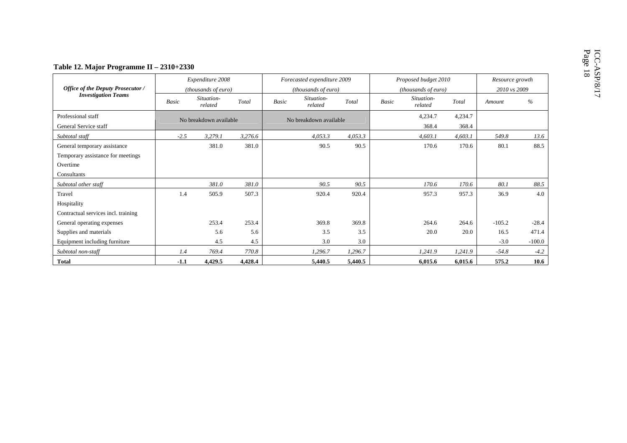|                                          |              | Expenditure 2008       |         |                        | Forecasted expenditure 2009 |         | Proposed budget 2010 |                       |         | Resource growth |              |  |  |
|------------------------------------------|--------------|------------------------|---------|------------------------|-----------------------------|---------|----------------------|-----------------------|---------|-----------------|--------------|--|--|
| <b>Office of the Deputy Prosecutor /</b> |              | (thousands of euro)    |         |                        | (thousands of euro)         |         |                      | (thousands of euro)   |         |                 | 2010 vs 2009 |  |  |
| <b>Investigation Teams</b>               | <b>Basic</b> | Situation-<br>related  | Total   | Basic                  | Situation-<br>related       | Total   | <b>Basic</b>         | Situation-<br>related | Total   | Amount          | $\%$         |  |  |
| Professional staff                       |              | No breakdown available |         | No breakdown available |                             |         | 4,234.7              |                       | 4,234.7 |                 |              |  |  |
| General Service staff                    |              |                        |         |                        |                             |         |                      | 368.4                 | 368.4   |                 |              |  |  |
| Subtotal staff                           | $-2.5$       | 3,279.1                | 3,276.6 |                        | 4,053.3                     | 4,053.3 |                      | 4,603.1               | 4,603.1 | 549.8           | 13.6         |  |  |
| General temporary assistance             |              | 381.0                  | 381.0   |                        | 90.5                        | 90.5    |                      | 170.6                 | 170.6   | 80.1            | 88.5         |  |  |
| Temporary assistance for meetings        |              |                        |         |                        |                             |         |                      |                       |         |                 |              |  |  |
| Overtime                                 |              |                        |         |                        |                             |         |                      |                       |         |                 |              |  |  |
| Consultants                              |              |                        |         |                        |                             |         |                      |                       |         |                 |              |  |  |
| Subtotal other staff                     |              | 381.0                  | 381.0   |                        | 90.5                        | 90.5    |                      | 170.6                 | 170.6   | 80.1            | 88.5         |  |  |
| Travel                                   | 1.4          | 505.9                  | 507.3   |                        | 920.4                       | 920.4   |                      | 957.3                 | 957.3   | 36.9            | 4.0          |  |  |
| Hospitality                              |              |                        |         |                        |                             |         |                      |                       |         |                 |              |  |  |
| Contractual services incl. training      |              |                        |         |                        |                             |         |                      |                       |         |                 |              |  |  |
| General operating expenses               |              | 253.4                  | 253.4   |                        | 369.8                       | 369.8   |                      | 264.6                 | 264.6   | $-105.2$        | $-28.4$      |  |  |
| Supplies and materials                   |              | 5.6                    | 5.6     |                        | 3.5                         | 3.5     |                      | 20.0                  | 20.0    | 16.5            | 471.4        |  |  |
| Equipment including furniture            |              | 4.5                    | 4.5     |                        | 3.0                         | 3.0     |                      |                       |         | $-3.0$          | $-100.0$     |  |  |
| Subtotal non-staff                       | 1.4          | 769.4                  | 770.8   |                        | 1,296.7                     | 1,296.7 |                      | 1,241.9               | 1,241.9 | $-54.8$         | $-4.2$       |  |  |
| <b>Total</b>                             | $-1.1$       | 4,429.5                | 4,428.4 |                        | 5,440.5                     | 5,440.5 |                      | 6,015.6               | 6.015.6 | 575.2           | 10.6         |  |  |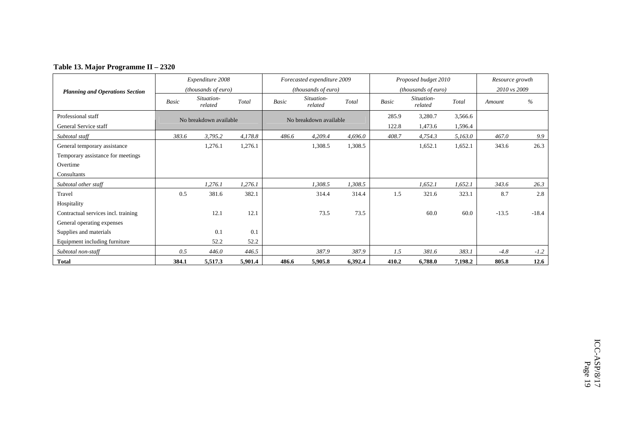### **Table 13. Major Programme II – 2320**

|                                        |       | Expenditure 2008       |         |       | Forecasted expenditure 2009 |         |              | Proposed budget 2010  |         | Resource growth |         |
|----------------------------------------|-------|------------------------|---------|-------|-----------------------------|---------|--------------|-----------------------|---------|-----------------|---------|
| <b>Planning and Operations Section</b> |       | (thousands of euro)    |         |       | <i>(thousands of euro)</i>  |         |              | (thousands of euro)   |         | 2010 vs 2009    |         |
|                                        | Basic | Situation-<br>related  | Total   | Basic | Situation-<br>related       | Total   | <b>Basic</b> | Situation-<br>related | Total   | Amount          | $\%$    |
| Professional staff                     |       | No breakdown available |         |       | No breakdown available      |         | 285.9        | 3,280.7               | 3,566.6 |                 |         |
| General Service staff                  |       |                        |         |       |                             |         | 122.8        | 1,473.6               | 1,596.4 |                 |         |
| Subtotal staff                         | 383.6 | 3,795.2                | 4,178.8 | 486.6 | 4,209.4                     | 4,696.0 | 408.7        | 4,754.3               | 5,163.0 | 467.0           | 9.9     |
| General temporary assistance           |       | 1,276.1                | 1,276.1 |       | 1,308.5                     | 1,308.5 |              | 1,652.1               | 1,652.1 | 343.6           | 26.3    |
| Temporary assistance for meetings      |       |                        |         |       |                             |         |              |                       |         |                 |         |
| Overtime                               |       |                        |         |       |                             |         |              |                       |         |                 |         |
| Consultants                            |       |                        |         |       |                             |         |              |                       |         |                 |         |
| Subtotal other staff                   |       | 1,276.1                | 1,276.1 |       | 1,308.5                     | 1,308.5 |              | 1,652.1               | 1,652.1 | 343.6           | 26.3    |
| Travel                                 | 0.5   | 381.6                  | 382.1   |       | 314.4                       | 314.4   | 1.5          | 321.6                 | 323.1   | 8.7             | 2.8     |
| Hospitality                            |       |                        |         |       |                             |         |              |                       |         |                 |         |
| Contractual services incl. training    |       | 12.1                   | 12.1    |       | 73.5                        | 73.5    |              | 60.0                  | 60.0    | $-13.5$         | $-18.4$ |
| General operating expenses             |       |                        |         |       |                             |         |              |                       |         |                 |         |
| Supplies and materials                 |       | 0.1                    | 0.1     |       |                             |         |              |                       |         |                 |         |
| Equipment including furniture          |       | 52.2                   | 52.2    |       |                             |         |              |                       |         |                 |         |
| Subtotal non-staff                     | 0.5   | 446.0                  | 446.5   |       | 387.9                       | 387.9   | 1.5          | 381.6                 | 383.1   | $-4.8$          | $-1.2$  |
| <b>Total</b>                           | 384.1 | 5,517.3                | 5,901.4 | 486.6 | 5,905.8                     | 6,392.4 | 410.2        | 6,788.0               | 7,198.2 | 805.8           | 12.6    |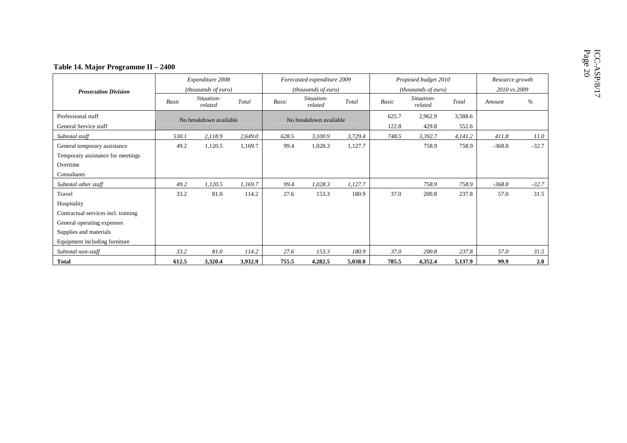|                                                                                                                      |                        | Expenditure 2008      |         |                        | Forecasted expenditure 2009 |         | Proposed budget 2010<br>(thousands of euro) |                       |                  | Resource growth<br>2010 vs 2009 |         |
|----------------------------------------------------------------------------------------------------------------------|------------------------|-----------------------|---------|------------------------|-----------------------------|---------|---------------------------------------------|-----------------------|------------------|---------------------------------|---------|
| <b>Prosecution Division</b>                                                                                          |                        | (thousands of euro)   |         |                        | (thousands of euro)         |         |                                             |                       |                  |                                 |         |
|                                                                                                                      | <b>Basic</b>           | Situation-<br>related | Total   | Basic                  | Situation-<br>related       | Total   | <b>Basic</b>                                | Situation-<br>related | Total            | Amount                          | $\%$    |
| Professional staff<br>General Service staff                                                                          | No breakdown available |                       |         | No breakdown available |                             |         | 625.7<br>122.8                              | 2,962.9<br>429.8      | 3,588.6<br>552.6 |                                 |         |
| Subtotal staff                                                                                                       | 530.1                  | 2,118.9               | 2,649.0 | 628.5                  | 3,100.9                     | 3,729.4 | 748.5                                       | 3,392.7               | 4,141.2          | 411.8                           | 11.0    |
| General temporary assistance<br>Temporary assistance for meetings<br>Overtime<br>Consultants                         | 49.2                   | 1,120.5               | 1,169.7 | 99.4                   | 1,028.3                     | 1,127.7 |                                             | 758.9                 | 758.9            | $-368.8$                        | $-32.7$ |
| Subtotal other staff                                                                                                 | 49.2                   | 1,120.5               | 1,169.7 | 99.4                   | 1,028.3                     | 1,127.7 |                                             | 758.9                 | 758.9            | $-368.8$                        | $-32.7$ |
| Travel<br>Hospitality<br>Contractual services incl. training<br>General operating expenses<br>Supplies and materials | 33.2                   | 81.0                  | 114.2   | 27.6                   | 153.3                       | 180.9   | 37.0                                        | 200.8                 | 237.8            | 57.0                            | 31.5    |
| Equipment including furniture                                                                                        |                        |                       |         |                        |                             |         |                                             |                       |                  |                                 |         |
| Subtotal non-staff                                                                                                   | 33.2                   | 81.0                  | 114.2   | 27.6                   | 153.3                       | 180.9   | 37.0                                        | 200.8                 | 237.8            | 57.0                            | 31.5    |
| <b>Total</b>                                                                                                         | 612.5                  | 3,320.4               | 3,932.9 | 755.5                  | 4,282.5                     | 5,038.0 | 785.5                                       | 4,352.4               | 5,137.9          | 99.9                            | 2.0     |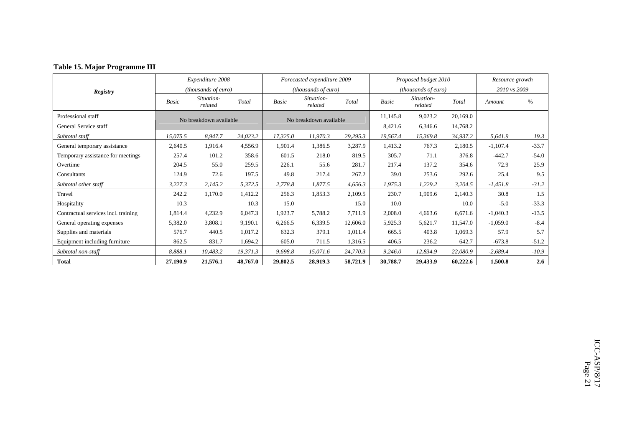|                                     |          | Expenditure 2008           |          |          | Forecasted expenditure 2009 |          |          | Proposed budget 2010       |          | Resource growth |         |
|-------------------------------------|----------|----------------------------|----------|----------|-----------------------------|----------|----------|----------------------------|----------|-----------------|---------|
| Registry                            |          | <i>(thousands of euro)</i> |          |          | (thousands of euro)         |          |          | <i>(thousands of euro)</i> |          | 2010 vs 2009    |         |
|                                     | Basic    | Situation-<br>related      | Total    | Basic    | Situation-<br>related       | Total    | Basic    | Situation-<br>related      | Total    | Amount          | %       |
| Professional staff                  |          | No breakdown available     |          |          | No breakdown available      |          | 11,145.8 | 9,023.2                    | 20,169.0 |                 |         |
| General Service staff               |          |                            |          |          |                             |          | 8,421.6  | 6,346.6                    | 14,768.2 |                 |         |
| Subtotal staff                      | 15,075.5 | 8,947.7                    | 24,023.2 | 17,325.0 | 11,970.3                    | 29,295.3 | 19,567.4 | 15,369.8                   | 34,937.2 | 5,641.9         | 19.3    |
| General temporary assistance        | 2,640.5  | 1,916.4                    | 4,556.9  | 1,901.4  | 1,386.5                     | 3,287.9  | 1,413.2  | 767.3                      | 2,180.5  | $-1,107.4$      | $-33.7$ |
| Temporary assistance for meetings   | 257.4    | 101.2                      | 358.6    | 601.5    | 218.0                       | 819.5    | 305.7    | 71.1                       | 376.8    | $-442.7$        | $-54.0$ |
| Overtime                            | 204.5    | 55.0                       | 259.5    | 226.1    | 55.6                        | 281.7    | 217.4    | 137.2                      | 354.6    | 72.9            | 25.9    |
| Consultants                         | 124.9    | 72.6                       | 197.5    | 49.8     | 217.4                       | 267.2    | 39.0     | 253.6                      | 292.6    | 25.4            | 9.5     |
| Subtotal other staff                | 3,227.3  | 2,145.2                    | 5,372.5  | 2,778.8  | 1,877.5                     | 4,656.3  | 1,975.3  | 1,229.2                    | 3,204.5  | $-1,451.8$      | $-31.2$ |
| Travel                              | 242.2    | 1,170.0                    | 1,412.2  | 256.3    | 1,853.3                     | 2,109.5  | 230.7    | 1,909.6                    | 2,140.3  | 30.8            | 1.5     |
| Hospitality                         | 10.3     |                            | 10.3     | 15.0     |                             | 15.0     | 10.0     |                            | 10.0     | $-5.0$          | $-33.3$ |
| Contractual services incl. training | 1,814.4  | 4,232.9                    | 6,047.3  | 1,923.7  | 5,788.2                     | 7,711.9  | 2,008.0  | 4,663.6                    | 6,671.6  | $-1,040.3$      | $-13.5$ |
| General operating expenses          | 5,382.0  | 3,808.1                    | 9,190.1  | 6,266.5  | 6,339.5                     | 12,606.0 | 5,925.3  | 5,621.7                    | 11,547.0 | $-1,059.0$      | $-8.4$  |
| Supplies and materials              | 576.7    | 440.5                      | 1,017.2  | 632.3    | 379.1                       | 1,011.4  | 665.5    | 403.8                      | 1,069.3  | 57.9            | 5.7     |
| Equipment including furniture       | 862.5    | 831.7                      | 1,694.2  | 605.0    | 711.5                       | 1,316.5  | 406.5    | 236.2                      | 642.7    | $-673.8$        | $-51.2$ |
| Subtotal non-staff                  | 8,888.1  | 10,483.2                   | 19,371.3 | 9,698.8  | 15,071.6                    | 24,770.3 | 9,246.0  | 12,834.9                   | 22,080.9 | $-2,689.4$      | $-10.9$ |
| <b>Total</b>                        | 27,190.9 | 21,576.1                   | 48,767.0 | 29,802.5 | 28,919.3                    | 58,721.9 | 30,788.7 | 29,433.9                   | 60,222.6 | 1,500.8         | 2.6     |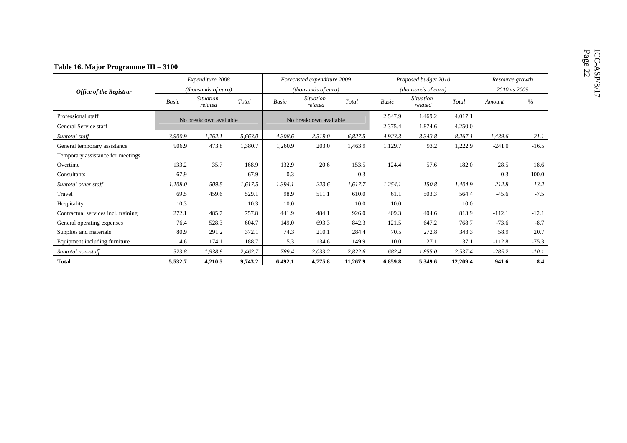|                                             |         | Expenditure 2008       |         |              | Forecasted expenditure 2009 |          |                    | Proposed budget 2010  |                    | Resource growth |          |
|---------------------------------------------|---------|------------------------|---------|--------------|-----------------------------|----------|--------------------|-----------------------|--------------------|-----------------|----------|
| <b>Office of the Registrar</b>              |         | (thousands of euro)    |         |              | (thousands of euro)         |          |                    | (thousands of euro)   |                    | 2010 vs 2009    |          |
|                                             | Basic   | Situation-<br>related  | Total   | <b>Basic</b> | Situation-<br>related       | Total    | <b>Basic</b>       | Situation-<br>related | Total              | Amount          | $\%$     |
| Professional staff<br>General Service staff |         | No breakdown available |         |              | No breakdown available      |          | 2,547.9<br>2,375.4 | 1,469.2<br>1,874.6    | 4,017.1<br>4,250.0 |                 |          |
| Subtotal staff                              | 3,900.9 | 1,762.1                | 5,663.0 | 4,308.6      | 2,519.0                     | 6,827.5  | 4,923.3            | 3,343.8               | 8,267.1            | 1,439.6         | 21.1     |
| General temporary assistance                | 906.9   | 473.8                  | 1,380.7 | 1,260.9      | 203.0                       | 1,463.9  | 1,129.7            | 93.2                  | 1,222.9            | $-241.0$        | $-16.5$  |
| Temporary assistance for meetings           |         |                        |         |              |                             |          |                    |                       |                    |                 |          |
| Overtime                                    | 133.2   | 35.7                   | 168.9   | 132.9        | 20.6                        | 153.5    | 124.4              | 57.6                  | 182.0              | 28.5            | 18.6     |
| Consultants                                 | 67.9    |                        | 67.9    | 0.3          |                             | 0.3      |                    |                       |                    | $-0.3$          | $-100.0$ |
| Subtotal other staff                        | 1,108.0 | 509.5                  | 1,617.5 | 1,394.1      | 223.6                       | 1,617.7  | 1,254.1            | 150.8                 | 1,404.9            | $-212.8$        | $-13.2$  |
| Travel                                      | 69.5    | 459.6                  | 529.1   | 98.9         | 511.1                       | 610.0    | 61.1               | 503.3                 | 564.4              | $-45.6$         | $-7.5$   |
| Hospitality                                 | 10.3    |                        | 10.3    | 10.0         |                             | 10.0     | 10.0               |                       | 10.0               |                 |          |
| Contractual services incl. training         | 272.1   | 485.7                  | 757.8   | 441.9        | 484.1                       | 926.0    | 409.3              | 404.6                 | 813.9              | $-112.1$        | $-12.1$  |
| General operating expenses                  | 76.4    | 528.3                  | 604.7   | 149.0        | 693.3                       | 842.3    | 121.5              | 647.2                 | 768.7              | $-73.6$         | $-8.7$   |
| Supplies and materials                      | 80.9    | 291.2                  | 372.1   | 74.3         | 210.1                       | 284.4    | 70.5               | 272.8                 | 343.3              | 58.9            | 20.7     |
| Equipment including furniture               | 14.6    | 174.1                  | 188.7   | 15.3         | 134.6                       | 149.9    | 10.0               | 27.1                  | 37.1               | $-112.8$        | $-75.3$  |
| Subtotal non-staff                          | 523.8   | 1,938.9                | 2,462.7 | 789.4        | 2,033.2                     | 2,822.6  | 682.4              | 1,855.0               | 2,537.4            | $-285.2$        | $-10.1$  |
| <b>Total</b>                                | 5,532.7 | 4,210.5                | 9,743.2 | 6,492.1      | 4,775.8                     | 11,267.9 | 6,859.8            | 5,349.6               | 12,209.4           | 941.6           | 8.4      |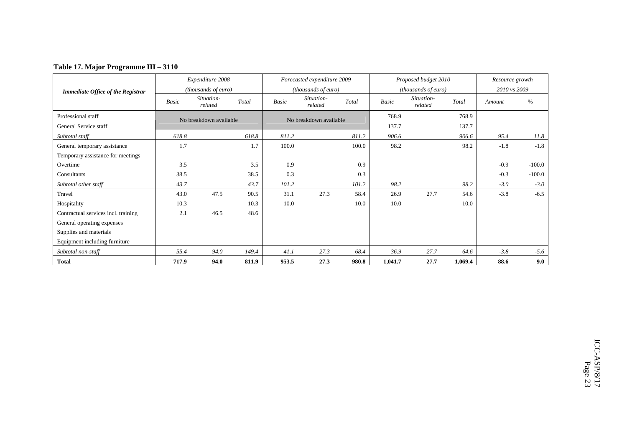|  | Table 17. Major Programme III - 3110 |  |
|--|--------------------------------------|--|
|  |                                      |  |

|                                          |       | Expenditure 2008       |       |       | Forecasted expenditure 2009 |       |         | Proposed budget 2010  |         | Resource growth |          |
|------------------------------------------|-------|------------------------|-------|-------|-----------------------------|-------|---------|-----------------------|---------|-----------------|----------|
| <b>Immediate Office of the Registrar</b> |       | (thousands of euro)    |       |       | (thousands of euro)         |       |         | (thousands of euro)   |         | 2010 vs 2009    |          |
|                                          | Basic | Situation-<br>related  | Total | Basic | Situation-<br>related       | Total | Basic   | Situation-<br>related | Total   | Amount          | $\%$     |
| Professional staff                       |       | No breakdown available |       |       | No breakdown available      |       | 768.9   |                       | 768.9   |                 |          |
| General Service staff                    |       |                        |       |       |                             |       | 137.7   |                       | 137.7   |                 |          |
| Subtotal staff                           | 618.8 |                        | 618.8 | 811.2 |                             | 811.2 | 906.6   |                       | 906.6   | 95.4            | 11.8     |
| General temporary assistance             | 1.7   |                        | 1.7   | 100.0 |                             | 100.0 | 98.2    |                       | 98.2    | $-1.8$          | $-1.8$   |
| Temporary assistance for meetings        |       |                        |       |       |                             |       |         |                       |         |                 |          |
| Overtime                                 | 3.5   |                        | 3.5   | 0.9   |                             | 0.9   |         |                       |         | $-0.9$          | $-100.0$ |
| Consultants                              | 38.5  |                        | 38.5  | 0.3   |                             | 0.3   |         |                       |         | $-0.3$          | $-100.0$ |
| Subtotal other staff                     | 43.7  |                        | 43.7  | 101.2 |                             | 101.2 | 98.2    |                       | 98.2    | $-3.0$          | $-3.0$   |
| Travel                                   | 43.0  | 47.5                   | 90.5  | 31.1  | 27.3                        | 58.4  | 26.9    | 27.7                  | 54.6    | $-3.8$          | $-6.5$   |
| Hospitality                              | 10.3  |                        | 10.3  | 10.0  |                             | 10.0  | 10.0    |                       | 10.0    |                 |          |
| Contractual services incl. training      | 2.1   | 46.5                   | 48.6  |       |                             |       |         |                       |         |                 |          |
| General operating expenses               |       |                        |       |       |                             |       |         |                       |         |                 |          |
| Supplies and materials                   |       |                        |       |       |                             |       |         |                       |         |                 |          |
| Equipment including furniture            |       |                        |       |       |                             |       |         |                       |         |                 |          |
| Subtotal non-staff                       | 55.4  | 94.0                   | 149.4 | 41.1  | 27.3                        | 68.4  | 36.9    | 27.7                  | 64.6    | $-3.8$          | $-5.6$   |
| <b>Total</b>                             | 717.9 | 94.0                   | 811.9 | 953.5 | 27.3                        | 980.8 | 1,041.7 | 27.7                  | 1,069.4 | 88.6            | 9.0      |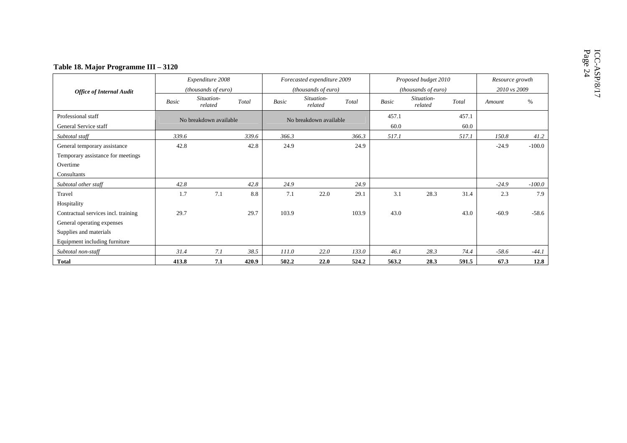|                                                                                              |       | Expenditure 2008       |       |       | Forecasted expenditure 2009 |       |               | Proposed budget 2010  |               | Resource growth |          |  |
|----------------------------------------------------------------------------------------------|-------|------------------------|-------|-------|-----------------------------|-------|---------------|-----------------------|---------------|-----------------|----------|--|
| <b>Office of Internal Audit</b>                                                              |       | (thousands of euro)    |       |       | (thousands of euro)         |       |               | (thousands of euro)   |               | 2010 vs 2009    |          |  |
|                                                                                              | Basic | Situation-<br>related  | Total | Basic | Situation-<br>related       | Total | <b>Basic</b>  | Situation-<br>related | Total         | Amount          | $\%$     |  |
| Professional staff<br>General Service staff                                                  |       | No breakdown available |       |       | No breakdown available      |       | 457.1<br>60.0 |                       | 457.1<br>60.0 |                 |          |  |
| Subtotal staff                                                                               | 339.6 |                        | 339.6 | 366.3 |                             | 366.3 | 517.1         |                       | 517.1         | 150.8           | 41.2     |  |
| General temporary assistance<br>Temporary assistance for meetings<br>Overtime<br>Consultants | 42.8  |                        | 42.8  | 24.9  |                             | 24.9  |               |                       |               | $-24.9$         | $-100.0$ |  |
| Subtotal other staff                                                                         | 42.8  |                        | 42.8  | 24.9  |                             | 24.9  |               |                       |               | $-24.9$         | $-100.0$ |  |
| Travel<br>Hospitality                                                                        | 1.7   | 7.1                    | 8.8   | 7.1   | 22.0                        | 29.1  | 3.1           | 28.3                  | 31.4          | 2.3             | 7.9      |  |
| Contractual services incl. training<br>General operating expenses<br>Supplies and materials  | 29.7  |                        | 29.7  | 103.9 |                             | 103.9 | 43.0          |                       | 43.0          | $-60.9$         | $-58.6$  |  |
| Equipment including furniture                                                                |       |                        |       |       |                             |       |               |                       |               |                 |          |  |
| Subtotal non-staff                                                                           | 31.4  | 7.1                    | 38.5  | 111.0 | 22.0                        | 133.0 | 46.1          | 28.3                  | 74.4          | $-58.6$         | $-44.1$  |  |
| <b>Total</b>                                                                                 | 413.8 | 7.1                    | 420.9 | 502.2 | 22.0                        | 524.2 | 563.2         | 28.3                  | 591.5         | 67.3            | 12.8     |  |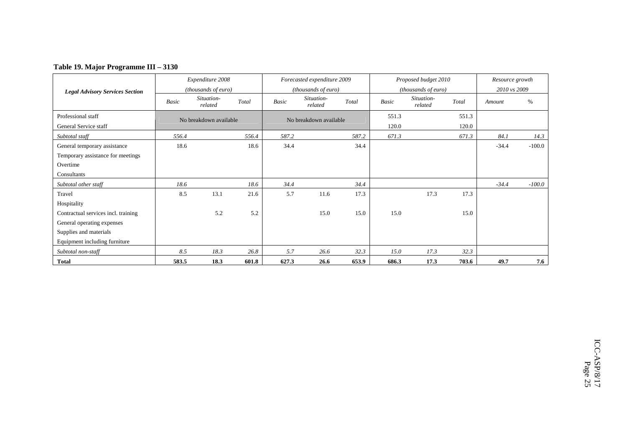### **Table 19. Major Programme III – 3130**

|                                        |       | Expenditure 2008       |       |       | Forecasted expenditure 2009 |       |       | Proposed budget 2010         |       | Resource growth |          |
|----------------------------------------|-------|------------------------|-------|-------|-----------------------------|-------|-------|------------------------------|-------|-----------------|----------|
| <b>Legal Advisory Services Section</b> |       | (thousands of euro)    |       |       | (thousands of euro)         |       |       | ( <i>thousands of euro</i> ) |       | 2010 vs 2009    |          |
|                                        | Basic | Situation-<br>related  | Total | Basic | Situation-<br>related       | Total | Basic | Situation-<br>related        | Total | Amount          | $\%$     |
| Professional staff                     |       | No breakdown available |       |       | No breakdown available      |       | 551.3 |                              | 551.3 |                 |          |
| General Service staff                  |       |                        |       |       |                             |       | 120.0 |                              | 120.0 |                 |          |
| Subtotal staff                         | 556.4 |                        | 556.4 | 587.2 |                             | 587.2 | 671.3 |                              | 671.3 | 84.1            | 14.3     |
| General temporary assistance           | 18.6  |                        | 18.6  | 34.4  |                             | 34.4  |       |                              |       | $-34.4$         | $-100.0$ |
| Temporary assistance for meetings      |       |                        |       |       |                             |       |       |                              |       |                 |          |
| Overtime                               |       |                        |       |       |                             |       |       |                              |       |                 |          |
| Consultants                            |       |                        |       |       |                             |       |       |                              |       |                 |          |
| Subtotal other staff                   | 18.6  |                        | 18.6  | 34.4  |                             | 34.4  |       |                              |       | $-34.4$         | $-100.0$ |
| Travel                                 | 8.5   | 13.1                   | 21.6  | 5.7   | 11.6                        | 17.3  |       | 17.3                         | 17.3  |                 |          |
| Hospitality                            |       |                        |       |       |                             |       |       |                              |       |                 |          |
| Contractual services incl. training    |       | 5.2                    | 5.2   |       | 15.0                        | 15.0  | 15.0  |                              | 15.0  |                 |          |
| General operating expenses             |       |                        |       |       |                             |       |       |                              |       |                 |          |
| Supplies and materials                 |       |                        |       |       |                             |       |       |                              |       |                 |          |
| Equipment including furniture          |       |                        |       |       |                             |       |       |                              |       |                 |          |
| Subtotal non-staff                     | 8.5   | 18.3                   | 26.8  | 5.7   | 26.6                        | 32.3  | 15.0  | 17.3                         | 32.3  |                 |          |
| <b>Total</b>                           | 583.5 | 18.3                   | 601.8 | 627.3 | 26.6                        | 653.9 | 686.3 | 17.3                         | 703.6 | 49.7            | 7.6      |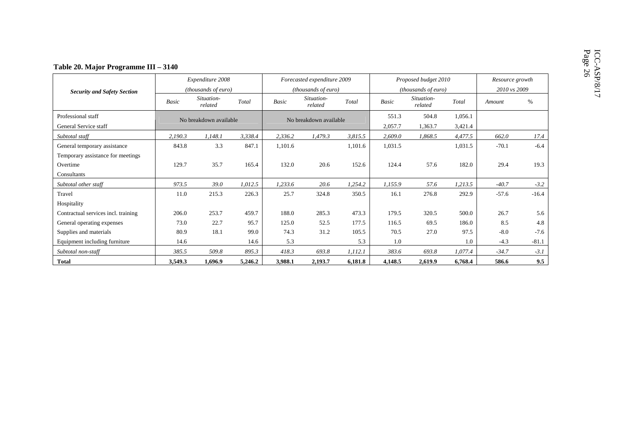|                                             |         | Expenditure 2008       |         |              | Forecasted expenditure 2009 |         |                  | Proposed budget 2010  |                    | Resource growth |         |
|---------------------------------------------|---------|------------------------|---------|--------------|-----------------------------|---------|------------------|-----------------------|--------------------|-----------------|---------|
| <b>Security and Safety Section</b>          |         | (thousands of euro)    |         |              | (thousands of euro)         |         |                  | (thousands of euro)   |                    | 2010 vs 2009    |         |
|                                             | Basic   | Situation-<br>related  | Total   | <b>Basic</b> | Situation-<br>related       | Total   | <b>Basic</b>     | Situation-<br>related | Total              | Amount          | $\%$    |
| Professional staff<br>General Service staff |         | No breakdown available |         |              | No breakdown available      |         | 551.3<br>2,057.7 | 504.8<br>1,363.7      | 1,056.1<br>3,421.4 |                 |         |
| Subtotal staff                              | 2,190.3 | 1,148.1                | 3,338.4 | 2,336.2      | 1,479.3                     | 3,815.5 | 2,609.0          | 1,868.5               | 4,477.5            | 662.0           | 17.4    |
| General temporary assistance                | 843.8   | 3.3                    | 847.1   | 1,101.6      |                             | 1,101.6 | 1,031.5          |                       | 1,031.5            | $-70.1$         | $-6.4$  |
| Temporary assistance for meetings           |         |                        |         |              |                             |         |                  |                       |                    |                 |         |
| Overtime                                    | 129.7   | 35.7                   | 165.4   | 132.0        | 20.6                        | 152.6   | 124.4            | 57.6                  | 182.0              | 29.4            | 19.3    |
| Consultants                                 |         |                        |         |              |                             |         |                  |                       |                    |                 |         |
| Subtotal other staff                        | 973.5   | 39.0                   | 1,012.5 | 1,233.6      | 20.6                        | 1,254.2 | 1,155.9          | 57.6                  | 1,213.5            | $-40.7$         | $-3.2$  |
| Travel                                      | 11.0    | 215.3                  | 226.3   | 25.7         | 324.8                       | 350.5   | 16.1             | 276.8                 | 292.9              | $-57.6$         | $-16.4$ |
| Hospitality                                 |         |                        |         |              |                             |         |                  |                       |                    |                 |         |
| Contractual services incl. training         | 206.0   | 253.7                  | 459.7   | 188.0        | 285.3                       | 473.3   | 179.5            | 320.5                 | 500.0              | 26.7            | 5.6     |
| General operating expenses                  | 73.0    | 22.7                   | 95.7    | 125.0        | 52.5                        | 177.5   | 116.5            | 69.5                  | 186.0              | 8.5             | 4.8     |
| Supplies and materials                      | 80.9    | 18.1                   | 99.0    | 74.3         | 31.2                        | 105.5   | 70.5             | 27.0                  | 97.5               | $-8.0$          | $-7.6$  |
| Equipment including furniture               | 14.6    |                        | 14.6    | 5.3          |                             | 5.3     | 1.0              |                       | 1.0                | $-4.3$          | $-81.1$ |
| Subtotal non-staff                          | 385.5   | 509.8                  | 895.3   | 418.3        | 693.8                       | 1,112.1 | 383.6            | 693.8                 | 1,077.4            | $-34.7$         | $-3.1$  |
| <b>Total</b>                                | 3,549.3 | 1.696.9                | 5,246.2 | 3,988.1      | 2,193.7                     | 6.181.8 | 4,148.5          | 2.619.9               | 6,768.4            | 586.6           | 9.5     |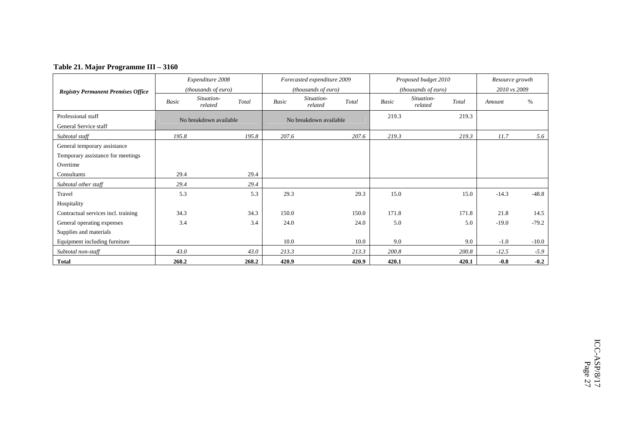### **Table 21. Major Programme III – 3160**

|                                           |       | Expenditure 2008       |       |       | Forecasted expenditure 2009 |       |       | Proposed budget 2010  |       | Resource growth |         |
|-------------------------------------------|-------|------------------------|-------|-------|-----------------------------|-------|-------|-----------------------|-------|-----------------|---------|
| <b>Registry Permanent Premises Office</b> |       | (thousands of euro)    |       |       | (thousands of euro)         |       |       | (thousands of euro)   |       | 2010 vs 2009    |         |
|                                           | Basic | Situation-<br>related  | Total | Basic | Situation-<br>related       | Total | Basic | Situation-<br>related | Total | Amount          | %       |
| Professional staff                        |       | No breakdown available |       |       | No breakdown available      |       | 219.3 |                       | 219.3 |                 |         |
| General Service staff                     |       |                        |       |       |                             |       |       |                       |       |                 |         |
| Subtotal staff                            | 195.8 |                        | 195.8 | 207.6 |                             | 207.6 | 219.3 |                       | 219.3 | 11.7            | 5.6     |
| General temporary assistance              |       |                        |       |       |                             |       |       |                       |       |                 |         |
| Temporary assistance for meetings         |       |                        |       |       |                             |       |       |                       |       |                 |         |
| Overtime                                  |       |                        |       |       |                             |       |       |                       |       |                 |         |
| Consultants                               | 29.4  |                        | 29.4  |       |                             |       |       |                       |       |                 |         |
| Subtotal other staff                      | 29.4  |                        | 29.4  |       |                             |       |       |                       |       |                 |         |
| Travel                                    | 5.3   |                        | 5.3   | 29.3  |                             | 29.3  | 15.0  |                       | 15.0  | $-14.3$         | $-48.8$ |
| Hospitality                               |       |                        |       |       |                             |       |       |                       |       |                 |         |
| Contractual services incl. training       | 34.3  |                        | 34.3  | 150.0 |                             | 150.0 | 171.8 |                       | 171.8 | 21.8            | 14.5    |
| General operating expenses                | 3.4   |                        | 3.4   | 24.0  |                             | 24.0  | 5.0   |                       | 5.0   | $-19.0$         | $-79.2$ |
| Supplies and materials                    |       |                        |       |       |                             |       |       |                       |       |                 |         |
| Equipment including furniture             |       |                        |       | 10.0  |                             | 10.0  | 9.0   |                       | 9.0   | $-1.0$          | $-10.0$ |
| Subtotal non-staff                        | 43.0  |                        | 43.0  | 213.3 |                             | 213.3 | 200.8 |                       | 200.8 | $-12.5$         | $-5.9$  |
| <b>Total</b>                              | 268.2 |                        | 268.2 | 420.9 |                             | 420.9 | 420.1 |                       | 420.1 | $-0.8$          | $-0.2$  |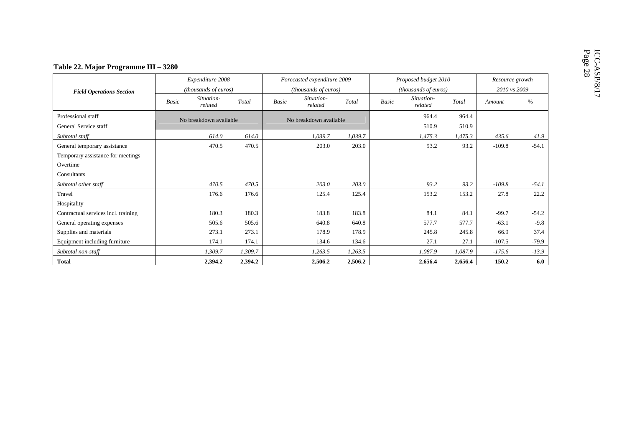|                                             |              | Expenditure 2008       |         |              | Forecasted expenditure 2009 |         |              | Proposed budget 2010  |                | Resource growth |         |
|---------------------------------------------|--------------|------------------------|---------|--------------|-----------------------------|---------|--------------|-----------------------|----------------|-----------------|---------|
| <b>Field Operations Section</b>             |              | (thousands of euros)   |         |              | (thousands of euros)        |         |              | (thousands of euros)  |                | 2010 vs 2009    |         |
|                                             | <b>Basic</b> | Situation-<br>related  | Total   | <b>Basic</b> | Situation-<br>related       | Total   | <b>Basic</b> | Situation-<br>related | Total          | Amount          | $\%$    |
| Professional staff<br>General Service staff |              | No breakdown available |         |              | No breakdown available      |         |              | 964.4<br>510.9        | 964.4<br>510.9 |                 |         |
| Subtotal staff                              |              | 614.0                  | 614.0   |              | 1,039.7                     | 1,039.7 |              | 1,475.3               | 1,475.3        | 435.6           | 41.9    |
| General temporary assistance                |              | 470.5                  | 470.5   |              | 203.0                       | 203.0   |              | 93.2                  | 93.2           | $-109.8$        | $-54.1$ |
| Temporary assistance for meetings           |              |                        |         |              |                             |         |              |                       |                |                 |         |
| Overtime                                    |              |                        |         |              |                             |         |              |                       |                |                 |         |
| Consultants                                 |              |                        |         |              |                             |         |              |                       |                |                 |         |
| Subtotal other staff                        |              | 470.5                  | 470.5   |              | 203.0                       | 203.0   |              | 93.2                  | 93.2           | $-109.8$        | $-54.1$ |
| Travel                                      |              | 176.6                  | 176.6   |              | 125.4                       | 125.4   |              | 153.2                 | 153.2          | 27.8            | 22.2    |
| Hospitality                                 |              |                        |         |              |                             |         |              |                       |                |                 |         |
| Contractual services incl. training         |              | 180.3                  | 180.3   |              | 183.8                       | 183.8   |              | 84.1                  | 84.1           | $-99.7$         | $-54.2$ |
| General operating expenses                  |              | 505.6                  | 505.6   |              | 640.8                       | 640.8   |              | 577.7                 | 577.7          | $-63.1$         | $-9.8$  |
| Supplies and materials                      |              | 273.1                  | 273.1   |              | 178.9                       | 178.9   |              | 245.8                 | 245.8          | 66.9            | 37.4    |
| Equipment including furniture               |              | 174.1                  | 174.1   |              | 134.6                       | 134.6   |              | 27.1                  | 27.1           | $-107.5$        | $-79.9$ |
| Subtotal non-staff                          |              | 1,309.7                | 1,309.7 |              | 1,263.5                     | 1,263.5 |              | 1,087.9               | 1,087.9        | $-175.6$        | $-13.9$ |
| <b>Total</b>                                |              | 2,394.2                | 2,394.2 |              | 2,506.2                     | 2,506.2 |              | 2,656.4               | 2,656.4        | 150.2           | 6.0     |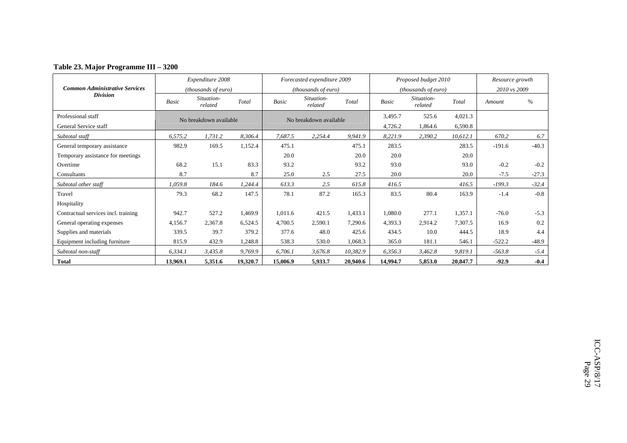|  |  | Table 23. Major Programme III - 3200 |  |  |
|--|--|--------------------------------------|--|--|
|--|--|--------------------------------------|--|--|

|                                       |          | Expenditure 2008             |          |          | Forecasted expenditure 2009 |          |          | Proposed budget 2010       |          | Resource growth |         |
|---------------------------------------|----------|------------------------------|----------|----------|-----------------------------|----------|----------|----------------------------|----------|-----------------|---------|
| <b>Common Administrative Services</b> |          | ( <i>thousands of euro</i> ) |          |          | <i>(thousands of euro)</i>  |          |          | <i>(thousands of euro)</i> |          | 2010 vs 2009    |         |
| <b>Division</b>                       | Basic    | Situation-<br>related        | Total    | Basic    | Situation-<br>related       | Total    | Basic    | Situation-<br>related      | Total    | Amount          | $\%$    |
| Professional staff                    |          | No breakdown available       |          |          | No breakdown available      |          | 3,495.7  | 525.6                      | 4,021.3  |                 |         |
| General Service staff                 |          |                              |          |          |                             |          | 4,726.2  | 1,864.6                    | 6,590.8  |                 |         |
| Subtotal staff                        | 6,575.2  | 1,731.2                      | 8,306.4  | 7,687.5  | 2,254.4                     | 9,941.9  | 8,221.9  | 2,390.2                    | 10,612.1 | 670.2           | 6.7     |
| General temporary assistance          | 982.9    | 169.5                        | 1,152.4  | 475.1    |                             | 475.1    | 283.5    |                            | 283.5    | $-191.6$        | $-40.3$ |
| Temporary assistance for meetings     |          |                              |          | 20.0     |                             | 20.0     | 20.0     |                            | 20.0     |                 |         |
| Overtime                              | 68.2     | 15.1                         | 83.3     | 93.2     |                             | 93.2     | 93.0     |                            | 93.0     | $-0.2$          | $-0.2$  |
| Consultants                           | 8.7      |                              | 8.7      | 25.0     | 2.5                         | 27.5     | 20.0     |                            | 20.0     | $-7.5$          | $-27.3$ |
| Subtotal other staff                  | 1,059.8  | 184.6                        | 1,244.4  | 613.3    | 2.5                         | 615.8    | 416.5    |                            | 416.5    | $-199.3$        | $-32.4$ |
| Travel                                | 79.3     | 68.2                         | 147.5    | 78.1     | 87.2                        | 165.3    | 83.5     | 80.4                       | 163.9    | $-1.4$          | $-0.8$  |
| Hospitality                           |          |                              |          |          |                             |          |          |                            |          |                 |         |
| Contractual services incl. training   | 942.7    | 527.2                        | 1,469.9  | 1,011.6  | 421.5                       | 1,433.1  | 1,080.0  | 277.1                      | 1,357.1  | $-76.0$         | $-5.3$  |
| General operating expenses            | 4,156.7  | 2,367.8                      | 6,524.5  | 4,700.5  | 2,590.1                     | 7,290.6  | 4,393.3  | 2,914.2                    | 7,307.5  | 16.9            | 0.2     |
| Supplies and materials                | 339.5    | 39.7                         | 379.2    | 377.6    | 48.0                        | 425.6    | 434.5    | 10.0                       | 444.5    | 18.9            | 4.4     |
| Equipment including furniture         | 815.9    | 432.9                        | 1,248.8  | 538.3    | 530.0                       | 1,068.3  | 365.0    | 181.1                      | 546.1    | $-522.2$        | $-48.9$ |
| Subtotal non-staff                    | 6,334.1  | 3,435.8                      | 9,769.9  | 6,706.1  | 3,676.8                     | 10,382.9 | 6,356.3  | 3,462.8                    | 9,819.1  | $-563.8$        | $-5.4$  |
| <b>Total</b>                          | 13,969.1 | 5,351.6                      | 19,320.7 | 15,006.9 | 5,933.7                     | 20,940.6 | 14,994.7 | 5,853.0                    | 20,847.7 | $-92.9$         | $-0.4$  |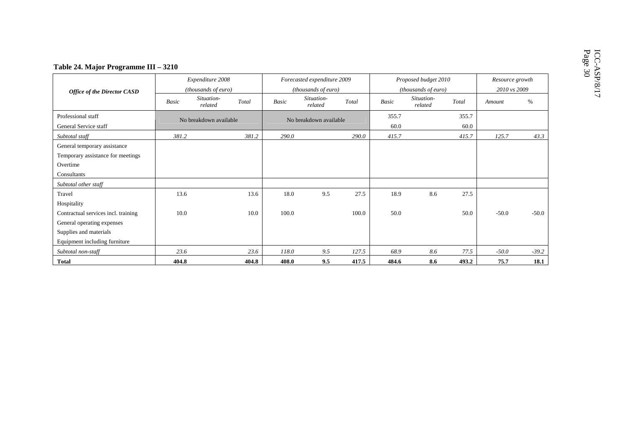|                                                                                              |       | Expenditure 2008       |       |       | Forecasted expenditure 2009 |       |               | Proposed budget 2010  |               | Resource growth |         |  |
|----------------------------------------------------------------------------------------------|-------|------------------------|-------|-------|-----------------------------|-------|---------------|-----------------------|---------------|-----------------|---------|--|
| <b>Office of the Director CASD</b>                                                           |       | (thousands of euro)    |       |       | (thousands of euro)         |       |               | (thousands of euro)   |               | 2010 vs 2009    |         |  |
|                                                                                              | Basic | Situation-<br>related  | Total | Basic | Situation-<br>related       | Total | <b>Basic</b>  | Situation-<br>related | Total         | Amount          | $\%$    |  |
| Professional staff<br>General Service staff                                                  |       | No breakdown available |       |       | No breakdown available      |       | 355.7<br>60.0 |                       | 355.7<br>60.0 |                 |         |  |
| Subtotal staff                                                                               | 381.2 |                        | 381.2 | 290.0 |                             | 290.0 | 415.7         |                       | 415.7         | 125.7           | 43.3    |  |
| General temporary assistance<br>Temporary assistance for meetings<br>Overtime<br>Consultants |       |                        |       |       |                             |       |               |                       |               |                 |         |  |
| Subtotal other staff                                                                         |       |                        |       |       |                             |       |               |                       |               |                 |         |  |
| Travel<br>Hospitality                                                                        | 13.6  |                        | 13.6  | 18.0  | 9.5                         | 27.5  | 18.9          | 8.6                   | 27.5          |                 |         |  |
| Contractual services incl. training<br>General operating expenses                            | 10.0  |                        | 10.0  | 100.0 |                             | 100.0 | 50.0          |                       | 50.0          | $-50.0$         | $-50.0$ |  |
| Supplies and materials<br>Equipment including furniture                                      |       |                        |       |       |                             |       |               |                       |               |                 |         |  |
| Subtotal non-staff                                                                           | 23.6  |                        | 23.6  | 118.0 | 9.5                         | 127.5 | 68.9          | 8.6                   | 77.5          | $-50.0$         | $-39.2$ |  |
| <b>Total</b>                                                                                 | 404.8 |                        | 404.8 | 408.0 | 9.5                         | 417.5 | 484.6         | 8.6                   | 493.2         | 75.7            | 18.1    |  |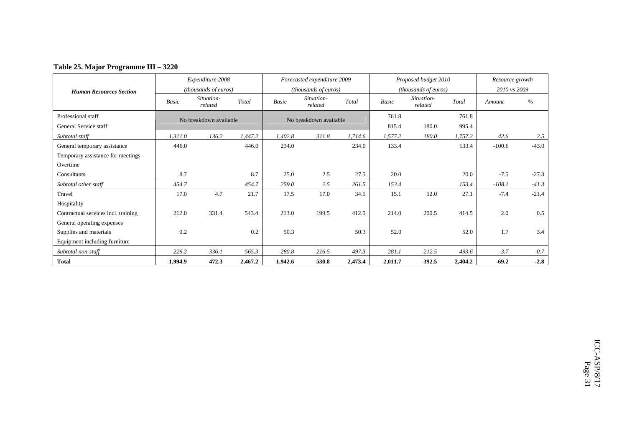### **Table 25. Major Programme III – 3220**

|                                     |         | Expenditure 2008       |         |              | Forecasted expenditure 2009 |         |         | Proposed budget 2010  |         | Resource growth |         |
|-------------------------------------|---------|------------------------|---------|--------------|-----------------------------|---------|---------|-----------------------|---------|-----------------|---------|
| <b>Human Resources Section</b>      |         | (thousands of euros)   |         |              | (thousands of euros)        |         |         | (thousands of euros)  |         | 2010 vs 2009    |         |
|                                     | Basic   | Situation-<br>related  | Total   | <b>Basic</b> | Situation-<br>related       | Total   | Basic   | Situation-<br>related | Total   | Amount          | %       |
| Professional staff                  |         | No breakdown available |         |              | No breakdown available      |         | 761.8   |                       | 761.8   |                 |         |
| General Service staff               |         |                        |         |              |                             |         | 815.4   | 180.0                 | 995.4   |                 |         |
| Subtotal staff                      | 1,311.0 | 136.2                  | 1,447.2 | 1,402.8      | 311.8                       | 1,714.6 | 1,577.2 | 180.0                 | 1,757.2 | 42.6            | 2.5     |
| General temporary assistance        | 446.0   |                        | 446.0   | 234.0        |                             | 234.0   | 133.4   |                       | 133.4   | $-100.6$        | $-43.0$ |
| Temporary assistance for meetings   |         |                        |         |              |                             |         |         |                       |         |                 |         |
| Overtime                            |         |                        |         |              |                             |         |         |                       |         |                 |         |
| Consultants                         | 8.7     |                        | 8.7     | 25.0         | 2.5                         | 27.5    | 20.0    |                       | 20.0    | $-7.5$          | $-27.3$ |
| Subtotal other staff                | 454.7   |                        | 454.7   | 259.0        | 2.5                         | 261.5   | 153.4   |                       | 153.4   | $-108.1$        | $-41.3$ |
| Travel                              | 17.0    | 4.7                    | 21.7    | 17.5         | 17.0                        | 34.5    | 15.1    | 12.0                  | 27.1    | $-7.4$          | $-21.4$ |
| Hospitality                         |         |                        |         |              |                             |         |         |                       |         |                 |         |
| Contractual services incl. training | 212.0   | 331.4                  | 543.4   | 213.0        | 199.5                       | 412.5   | 214.0   | 200.5                 | 414.5   | 2.0             | 0.5     |
| General operating expenses          |         |                        |         |              |                             |         |         |                       |         |                 |         |
| Supplies and materials              | 0.2     |                        | 0.2     | 50.3         |                             | 50.3    | 52.0    |                       | 52.0    | 1.7             | 3.4     |
| Equipment including furniture       |         |                        |         |              |                             |         |         |                       |         |                 |         |
| Subtotal non-staff                  | 229.2   | 336.1                  | 565.3   | 280.8        | 216.5                       | 497.3   | 281.1   | 212.5                 | 493.6   | $-3.7$          | $-0.7$  |
| <b>Total</b>                        | 1,994.9 | 472.3                  | 2,467.2 | 1,942.6      | 530.8                       | 2,473.4 | 2,011.7 | 392.5                 | 2,404.2 | $-69.2$         | $-2.8$  |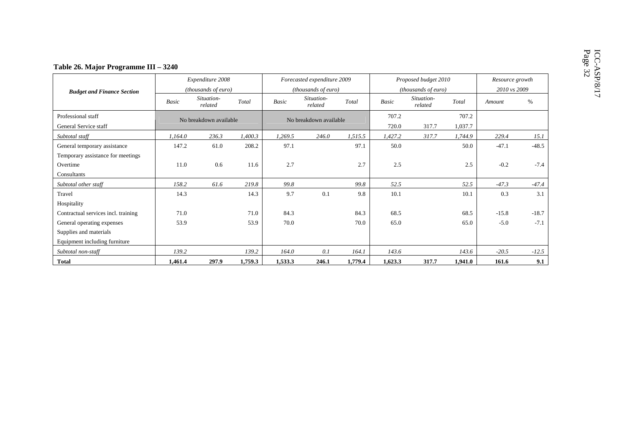|                                             |                        | Expenditure 2008      |                        |              | Forecasted expenditure 2009 |                |              | Proposed budget 2010  |         | Resource growth |         |
|---------------------------------------------|------------------------|-----------------------|------------------------|--------------|-----------------------------|----------------|--------------|-----------------------|---------|-----------------|---------|
| <b>Budget and Finance Section</b>           |                        | (thousands of euro)   |                        |              | (thousands of euro)         |                |              | (thousands of euro)   |         | 2010 vs 2009    |         |
|                                             | <b>Basic</b>           | Situation-<br>related | Total                  | <b>Basic</b> | Situation-<br>related       | Total          | <b>Basic</b> | Situation-<br>related | Total   | Amount          | $\%$    |
| Professional staff<br>General Service staff | No breakdown available |                       | No breakdown available |              |                             | 707.2<br>720.0 | 317.7        | 707.2<br>1,037.7      |         |                 |         |
| Subtotal staff                              | 1,164.0                | 236.3                 | 1,400.3                | 1,269.5      | 246.0                       | 1,515.5        | 1,427.2      | 317.7                 | 1,744.9 | 229.4           | 15.1    |
| General temporary assistance                | 147.2                  | 61.0                  | 208.2                  | 97.1         |                             | 97.1           | 50.0         |                       | 50.0    | $-47.1$         | $-48.5$ |
| Temporary assistance for meetings           |                        |                       |                        |              |                             |                |              |                       |         |                 |         |
| Overtime                                    | 11.0                   | 0.6                   | 11.6                   | 2.7          |                             | 2.7            | 2.5          |                       | 2.5     | $-0.2$          | $-7.4$  |
| Consultants                                 |                        |                       |                        |              |                             |                |              |                       |         |                 |         |
| Subtotal other staff                        | 158.2                  | 61.6                  | 219.8                  | 99.8         |                             | 99.8           | 52.5         |                       | 52.5    | $-47.3$         | $-47.4$ |
| Travel                                      | 14.3                   |                       | 14.3                   | 9.7          | 0.1                         | 9.8            | 10.1         |                       | 10.1    | 0.3             | 3.1     |
| Hospitality                                 |                        |                       |                        |              |                             |                |              |                       |         |                 |         |
| Contractual services incl. training         | 71.0                   |                       | 71.0                   | 84.3         |                             | 84.3           | 68.5         |                       | 68.5    | $-15.8$         | $-18.7$ |
| General operating expenses                  | 53.9                   |                       | 53.9                   | 70.0         |                             | 70.0           | 65.0         |                       | 65.0    | $-5.0$          | $-7.1$  |
| Supplies and materials                      |                        |                       |                        |              |                             |                |              |                       |         |                 |         |
| Equipment including furniture               |                        |                       |                        |              |                             |                |              |                       |         |                 |         |
| Subtotal non-staff                          | 139.2                  |                       | 139.2                  | 164.0        | 0.1                         | 164.1          | 143.6        |                       | 143.6   | $-20.5$         | $-12.5$ |
| <b>Total</b>                                | 1,461.4                | 297.9                 | 1,759.3                | 1,533.3      | 246.1                       | 1,779.4        | 1,623.3      | 317.7                 | 1,941.0 | 161.6           | 9.1     |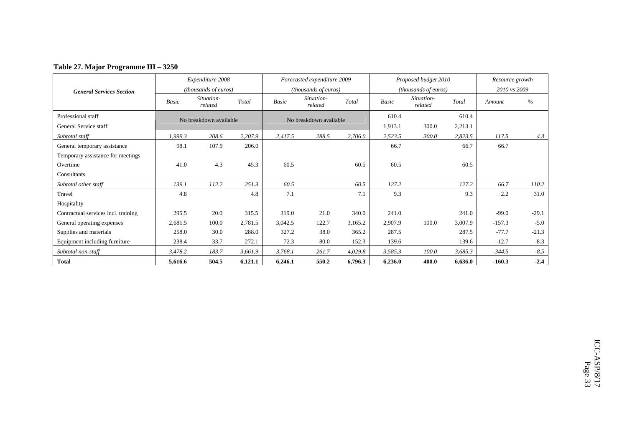### **Table 27. Major Programme III – 3250**

|                                     |         | Expenditure 2008       |         |              | Forecasted expenditure 2009 |         |         | Proposed budget 2010  |         | Resource growth |         |
|-------------------------------------|---------|------------------------|---------|--------------|-----------------------------|---------|---------|-----------------------|---------|-----------------|---------|
| <b>General Services Section</b>     |         | (thousands of euros)   |         |              | (thousands of euros)        |         |         | (thousands of euros)  |         | 2010 vs 2009    |         |
|                                     | Basic   | Situation-<br>related  | Total   | <b>Basic</b> | Situation-<br>related       | Total   | Basic   | Situation-<br>related | Total   | Amount          | $\%$    |
| Professional staff                  |         | No breakdown available |         |              | No breakdown available      |         | 610.4   |                       | 610.4   |                 |         |
| General Service staff               |         |                        |         |              |                             |         | 1,913.1 | 300.0                 | 2,213.1 |                 |         |
| Subtotal staff                      | 1,999.3 | 208.6                  | 2,207.9 | 2,417.5      | 288.5                       | 2,706.0 | 2,523.5 | 300.0                 | 2,823.5 | 117.5           | 4.3     |
| General temporary assistance        | 98.1    | 107.9                  | 206.0   |              |                             |         | 66.7    |                       | 66.7    | 66.7            |         |
| Temporary assistance for meetings   |         |                        |         |              |                             |         |         |                       |         |                 |         |
| Overtime                            | 41.0    | 4.3                    | 45.3    | 60.5         |                             | 60.5    | 60.5    |                       | 60.5    |                 |         |
| Consultants                         |         |                        |         |              |                             |         |         |                       |         |                 |         |
| Subtotal other staff                | 139.1   | 112.2                  | 251.3   | 60.5         |                             | 60.5    | 127.2   |                       | 127.2   | 66.7            | 110.2   |
| Travel                              | 4.8     |                        | 4.8     | 7.1          |                             | 7.1     | 9.3     |                       | 9.3     | 2.2             | 31.0    |
| Hospitality                         |         |                        |         |              |                             |         |         |                       |         |                 |         |
| Contractual services incl. training | 295.5   | 20.0                   | 315.5   | 319.0        | 21.0                        | 340.0   | 241.0   |                       | 241.0   | $-99.0$         | $-29.1$ |
| General operating expenses          | 2,681.5 | 100.0                  | 2,781.5 | 3,042.5      | 122.7                       | 3,165.2 | 2,907.9 | 100.0                 | 3,007.9 | $-157.3$        | $-5.0$  |
| Supplies and materials              | 258.0   | 30.0                   | 288.0   | 327.2        | 38.0                        | 365.2   | 287.5   |                       | 287.5   | $-77.7$         | $-21.3$ |
| Equipment including furniture       | 238.4   | 33.7                   | 272.1   | 72.3         | 80.0                        | 152.3   | 139.6   |                       | 139.6   | $-12.7$         | $-8.3$  |
| Subtotal non-staff                  | 3,478.2 | 183.7                  | 3,661.9 | 3,768.1      | 261.7                       | 4,029.8 | 3,585.3 | 100.0                 | 3,685.3 | $-344.5$        | $-8.5$  |
| <b>Total</b>                        | 5,616.6 | 504.5                  | 6,121.1 | 6,246.1      | 550.2                       | 6,796.3 | 6,236.0 | 400.0                 | 6,636.0 | $-160.3$        | $-2.4$  |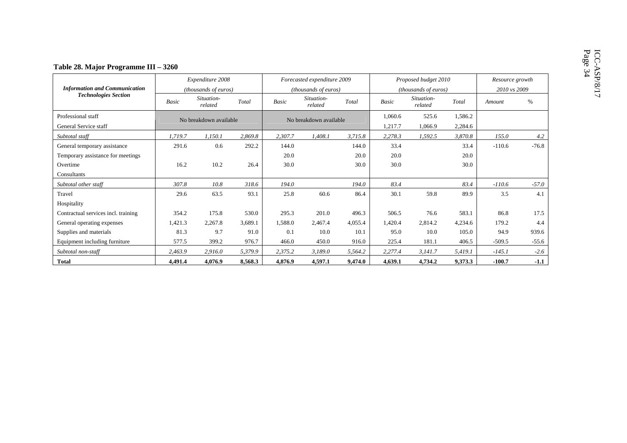|                                             |                                   | Expenditure 2008      |         |                        | Forecasted expenditure 2009 |         |                    | Proposed budget 2010  |                    | Resource growth |         |
|---------------------------------------------|-----------------------------------|-----------------------|---------|------------------------|-----------------------------|---------|--------------------|-----------------------|--------------------|-----------------|---------|
| <b>Information and Communication</b>        |                                   | (thousands of euros)  |         |                        | (thousands of euros)        |         |                    | (thousands of euros)  |                    | 2010 vs 2009    |         |
| <b>Technologies Section</b>                 | Basic                             | Situation-<br>related | Total   | <b>Basic</b>           | Situation-<br>related       | Total   | <b>Basic</b>       | Situation-<br>related | Total              | Amount          | $\%$    |
| Professional staff<br>General Service staff | No breakdown available<br>1,719.7 |                       |         | No breakdown available |                             |         | 1,060.6<br>1,217.7 | 525.6<br>1,066.9      | 1,586.2<br>2,284.6 |                 |         |
| Subtotal staff                              |                                   | 1,150.1               | 2,869.8 | 2,307.7                | 1,408.1                     | 3,715.8 | 2,278.3            | 1,592.5               | 3,870.8            | 155.0           | 4.2     |
| General temporary assistance                | 291.6                             | 0.6                   | 292.2   | 144.0                  |                             | 144.0   | 33.4               |                       | 33.4               | $-110.6$        | $-76.8$ |
| Temporary assistance for meetings           |                                   |                       |         | 20.0                   |                             | 20.0    | 20.0               |                       | 20.0               |                 |         |
| Overtime                                    | 16.2                              | 10.2                  | 26.4    | 30.0                   |                             | 30.0    | 30.0               |                       | 30.0               |                 |         |
| Consultants                                 |                                   |                       |         |                        |                             |         |                    |                       |                    |                 |         |
| Subtotal other staff                        | 307.8                             | 10.8                  | 318.6   | 194.0                  |                             | 194.0   | 83.4               |                       | 83.4               | $-110.6$        | $-57.0$ |
| Travel                                      | 29.6                              | 63.5                  | 93.1    | 25.8                   | 60.6                        | 86.4    | 30.1               | 59.8                  | 89.9               | 3.5             | 4.1     |
| Hospitality                                 |                                   |                       |         |                        |                             |         |                    |                       |                    |                 |         |
| Contractual services incl. training         | 354.2                             | 175.8                 | 530.0   | 295.3                  | 201.0                       | 496.3   | 506.5              | 76.6                  | 583.1              | 86.8            | 17.5    |
| General operating expenses                  | 1,421.3                           | 2,267.8               | 3,689.1 | 1,588.0                | 2,467.4                     | 4,055.4 | 1,420.4            | 2,814.2               | 4,234.6            | 179.2           | 4.4     |
| Supplies and materials                      | 81.3                              | 9.7                   | 91.0    | 0.1                    | 10.0                        | 10.1    | 95.0               | 10.0                  | 105.0              | 94.9            | 939.6   |
| Equipment including furniture               | 577.5                             | 399.2                 | 976.7   | 466.0                  | 450.0                       | 916.0   | 225.4              | 181.1                 | 406.5              | $-509.5$        | $-55.6$ |
| Subtotal non-staff                          | 2,463.9                           | 2,916.0               | 5,379.9 | 2,375.2                | 3,189.0                     | 5,564.2 | 2,277.4            | 3,141.7               | 5,419.1            | $-145.1$        | $-2.6$  |
| <b>Total</b>                                | 4,491.4                           | 4,076.9               | 8,568.3 | 4,876.9                | 4,597.1                     | 9,474.0 | 4,639.1            | 4,734.2               | 9,373.3            | $-100.7$        | $-1.1$  |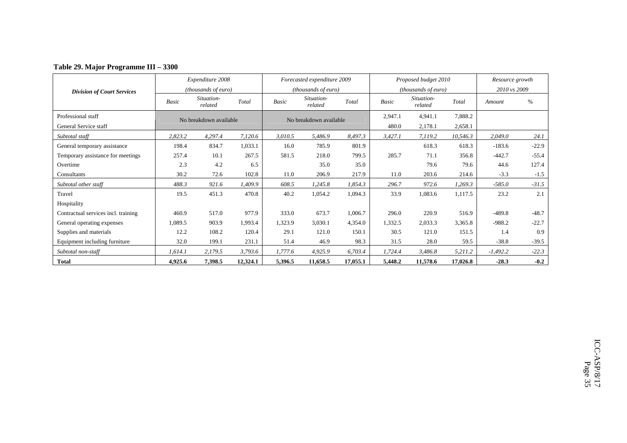|  |  | Table 29. Major Programme III - 3300 |  |  |
|--|--|--------------------------------------|--|--|
|--|--|--------------------------------------|--|--|

|                                     |              | Expenditure 2008             |          |              | Forecasted expenditure 2009 |          |         | Proposed budget 2010       |          | Resource growth |         |
|-------------------------------------|--------------|------------------------------|----------|--------------|-----------------------------|----------|---------|----------------------------|----------|-----------------|---------|
| <b>Division of Court Services</b>   |              | ( <i>thousands of euro</i> ) |          |              | (thousands of euro)         |          |         | <i>(thousands of euro)</i> |          | 2010 vs 2009    |         |
|                                     | <b>Basic</b> | Situation-<br>related        | Total    | <b>Basic</b> | Situation-<br>related       | Total    | Basic   | Situation-<br>related      | Total    | Amount          | $\%$    |
| Professional staff                  |              | No breakdown available       |          |              | No breakdown available      |          | 2,947.1 | 4,941.1                    | 7,888.2  |                 |         |
| General Service staff               |              |                              |          |              |                             |          | 480.0   | 2,178.1                    | 2,658.1  |                 |         |
| Subtotal staff                      | 2,823.2      | 4,297.4                      | 7,120.6  | 3,010.5      | 5,486.9                     | 8,497.3  | 3,427.1 | 7,119.2                    | 10,546.3 | 2,049.0         | 24.1    |
| General temporary assistance        | 198.4        | 834.7                        | 1,033.1  | 16.0         | 785.9                       | 801.9    |         | 618.3                      | 618.3    | $-183.6$        | $-22.9$ |
| Temporary assistance for meetings   | 257.4        | 10.1                         | 267.5    | 581.5        | 218.0                       | 799.5    | 285.7   | 71.1                       | 356.8    | $-442.7$        | $-55.4$ |
| Overtime                            | 2.3          | 4.2                          | 6.5      |              | 35.0                        | 35.0     |         | 79.6                       | 79.6     | 44.6            | 127.4   |
| Consultants                         | 30.2         | 72.6                         | 102.8    | 11.0         | 206.9                       | 217.9    | 11.0    | 203.6                      | 214.6    | $-3.3$          | $-1.5$  |
| Subtotal other staff                | 488.3        | 921.6                        | 1,409.9  | 608.5        | 1,245.8                     | 1,854.3  | 296.7   | 972.6                      | 1,269.3  | $-585.0$        | $-31.5$ |
| Travel                              | 19.5         | 451.3                        | 470.8    | 40.2         | 1,054.2                     | 1,094.3  | 33.9    | 1,083.6                    | 1,117.5  | 23.2            | 2.1     |
| Hospitality                         |              |                              |          |              |                             |          |         |                            |          |                 |         |
| Contractual services incl. training | 460.9        | 517.0                        | 977.9    | 333.0        | 673.7                       | 1,006.7  | 296.0   | 220.9                      | 516.9    | $-489.8$        | $-48.7$ |
| General operating expenses          | 1,089.5      | 903.9                        | 1,993.4  | 1,323.9      | 3,030.1                     | 4,354.0  | 1,332.5 | 2,033.3                    | 3,365.8  | $-988.2$        | $-22.7$ |
| Supplies and materials              | 12.2         | 108.2                        | 120.4    | 29.1         | 121.0                       | 150.1    | 30.5    | 121.0                      | 151.5    | 1.4             | 0.9     |
| Equipment including furniture       | 32.0         | 199.1                        | 231.1    | 51.4         | 46.9                        | 98.3     | 31.5    | 28.0                       | 59.5     | $-38.8$         | $-39.5$ |
| Subtotal non-staff                  | 1,614.1      | 2,179.5                      | 3,793.6  | 1,777.6      | 4,925.9                     | 6,703.4  | 1,724.4 | 3,486.8                    | 5,211.2  | $-1,492.2$      | $-22.3$ |
| <b>Total</b>                        | 4,925.6      | 7,398.5                      | 12,324.1 | 5,396.5      | 11,658.5                    | 17,055.1 | 5,448.2 | 11,578.6                   | 17,026.8 | $-28.3$         | $-0.2$  |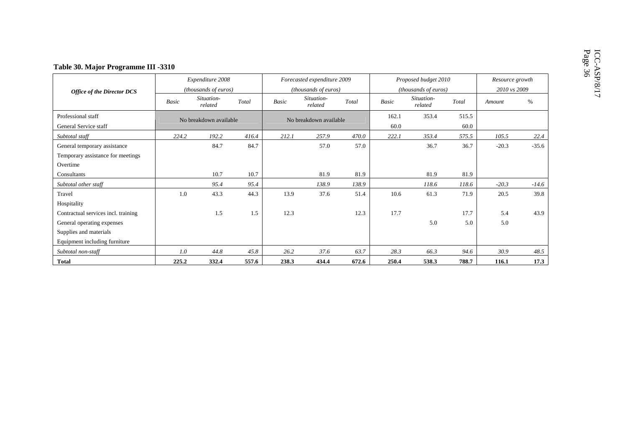|                                             |              | Expenditure 2008      |                        |              | Forecasted expenditure 2009 |       |               | Proposed budget 2010  |               | Resource growth |         |
|---------------------------------------------|--------------|-----------------------|------------------------|--------------|-----------------------------|-------|---------------|-----------------------|---------------|-----------------|---------|
| <b>Office of the Director DCS</b>           |              | (thousands of euros)  |                        |              | (thousands of euros)        |       |               | (thousands of euros)  |               | 2010 vs 2009    |         |
|                                             | <b>Basic</b> | Situation-<br>related | Total                  | <b>Basic</b> | Situation-<br>related       | Total | <b>Basic</b>  | Situation-<br>related | Total         | Amount          | $\%$    |
| Professional staff<br>General Service staff |              |                       | No breakdown available |              | No breakdown available      |       | 162.1<br>60.0 | 353.4                 | 515.5<br>60.0 |                 |         |
| Subtotal staff                              | 224.2        | 192.2                 | 416.4                  | 212.1        | 257.9                       | 470.0 | 222.1         | 353.4                 | 575.5         | 105.5           | 22.4    |
| General temporary assistance                |              | 84.7                  | 84.7                   |              | 57.0                        | 57.0  |               | 36.7                  | 36.7          | $-20.3$         | $-35.6$ |
| Temporary assistance for meetings           |              |                       |                        |              |                             |       |               |                       |               |                 |         |
| Overtime                                    |              |                       |                        |              |                             |       |               |                       |               |                 |         |
| Consultants                                 |              | 10.7                  | 10.7                   |              | 81.9                        | 81.9  |               | 81.9                  | 81.9          |                 |         |
| Subtotal other staff                        |              | 95.4                  | 95.4                   |              | 138.9                       | 138.9 |               | 118.6                 | 118.6         | $-20.3$         | $-14.6$ |
| Travel                                      | 1.0          | 43.3                  | 44.3                   | 13.9         | 37.6                        | 51.4  | 10.6          | 61.3                  | 71.9          | 20.5            | 39.8    |
| Hospitality                                 |              |                       |                        |              |                             |       |               |                       |               |                 |         |
| Contractual services incl. training         |              | 1.5                   | 1.5                    | 12.3         |                             | 12.3  | 17.7          |                       | 17.7          | 5.4             | 43.9    |
| General operating expenses                  |              |                       |                        |              |                             |       |               | 5.0                   | 5.0           | 5.0             |         |
| Supplies and materials                      |              |                       |                        |              |                             |       |               |                       |               |                 |         |
| Equipment including furniture               |              |                       |                        |              |                             |       |               |                       |               |                 |         |
| Subtotal non-staff                          | 1.0          | 44.8                  | 45.8                   | 26.2         | 37.6                        | 63.7  | 28.3          | 66.3                  | 94.6          | 30.9            | 48.5    |
| <b>Total</b>                                | 225.2        | 332.4                 | 557.6                  | 238.3        | 434.4                       | 672.6 | 250.4         | 538.3                 | 788.7         | 116.1           | 17.3    |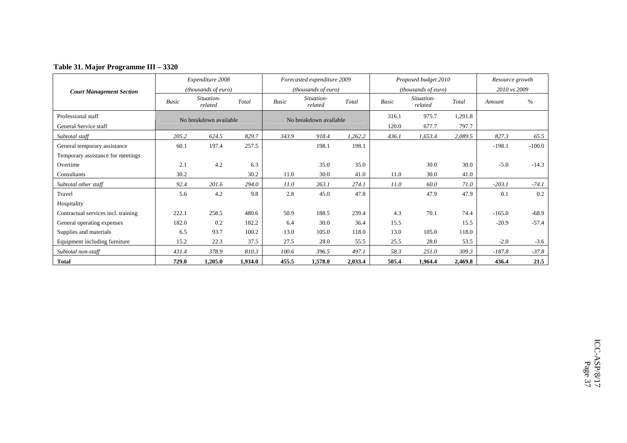### **Table 31. Major Programme III – 3320**

|                                     |              | Expenditure 2008       |         |       | Forecasted expenditure 2009 |         |       | Proposed budget 2010  |         | Resource growth |          |
|-------------------------------------|--------------|------------------------|---------|-------|-----------------------------|---------|-------|-----------------------|---------|-----------------|----------|
| <b>Court Management Section</b>     |              | (thousands of euro)    |         |       | (thousands of euro)         |         |       | (thousands of euro)   |         | 2010 vs 2009    |          |
|                                     | <b>Basic</b> | Situation-<br>related  | Total   | Basic | Situation-<br>related       | Total   | Basic | Situation-<br>related | Total   | Amount          | $\%$     |
| Professional staff                  |              | No breakdown available |         |       | No breakdown available      |         | 316.1 | 975.7                 | 1,291.8 |                 |          |
| General Service staff               |              |                        |         |       |                             |         | 120.0 | 677.7                 | 797.7   |                 |          |
| Subtotal staff                      | 205.2        | 624.5                  | 829.7   | 343.9 | 918.4                       | 1,262.2 | 436.1 | 1,653.4               | 2,089.5 | 827.3           | 65.5     |
| General temporary assistance        | 60.1         | 197.4                  | 257.5   |       | 198.1                       | 198.1   |       |                       |         | $-198.1$        | $-100.0$ |
| Temporary assistance for meetings   |              |                        |         |       |                             |         |       |                       |         |                 |          |
| Overtime                            | 2.1          | 4.2                    | 6.3     |       | 35.0                        | 35.0    |       | 30.0                  | 30.0    | $-5.0$          | $-14.3$  |
| Consultants                         | 30.2         |                        | 30.2    | 11.0  | 30.0                        | 41.0    | 11.0  | 30.0                  | 41.0    |                 |          |
| Subtotal other staff                | 92.4         | 201.6                  | 294.0   | 11.0  | 263.1                       | 274.1   | 11.0  | 60.0                  | 71.0    | $-203.1$        | $-74.1$  |
| Travel                              | 5.6          | 4.2                    | 9.8     | 2.8   | 45.0                        | 47.8    |       | 47.9                  | 47.9    | 0.1             | 0.2      |
| Hospitality                         |              |                        |         |       |                             |         |       |                       |         |                 |          |
| Contractual services incl. training | 222.1        | 258.5                  | 480.6   | 50.9  | 188.5                       | 239.4   | 4.3   | 70.1                  | 74.4    | $-165.0$        | $-68.9$  |
| General operating expenses          | 182.0        | 0.2                    | 182.2   | 6.4   | 30.0                        | 36.4    | 15.5  |                       | 15.5    | $-20.9$         | $-57.4$  |
| Supplies and materials              | 6.5          | 93.7                   | 100.2   | 13.0  | 105.0                       | 118.0   | 13.0  | 105.0                 | 118.0   |                 |          |
| Equipment including furniture       | 15.2         | 22.3                   | 37.5    | 27.5  | 28.0                        | 55.5    | 25.5  | 28.0                  | 53.5    | $-2.0$          | $-3.6$   |
| Subtotal non-staff                  | 431.4        | 378.9                  | 810.3   | 100.6 | 396.5                       | 497.1   | 58.3  | 251.0                 | 309.3   | $-187.8$        | $-37.8$  |
| <b>Total</b>                        | 729.0        | 1,205.0                | 1,934.0 | 455.5 | 1,578.0                     | 2,033.4 | 505.4 | 1,964.4               | 2,469.8 | 436.4           | 21.5     |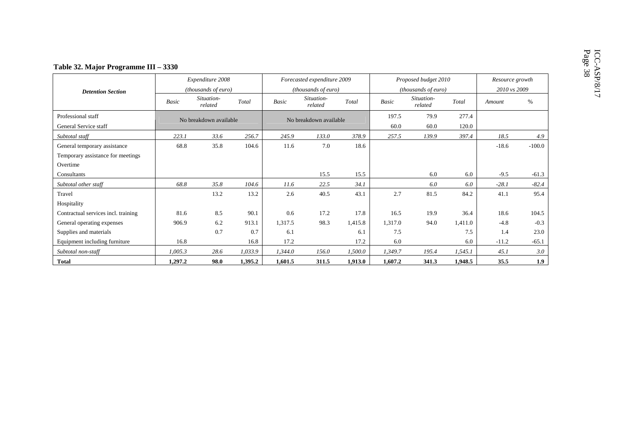|                                             |              | Expenditure 2008                                 |         |         | Forecasted expenditure 2009 |         |              | Proposed budget 2010  |                | Resource growth |          |
|---------------------------------------------|--------------|--------------------------------------------------|---------|---------|-----------------------------|---------|--------------|-----------------------|----------------|-----------------|----------|
| <b>Detention Section</b>                    |              | (thousands of euro)                              |         |         | (thousands of euro)         |         |              | (thousands of euro)   |                | 2010 vs 2009    |          |
|                                             | <b>Basic</b> | Situation-<br>related                            | Total   | Basic   | Situation-<br>related       | Total   | <b>Basic</b> | Situation-<br>related | Total          | Amount          | $\%$     |
| Professional staff<br>General Service staff |              | No breakdown available<br>256.7<br>223.1<br>33.6 |         |         | No breakdown available      |         |              | 79.9<br>60.0          | 277.4<br>120.0 |                 |          |
| Subtotal staff                              |              |                                                  |         | 245.9   | 133.0                       | 378.9   | 257.5        | 139.9                 | 397.4          | 18.5            | 4.9      |
| General temporary assistance                | 68.8         | 35.8                                             | 104.6   | 11.6    | 7.0                         | 18.6    |              |                       |                | $-18.6$         | $-100.0$ |
| Temporary assistance for meetings           |              |                                                  |         |         |                             |         |              |                       |                |                 |          |
| Overtime                                    |              |                                                  |         |         |                             |         |              |                       |                |                 |          |
| Consultants                                 |              |                                                  |         |         | 15.5                        | 15.5    |              | 6.0                   | 6.0            | $-9.5$          | $-61.3$  |
| Subtotal other staff                        | 68.8         | 35.8                                             | 104.6   | 11.6    | 22.5                        | 34.1    |              | 6.0                   | 6.0            | $-28.1$         | $-82.4$  |
| Travel                                      |              | 13.2                                             | 13.2    | 2.6     | 40.5                        | 43.1    | 2.7          | 81.5                  | 84.2           | 41.1            | 95.4     |
| Hospitality                                 |              |                                                  |         |         |                             |         |              |                       |                |                 |          |
| Contractual services incl. training         | 81.6         | 8.5                                              | 90.1    | 0.6     | 17.2                        | 17.8    | 16.5         | 19.9                  | 36.4           | 18.6            | 104.5    |
| General operating expenses                  | 906.9        | 6.2                                              | 913.1   | 1,317.5 | 98.3                        | 1,415.8 | 1,317.0      | 94.0                  | 1,411.0        | $-4.8$          | $-0.3$   |
| Supplies and materials                      |              | 0.7                                              | 0.7     | 6.1     |                             | 6.1     | 7.5          |                       | 7.5            | 1.4             | 23.0     |
| Equipment including furniture               | 16.8         |                                                  | 16.8    | 17.2    |                             | 17.2    | 6.0          |                       | 6.0            | $-11.2$         | $-65.1$  |
| Subtotal non-staff                          | 1,005.3      | 28.6                                             | 1,033.9 | 1,344.0 | 156.0                       | 1,500.0 | 1,349.7      | 195.4                 | 1,545.1        | 45.1            | 3.0      |
| <b>Total</b>                                | 1,297.2      | 98.0                                             | 1,395.2 | 1.601.5 | 311.5                       | 1,913.0 | 1,607.2      | 341.3                 | 1.948.5        | 35.5            | 1.9      |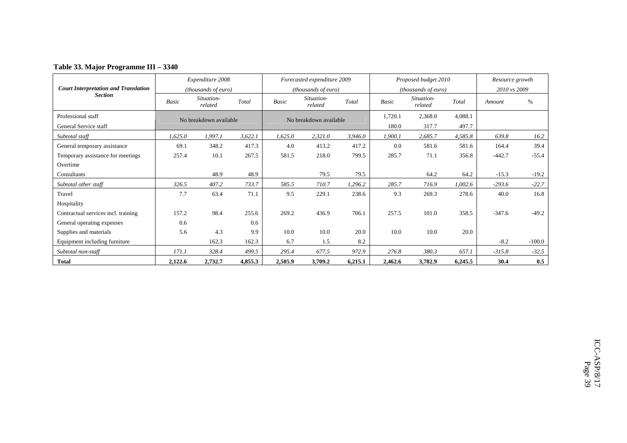|                                             |         | Expenditure 2008       |         |         | Forecasted expenditure 2009 |         |         | Proposed budget 2010  |         | Resource growth |          |
|---------------------------------------------|---------|------------------------|---------|---------|-----------------------------|---------|---------|-----------------------|---------|-----------------|----------|
| <b>Court Interpretation and Translation</b> |         | (thousands of euro)    |         |         | (thousands of euro)         |         |         | (thousands of euro)   |         | 2010 vs 2009    |          |
| <b>Section</b>                              | Basic   | Situation-<br>related  | Total   | Basic   | Situation-<br>related       | Total   | Basic   | Situation-<br>related | Total   | Amount          | $\%$     |
| Professional staff                          |         | No breakdown available |         |         | No breakdown available      |         | 1,720.1 | 2,368.0               | 4,088.1 |                 |          |
| General Service staff                       |         |                        |         |         |                             |         | 180.0   | 317.7                 | 497.7   |                 |          |
| Subtotal staff                              | 1,625.0 | 1,997.1                | 3,622.1 | 1,625.0 | 2,321.0                     | 3,946.0 | 1,900.1 | 2,685.7               | 4,585.8 | 639.8           | 16.2     |
| General temporary assistance                | 69.1    | 348.2                  | 417.3   | 4.0     | 413.2                       | 417.2   | 0.0     | 581.6                 | 581.6   | 164.4           | 39.4     |
| Temporary assistance for meetings           | 257.4   | 10.1                   | 267.5   | 581.5   | 218.0                       | 799.5   | 285.7   | 71.1                  | 356.8   | $-442.7$        | $-55.4$  |
| Overtime                                    |         |                        |         |         |                             |         |         |                       |         |                 |          |
| Consultants                                 |         | 48.9                   | 48.9    |         | 79.5                        | 79.5    |         | 64.2                  | 64.2    | $-15.3$         | $-19.2$  |
| Subtotal other staff                        | 326.5   | 407.2                  | 733.7   | 585.5   | 710.7                       | 1,296.2 | 285.7   | 716.9                 | 1,002.6 | $-293.6$        | $-22.7$  |
| Travel                                      | 7.7     | 63.4                   | 71.1    | 9.5     | 229.1                       | 238.6   | 9.3     | 269.3                 | 278.6   | 40.0            | 16.8     |
| Hospitality                                 |         |                        |         |         |                             |         |         |                       |         |                 |          |
| Contractual services incl. training         | 157.2   | 98.4                   | 255.6   | 269.2   | 436.9                       | 706.1   | 257.5   | 101.0                 | 358.5   | $-347.6$        | $-49.2$  |
| General operating expenses                  | 0.6     |                        | 0.6     |         |                             |         |         |                       |         |                 |          |
| Supplies and materials                      | 5.6     | 4.3                    | 9.9     | 10.0    | 10.0                        | 20.0    | 10.0    | 10.0                  | 20.0    |                 |          |
| Equipment including furniture               |         | 162.3                  | 162.3   | 6.7     | 1.5                         | 8.2     |         |                       |         | $-8.2$          | $-100.0$ |
| Subtotal non-staff                          | 171.1   | 328.4                  | 499.5   | 295.4   | 677.5                       | 972.9   | 276.8   | 380.3                 | 657.1   | $-315.8$        | $-32.5$  |
| <b>Total</b>                                | 2,122.6 | 2,732.7                | 4,855.3 | 2,505.9 | 3,709.2                     | 6,215.1 | 2,462.6 | 3,782.9               | 6,245.5 | 30.4            | 0.5      |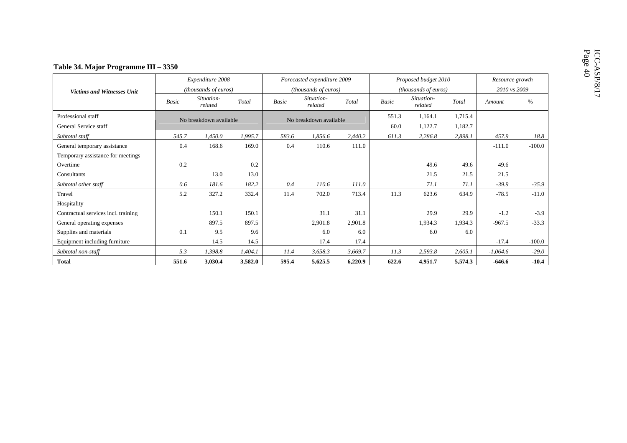|                                             |                        | Expenditure 2008      |         |              | Forecasted expenditure 2009 |         |               | Proposed budget 2010  |                    | Resource growth |          |
|---------------------------------------------|------------------------|-----------------------|---------|--------------|-----------------------------|---------|---------------|-----------------------|--------------------|-----------------|----------|
| <b>Victims and Witnesses Unit</b>           |                        | (thousands of euros)  |         |              | (thousands of euros)        |         |               | (thousands of euros)  |                    | 2010 vs 2009    |          |
|                                             | Basic                  | Situation-<br>related | Total   | <b>Basic</b> | Situation-<br>related       | Total   | Basic         | Situation-<br>related | Total              | Amount          | $\%$     |
| Professional staff<br>General Service staff | No breakdown available |                       |         |              | No breakdown available      |         | 551.3<br>60.0 | 1,164.1<br>1,122.7    | 1,715.4<br>1,182.7 |                 |          |
| Subtotal staff                              | 545.7                  | 1,450.0               | 1,995.7 | 583.6        | 1,856.6                     | 2,440.2 | 611.3         | 2,286.8               | 2,898.1            | 457.9           | 18.8     |
| General temporary assistance                | 0.4                    | 168.6                 | 169.0   | 0.4          | 110.6                       | 111.0   |               |                       |                    | $-111.0$        | $-100.0$ |
| Temporary assistance for meetings           |                        |                       |         |              |                             |         |               |                       |                    |                 |          |
| Overtime                                    | 0.2                    |                       | 0.2     |              |                             |         |               | 49.6                  | 49.6               | 49.6            |          |
| Consultants                                 |                        | 13.0                  | 13.0    |              |                             |         |               | 21.5                  | 21.5               | 21.5            |          |
| Subtotal other staff                        | 0.6                    | 181.6                 | 182.2   | 0.4          | 110.6                       | 111.0   |               | 71.1                  | 71.1               | $-39.9$         | $-35.9$  |
| Travel                                      | 5.2                    | 327.2                 | 332.4   | 11.4         | 702.0                       | 713.4   | 11.3          | 623.6                 | 634.9              | $-78.5$         | $-11.0$  |
| Hospitality                                 |                        |                       |         |              |                             |         |               |                       |                    |                 |          |
| Contractual services incl. training         |                        | 150.1                 | 150.1   |              | 31.1                        | 31.1    |               | 29.9                  | 29.9               | $-1.2$          | $-3.9$   |
| General operating expenses                  |                        | 897.5                 | 897.5   |              | 2,901.8                     | 2,901.8 |               | 1,934.3               | 1,934.3            | $-967.5$        | $-33.3$  |
| Supplies and materials                      | 0.1                    | 9.5                   | 9.6     |              | 6.0                         | 6.0     |               | 6.0                   | 6.0                |                 |          |
| Equipment including furniture               |                        | 14.5                  | 14.5    |              | 17.4                        | 17.4    |               |                       |                    | $-17.4$         | $-100.0$ |
| Subtotal non-staff                          | 5.3                    | 1,398.8               | 1,404.1 | 11.4         | 3,658.3                     | 3,669.7 | 11.3          | 2,593.8               | 2,605.1            | $-1,064.6$      | $-29.0$  |
| <b>Total</b>                                | 551.6                  | 3,030.4               | 3,582.0 | 595.4        | 5,625.5                     | 6,220.9 | 622.6         | 4,951.7               | 5,574.3            | $-646.6$        | $-10.4$  |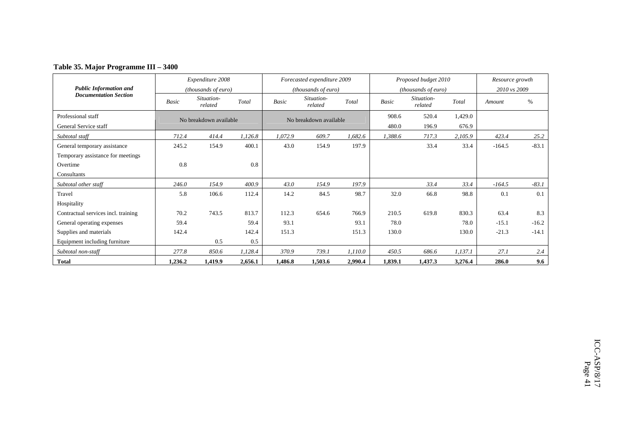### **Table 35. Major Programme III – 3400**

|                                     |         | Expenditure 2008       |         |         | Forecasted expenditure 2009 |         |         | Proposed budget 2010       |         | Resource growth |         |
|-------------------------------------|---------|------------------------|---------|---------|-----------------------------|---------|---------|----------------------------|---------|-----------------|---------|
| <b>Public Information and</b>       |         | (thousands of euro)    |         |         | (thousands of euro)         |         |         | <i>(thousands of euro)</i> |         | 2010 vs 2009    |         |
| <b>Documentation Section</b>        | Basic   | Situation-<br>related  | Total   | Basic   | Situation-<br>related       | Total   | Basic   | Situation-<br>related      | Total   | Amount          | $\%$    |
| Professional staff                  |         | No breakdown available |         |         | No breakdown available      |         | 908.6   | 520.4                      | 1,429.0 |                 |         |
| General Service staff               |         |                        |         |         |                             |         | 480.0   | 196.9                      | 676.9   |                 |         |
| Subtotal staff                      | 712.4   | 414.4                  | 1,126.8 | 1,072.9 | 609.7                       | 1,682.6 | 1,388.6 | 717.3                      | 2,105.9 | 423.4           | 25.2    |
| General temporary assistance        | 245.2   | 154.9                  | 400.1   | 43.0    | 154.9                       | 197.9   |         | 33.4                       | 33.4    | $-164.5$        | $-83.1$ |
| Temporary assistance for meetings   |         |                        |         |         |                             |         |         |                            |         |                 |         |
| Overtime                            | 0.8     |                        | 0.8     |         |                             |         |         |                            |         |                 |         |
| Consultants                         |         |                        |         |         |                             |         |         |                            |         |                 |         |
| Subtotal other staff                | 246.0   | 154.9                  | 400.9   | 43.0    | 154.9                       | 197.9   |         | 33.4                       | 33.4    | $-164.5$        | $-83.1$ |
| Travel                              | 5.8     | 106.6                  | 112.4   | 14.2    | 84.5                        | 98.7    | 32.0    | 66.8                       | 98.8    | 0.1             | 0.1     |
| Hospitality                         |         |                        |         |         |                             |         |         |                            |         |                 |         |
| Contractual services incl. training | 70.2    | 743.5                  | 813.7   | 112.3   | 654.6                       | 766.9   | 210.5   | 619.8                      | 830.3   | 63.4            | 8.3     |
| General operating expenses          | 59.4    |                        | 59.4    | 93.1    |                             | 93.1    | 78.0    |                            | 78.0    | $-15.1$         | $-16.2$ |
| Supplies and materials              | 142.4   |                        | 142.4   | 151.3   |                             | 151.3   | 130.0   |                            | 130.0   | $-21.3$         | $-14.1$ |
| Equipment including furniture       |         | 0.5                    | 0.5     |         |                             |         |         |                            |         |                 |         |
| Subtotal non-staff                  | 277.8   | 850.6                  | 1,128.4 | 370.9   | 739.1                       | 1,110.0 | 450.5   | 686.6                      | 1,137.1 | 27.1            | 2.4     |
| <b>Total</b>                        | 1,236.2 | 1,419.9                | 2,656.1 | 1,486.8 | 1,503.6                     | 2,990.4 | 1,839.1 | 1,437.3                    | 3,276.4 | 286.0           | 9.6     |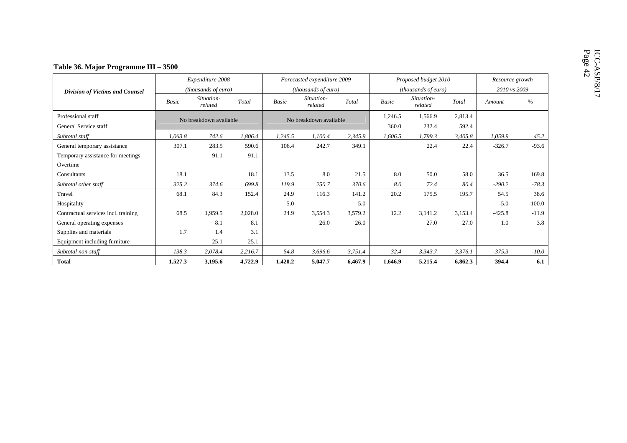|                                             |              | Expenditure 2008       |         |              | Forecasted expenditure 2009 |                                                          |              | Proposed budget 2010  |         |          | Resource growth |  |  |
|---------------------------------------------|--------------|------------------------|---------|--------------|-----------------------------|----------------------------------------------------------|--------------|-----------------------|---------|----------|-----------------|--|--|
| <b>Division of Victims and Counsel</b>      |              | (thousands of euro)    |         |              | (thousands of euro)         |                                                          |              | (thousands of euro)   |         |          | 2010 vs 2009    |  |  |
|                                             | <b>Basic</b> | Situation-<br>related  | Total   | <b>Basic</b> | Situation-<br>related       | Total                                                    | <b>Basic</b> | Situation-<br>related | Total   | Amount   | $\%$            |  |  |
| Professional staff<br>General Service staff |              | No breakdown available |         |              | No breakdown available      | 2,813.4<br>1,246.5<br>1,566.9<br>360.0<br>232.4<br>592.4 |              |                       |         |          |                 |  |  |
| Subtotal staff                              | 1,063.8      | 742.6                  | 1,806.4 | 1,245.5      | 1,100.4                     | 2,345.9                                                  | 1,606.5      | 1,799.3               | 3,405.8 | 1,059.9  | 45.2            |  |  |
| General temporary assistance                | 307.1        | 283.5                  | 590.6   | 106.4        | 242.7                       | 349.1                                                    |              | 22.4                  | 22.4    | $-326.7$ | $-93.6$         |  |  |
| Temporary assistance for meetings           |              | 91.1                   | 91.1    |              |                             |                                                          |              |                       |         |          |                 |  |  |
| Overtime                                    |              |                        |         |              |                             |                                                          |              |                       |         |          |                 |  |  |
| Consultants                                 | 18.1         |                        | 18.1    | 13.5         | 8.0                         | 21.5                                                     | 8.0          | 50.0                  | 58.0    | 36.5     | 169.8           |  |  |
| Subtotal other staff                        | 325.2        | 374.6                  | 699.8   | 119.9        | 250.7                       | 370.6                                                    | 8.0          | 72.4                  | 80.4    | $-290.2$ | $-78.3$         |  |  |
| Travel                                      | 68.1         | 84.3                   | 152.4   | 24.9         | 116.3                       | 141.2                                                    | 20.2         | 175.5                 | 195.7   | 54.5     | 38.6            |  |  |
| Hospitality                                 |              |                        |         | 5.0          |                             | 5.0                                                      |              |                       |         | $-5.0$   | $-100.0$        |  |  |
| Contractual services incl. training         | 68.5         | 1,959.5                | 2,028.0 | 24.9         | 3,554.3                     | 3,579.2                                                  | 12.2         | 3,141.2               | 3,153.4 | $-425.8$ | $-11.9$         |  |  |
| General operating expenses                  |              | 8.1                    | 8.1     |              | 26.0                        | 26.0                                                     |              | 27.0                  | 27.0    | 1.0      | 3.8             |  |  |
| Supplies and materials                      | 1.7          | 1.4                    | 3.1     |              |                             |                                                          |              |                       |         |          |                 |  |  |
| Equipment including furniture               |              | 25.1                   | 25.1    |              |                             |                                                          |              |                       |         |          |                 |  |  |
| Subtotal non-staff                          | 138.3        | 2,078.4                | 2,216.7 | 54.8         | 3,696.6                     | 3,751.4                                                  | 32.4         | 3,343.7               | 3,376.1 | $-375.3$ | $-10.0$         |  |  |
| <b>Total</b>                                | 1,527.3      | 3,195.6                | 4,722.9 | 1,420.2      | 5,047.7                     | 6,467.9                                                  | 1,646.9      | 5,215.4               | 6,862.3 | 394.4    | 6.1             |  |  |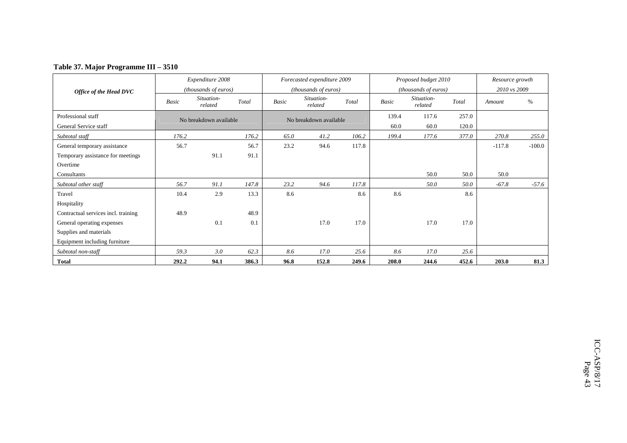|  | Table 37. Major Programme III - 3510 |  |
|--|--------------------------------------|--|
|  |                                      |  |

|                                     |       | Expenditure 2008       |       |       | Forecasted expenditure 2009 |       |       | Proposed budget 2010  |       | Resource growth |          |
|-------------------------------------|-------|------------------------|-------|-------|-----------------------------|-------|-------|-----------------------|-------|-----------------|----------|
| Office of the Head DVC              |       | (thousands of euros)   |       |       | (thousands of euros)        |       |       | (thousands of euros)  |       | 2010 vs 2009    |          |
|                                     | Basic | Situation-<br>related  | Total | Basic | Situation-<br>related       | Total | Basic | Situation-<br>related | Total | Amount          | $\%$     |
| Professional staff                  |       | No breakdown available |       |       | No breakdown available      |       | 139.4 | 117.6                 | 257.0 |                 |          |
| General Service staff               |       |                        |       |       |                             |       | 60.0  | 60.0                  | 120.0 |                 |          |
| Subtotal staff                      | 176.2 |                        | 176.2 | 65.0  | 41.2                        | 106.2 | 199.4 | 177.6                 | 377.0 | 270.8           | 255.0    |
| General temporary assistance        | 56.7  |                        | 56.7  | 23.2  | 94.6                        | 117.8 |       |                       |       | $-117.8$        | $-100.0$ |
| Temporary assistance for meetings   |       | 91.1                   | 91.1  |       |                             |       |       |                       |       |                 |          |
| Overtime                            |       |                        |       |       |                             |       |       |                       |       |                 |          |
| Consultants                         |       |                        |       |       |                             |       |       | 50.0                  | 50.0  | 50.0            |          |
| Subtotal other staff                | 56.7  | 91.1                   | 147.8 | 23.2  | 94.6                        | 117.8 |       | 50.0                  | 50.0  | $-67.8$         | $-57.6$  |
| Travel                              | 10.4  | 2.9                    | 13.3  | 8.6   |                             | 8.6   | 8.6   |                       | 8.6   |                 |          |
| Hospitality                         |       |                        |       |       |                             |       |       |                       |       |                 |          |
| Contractual services incl. training | 48.9  |                        | 48.9  |       |                             |       |       |                       |       |                 |          |
| General operating expenses          |       | 0.1                    | 0.1   |       | 17.0                        | 17.0  |       | 17.0                  | 17.0  |                 |          |
| Supplies and materials              |       |                        |       |       |                             |       |       |                       |       |                 |          |
| Equipment including furniture       |       |                        |       |       |                             |       |       |                       |       |                 |          |
| Subtotal non-staff                  | 59.3  | 3.0                    | 62.3  | 8.6   | 17.0                        | 25.6  | 8.6   | 17.0                  | 25.6  |                 |          |
| <b>Total</b>                        | 292.2 | 94.1                   | 386.3 | 96.8  | 152.8                       | 249.6 | 208.0 | 244.6                 | 452.6 | 203.0           | 81.3     |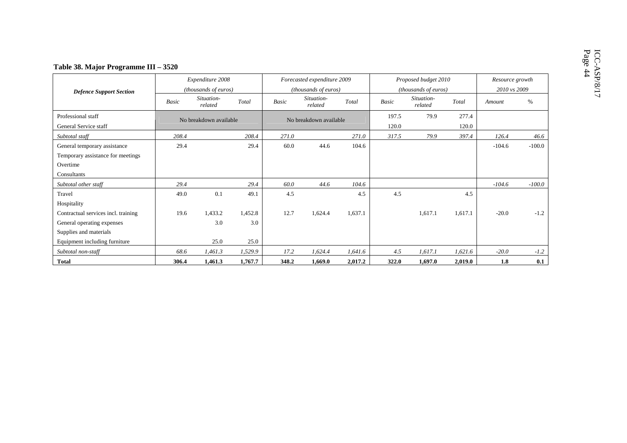|                                                                                              |              | Expenditure 2008       |                |                                                                    | Forecasted expenditure 2009 |         |              | Proposed budget 2010  | Resource growth |              |          |
|----------------------------------------------------------------------------------------------|--------------|------------------------|----------------|--------------------------------------------------------------------|-----------------------------|---------|--------------|-----------------------|-----------------|--------------|----------|
| <b>Defence Support Section</b>                                                               |              | (thousands of euros)   |                |                                                                    | (thousands of euros)        |         |              | (thousands of euros)  |                 | 2010 vs 2009 |          |
|                                                                                              | <b>Basic</b> | Situation-<br>related  | Total          | Basic                                                              | Situation-<br>related       | Total   | <b>Basic</b> | Situation-<br>related | Total           | Amount       | $\%$     |
| Professional staff<br>General Service staff                                                  |              | No breakdown available |                | 277.4<br>197.5<br>79.9<br>No breakdown available<br>120.0<br>120.0 |                             |         |              |                       |                 |              |          |
| Subtotal staff                                                                               | 208.4        |                        | 208.4          | 271.0                                                              |                             | 271.0   | 317.5        | 79.9                  | 397.4           | 126.4        | 46.6     |
| General temporary assistance<br>Temporary assistance for meetings<br>Overtime<br>Consultants | 29.4         |                        | 29.4           | 60.0                                                               | 44.6                        | 104.6   |              |                       |                 | $-104.6$     | $-100.0$ |
| Subtotal other staff                                                                         | 29.4         |                        | 29.4           | 60.0                                                               | 44.6                        | 104.6   |              |                       |                 | $-104.6$     | $-100.0$ |
| Travel<br>Hospitality                                                                        | 49.0         | 0.1                    | 49.1           | 4.5                                                                |                             | 4.5     | 4.5          |                       | 4.5             |              |          |
| Contractual services incl. training<br>General operating expenses                            | 19.6         | 1,433.2<br>3.0         | 1,452.8<br>3.0 | 12.7                                                               | 1,624.4                     | 1,637.1 |              | 1.617.1               | 1,617.1         | $-20.0$      | $-1.2$   |
| Supplies and materials<br>Equipment including furniture                                      |              | 25.0                   | 25.0           |                                                                    |                             |         |              |                       |                 |              |          |
| Subtotal non-staff                                                                           | 68.6         | 1,461.3                | 1,529.9        | 17.2                                                               | 1,624.4                     | 1,641.6 | 4.5          | 1,617.1               | 1,621.6         | $-20.0$      | $-1.2$   |
| <b>Total</b>                                                                                 | 306.4        | 1,461.3                | 1,767.7        | 348.2                                                              | 1,669.0                     | 2,017.2 | 322.0        | 1,697.0               | 2,019.0         | 1.8          | 0.1      |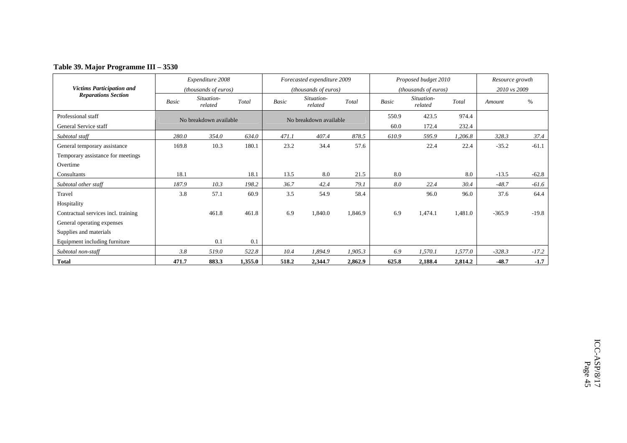### **Table 39. Major Programme III – 3530**

|                                     |       | Expenditure 2008       |         |              | Forecasted expenditure 2009 |         |       | Proposed budget 2010  |         | Resource growth |         |
|-------------------------------------|-------|------------------------|---------|--------------|-----------------------------|---------|-------|-----------------------|---------|-----------------|---------|
| <b>Victims Participation and</b>    |       | (thousands of euros)   |         |              | (thousands of euros)        |         |       | (thousands of euros)  |         | 2010 vs 2009    |         |
| <b>Reparations Section</b>          | Basic | Situation-<br>related  | Total   | <b>Basic</b> | Situation-<br>related       | Total   | Basic | Situation-<br>related | Total   | Amount          | $\%$    |
| Professional staff                  |       | No breakdown available |         |              | No breakdown available      |         | 550.9 | 423.5                 | 974.4   |                 |         |
| General Service staff               |       |                        |         |              |                             |         | 60.0  | 172.4                 | 232.4   |                 |         |
| Subtotal staff                      | 280.0 | 354.0                  | 634.0   | 471.1        | 407.4                       | 878.5   | 610.9 | 595.9                 | 1,206.8 | 328.3           | 37.4    |
| General temporary assistance        | 169.8 | 10.3                   | 180.1   | 23.2         | 34.4                        | 57.6    |       | 22.4                  | 22.4    | $-35.2$         | $-61.1$ |
| Temporary assistance for meetings   |       |                        |         |              |                             |         |       |                       |         |                 |         |
| Overtime                            |       |                        |         |              |                             |         |       |                       |         |                 |         |
| Consultants                         | 18.1  |                        | 18.1    | 13.5         | 8.0                         | 21.5    | 8.0   |                       | 8.0     | $-13.5$         | $-62.8$ |
| Subtotal other staff                | 187.9 | 10.3                   | 198.2   | 36.7         | 42.4                        | 79.1    | 8.0   | 22.4                  | 30.4    | $-48.7$         | $-61.6$ |
| Travel                              | 3.8   | 57.1                   | 60.9    | 3.5          | 54.9                        | 58.4    |       | 96.0                  | 96.0    | 37.6            | 64.4    |
| Hospitality                         |       |                        |         |              |                             |         |       |                       |         |                 |         |
| Contractual services incl. training |       | 461.8                  | 461.8   | 6.9          | 1,840.0                     | 1,846.9 | 6.9   | 1,474.1               | 1,481.0 | $-365.9$        | $-19.8$ |
| General operating expenses          |       |                        |         |              |                             |         |       |                       |         |                 |         |
| Supplies and materials              |       |                        |         |              |                             |         |       |                       |         |                 |         |
| Equipment including furniture       |       | 0.1                    | 0.1     |              |                             |         |       |                       |         |                 |         |
| Subtotal non-staff                  | 3.8   | 519.0                  | 522.8   | 10.4         | 1,894.9                     | 1,905.3 | 6.9   | 1,570.1               | 1,577.0 | $-328.3$        | $-17.2$ |
| <b>Total</b>                        | 471.7 | 883.3                  | 1,355.0 | 518.2        | 2,344.7                     | 2,862.9 | 625.8 | 2,188.4               | 2,814.2 | $-48.7$         | $-1.7$  |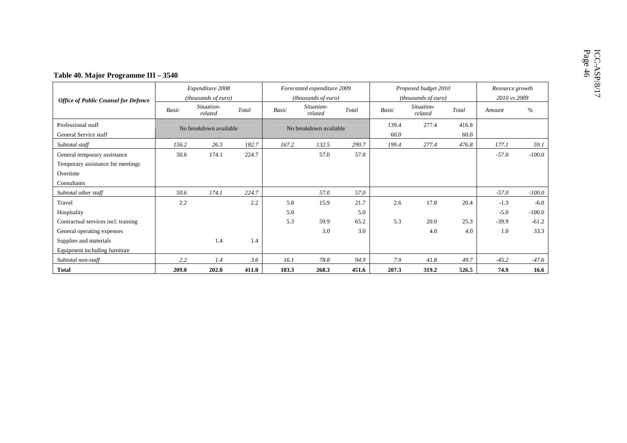### 46**Table 40. Major Programme III – 3540**

|                                             |       | Expenditure 2008       |       |       | Forecasted expenditure 2009 |       |       | Proposed budget 2010  |       | Resource growth |          |
|---------------------------------------------|-------|------------------------|-------|-------|-----------------------------|-------|-------|-----------------------|-------|-----------------|----------|
| <b>Office of Public Counsel for Defence</b> |       | (thousands of euro)    |       |       | (thousands of euro)         |       |       | (thousands of euro)   |       | 2010 vs 2009    |          |
|                                             | Basic | Situation-<br>related  | Total | Basic | Situation-<br>related       | Total | Basic | Situation-<br>related | Total | Amount          | $\%$     |
| Professional staff                          |       | No breakdown available |       |       | No breakdown available      |       | 139.4 | 277.4                 | 416.8 |                 |          |
| General Service staff                       |       |                        |       |       |                             |       | 60.0  |                       | 60.0  |                 |          |
| Subtotal staff                              | 156.2 | 26.5                   | 182.7 | 167.2 | 132.5                       | 299.7 | 199.4 | 277.4                 | 476.8 | 177.1           | 59.1     |
| General temporary assistance                | 50.6  | 174.1                  | 224.7 |       | 57.0                        | 57.0  |       |                       |       | $-57.0$         | $-100.0$ |
| Temporary assistance for meetings           |       |                        |       |       |                             |       |       |                       |       |                 |          |
| Overtime                                    |       |                        |       |       |                             |       |       |                       |       |                 |          |
| Consultants                                 |       |                        |       |       |                             |       |       |                       |       |                 |          |
| Subtotal other staff                        | 50.6  | 174.1                  | 224.7 |       | 57.0                        | 57.0  |       |                       |       | $-57.0$         | $-100.0$ |
| Travel                                      | 2.2   |                        | 2.2   | 5.8   | 15.9                        | 21.7  | 2.6   | 17.8                  | 20.4  | $-1.3$          | $-6.0$   |
| Hospitality                                 |       |                        |       | 5.0   |                             | 5.0   |       |                       |       | $-5.0$          | $-100.0$ |
| Contractual services incl. training         |       |                        |       | 5.3   | 59.9                        | 65.2  | 5.3   | 20.0                  | 25.3  | $-39.9$         | $-61.2$  |
| General operating expenses                  |       |                        |       |       | 3.0                         | 3.0   |       | 4.0                   | 4.0   | 1.0             | 33.3     |
| Supplies and materials                      |       | 1.4                    | 1.4   |       |                             |       |       |                       |       |                 |          |
| Equipment including furniture               |       |                        |       |       |                             |       |       |                       |       |                 |          |
| Subtotal non-staff                          | 2.2   | 1.4                    | 3.6   | 16.1  | 78.8                        | 94.9  | 7.9   | 41.8                  | 49.7  | $-45.2$         | $-47.6$  |
| <b>Total</b>                                | 209.0 | 202.0                  | 411.0 | 183.3 | 268.3                       | 451.6 | 207.3 | 319.2                 | 526.5 | 74.9            | 16.6     |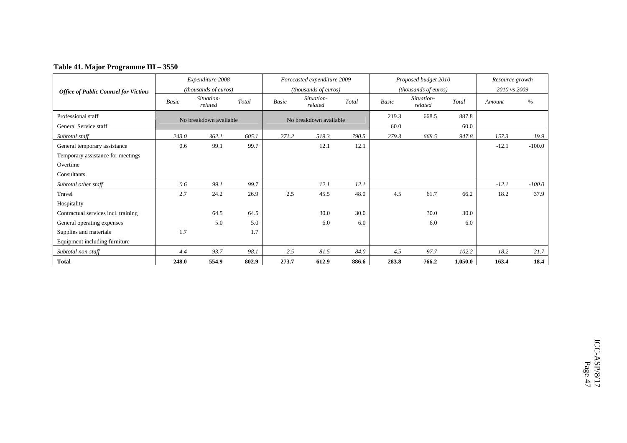| Table 41. Major Programme III - 3550 |  |
|--------------------------------------|--|
|--------------------------------------|--|

|                                             |       | Expenditure 2008       |       |              | Forecasted expenditure 2009 |       |       | Proposed budget 2010  |         | Resource growth |          |
|---------------------------------------------|-------|------------------------|-------|--------------|-----------------------------|-------|-------|-----------------------|---------|-----------------|----------|
| <b>Office of Public Counsel for Victims</b> |       | (thousands of euros)   |       |              | (thousands of euros)        |       |       | (thousands of euros)  |         | 2010 vs 2009    |          |
|                                             | Basic | Situation-<br>related  | Total | <b>Basic</b> | Situation-<br>related       | Total | Basic | Situation-<br>related | Total   | Amount          | $\%$     |
| Professional staff                          |       | No breakdown available |       |              | No breakdown available      |       | 219.3 | 668.5                 | 887.8   |                 |          |
| General Service staff                       |       |                        |       |              |                             |       | 60.0  |                       | 60.0    |                 |          |
| Subtotal staff                              | 243.0 | 362.1                  | 605.1 | 271.2        | 519.3                       | 790.5 | 279.3 | 668.5                 | 947.8   | 157.3           | 19.9     |
| General temporary assistance                | 0.6   | 99.1                   | 99.7  |              | 12.1                        | 12.1  |       |                       |         | $-12.1$         | $-100.0$ |
| Temporary assistance for meetings           |       |                        |       |              |                             |       |       |                       |         |                 |          |
| Overtime                                    |       |                        |       |              |                             |       |       |                       |         |                 |          |
| Consultants                                 |       |                        |       |              |                             |       |       |                       |         |                 |          |
| Subtotal other staff                        | 0.6   | 99.1                   | 99.7  |              | 12.1                        | 12.1  |       |                       |         | $-12.1$         | $-100.0$ |
| Travel                                      | 2.7   | 24.2                   | 26.9  | 2.5          | 45.5                        | 48.0  | 4.5   | 61.7                  | 66.2    | 18.2            | 37.9     |
| Hospitality                                 |       |                        |       |              |                             |       |       |                       |         |                 |          |
| Contractual services incl. training         |       | 64.5                   | 64.5  |              | 30.0                        | 30.0  |       | 30.0                  | 30.0    |                 |          |
| General operating expenses                  |       | 5.0                    | 5.0   |              | 6.0                         | 6.0   |       | 6.0                   | 6.0     |                 |          |
| Supplies and materials                      | 1.7   |                        | 1.7   |              |                             |       |       |                       |         |                 |          |
| Equipment including furniture               |       |                        |       |              |                             |       |       |                       |         |                 |          |
| Subtotal non-staff                          | 4.4   | 93.7                   | 98.1  | 2.5          | 81.5                        | 84.0  | 4.5   | 97.7                  | 102.2   | 18.2            | 21.7     |
| <b>Total</b>                                | 248.0 | 554.9                  | 802.9 | 273.7        | 612.9                       | 886.6 | 283.8 | 766.2                 | 1,050.0 | 163.4           | 18.4     |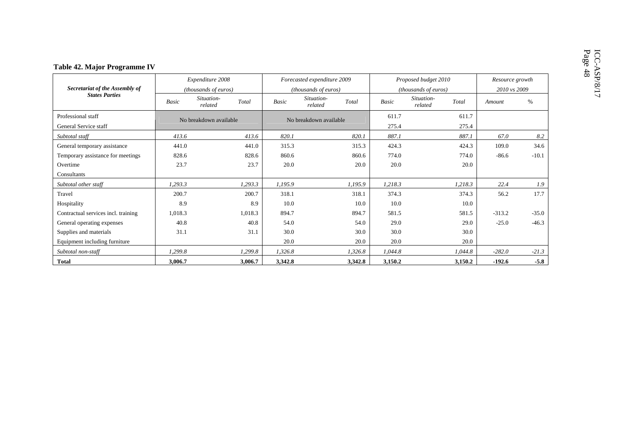|                                             |              | Expenditure 2008       |         |              | Forecasted expenditure 2009                                |         | Proposed budget 2010 |                       |         | Resource growth |         |  |
|---------------------------------------------|--------------|------------------------|---------|--------------|------------------------------------------------------------|---------|----------------------|-----------------------|---------|-----------------|---------|--|
| Secretariat of the Assembly of              |              | (thousands of euros)   |         |              | (thousands of euros)                                       |         | (thousands of euros) |                       |         | 2010 vs 2009    |         |  |
| <b>States Parties</b>                       | <b>Basic</b> | Situation-<br>related  | Total   | <b>Basic</b> | Situation-<br>related                                      | Total   | <b>Basic</b>         | Situation-<br>related | Total   | Amount          | $\%$    |  |
| Professional staff<br>General Service staff |              | No breakdown available |         |              | 611.7<br>611.7<br>No breakdown available<br>275.4<br>275.4 |         |                      |                       |         |                 |         |  |
| Subtotal staff                              | 413.6        |                        | 413.6   | 820.1        |                                                            | 820.1   | 887.1                |                       | 887.1   | 67.0            | 8.2     |  |
| General temporary assistance                | 441.0        |                        | 441.0   | 315.3        |                                                            | 315.3   | 424.3                |                       | 424.3   | 109.0           | 34.6    |  |
| Temporary assistance for meetings           | 828.6        |                        | 828.6   | 860.6        |                                                            | 860.6   | 774.0                |                       | 774.0   | $-86.6$         | $-10.1$ |  |
| Overtime                                    | 23.7         |                        | 23.7    | 20.0         |                                                            | 20.0    | 20.0                 |                       | 20.0    |                 |         |  |
| Consultants                                 |              |                        |         |              |                                                            |         |                      |                       |         |                 |         |  |
| Subtotal other staff                        | 1,293.3      |                        | 1,293.3 | 1,195.9      |                                                            | 1,195.9 | 1,218.3              |                       | 1,218.3 | 22.4            | 1.9     |  |
| Travel                                      | 200.7        |                        | 200.7   | 318.1        |                                                            | 318.1   | 374.3                |                       | 374.3   | 56.2            | 17.7    |  |
| Hospitality                                 | 8.9          |                        | 8.9     | 10.0         |                                                            | 10.0    | 10.0                 |                       | 10.0    |                 |         |  |
| Contractual services incl. training         | 1,018.3      |                        | 1,018.3 | 894.7        |                                                            | 894.7   | 581.5                |                       | 581.5   | $-313.2$        | $-35.0$ |  |
| General operating expenses                  | 40.8         |                        | 40.8    | 54.0         |                                                            | 54.0    | 29.0                 |                       | 29.0    | $-25.0$         | $-46.3$ |  |
| Supplies and materials                      | 31.1         |                        | 31.1    | 30.0         |                                                            | 30.0    | 30.0                 |                       | 30.0    |                 |         |  |
| Equipment including furniture               |              |                        |         | 20.0         |                                                            | 20.0    | 20.0                 |                       | 20.0    |                 |         |  |
| Subtotal non-staff                          | 1,299.8      |                        | 1,299.8 | 1,326.8      |                                                            | 1,326.8 | 1,044.8              |                       | 1,044.8 | $-282.0$        | $-21.3$ |  |
| <b>Total</b>                                | 3,006.7      |                        | 3,006.7 | 3,342.8      |                                                            | 3,342.8 | 3,150.2              |                       | 3,150.2 | $-192.6$        | $-5.8$  |  |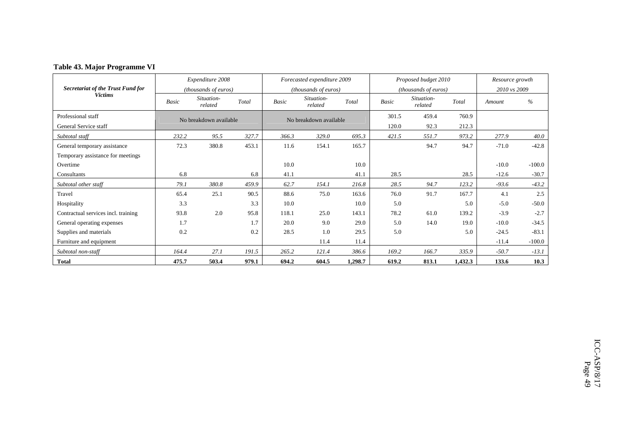|                                     |              | Expenditure 2008       |       |       | Forecasted expenditure 2009 |         |       | Proposed budget 2010  |         | Resource growth |          |
|-------------------------------------|--------------|------------------------|-------|-------|-----------------------------|---------|-------|-----------------------|---------|-----------------|----------|
| Secretariat of the Trust Fund for   |              | (thousands of euros)   |       |       | <i>(thousands of euros)</i> |         |       | (thousands of euros)  |         | 2010 vs 2009    |          |
| <b>Victims</b>                      | <b>Basic</b> | Situation-<br>related  | Total | Basic | Situation-<br>related       | Total   | Basic | Situation-<br>related | Total   | Amount          | $\%$     |
| Professional staff                  |              | No breakdown available |       |       | No breakdown available      |         | 301.5 | 459.4                 | 760.9   |                 |          |
| General Service staff               |              |                        |       |       |                             |         | 120.0 | 92.3                  | 212.3   |                 |          |
| Subtotal staff                      | 232.2        | 95.5                   | 327.7 | 366.3 | 329.0                       | 695.3   | 421.5 | 551.7                 | 973.2   | 277.9           | 40.0     |
| General temporary assistance        | 72.3         | 380.8                  | 453.1 | 11.6  | 154.1                       | 165.7   |       | 94.7                  | 94.7    | $-71.0$         | $-42.8$  |
| Temporary assistance for meetings   |              |                        |       |       |                             |         |       |                       |         |                 |          |
| Overtime                            |              |                        |       | 10.0  |                             | 10.0    |       |                       |         | $-10.0$         | $-100.0$ |
| Consultants                         | 6.8          |                        | 6.8   | 41.1  |                             | 41.1    | 28.5  |                       | 28.5    | $-12.6$         | $-30.7$  |
| Subtotal other staff                | 79.1         | 380.8                  | 459.9 | 62.7  | 154.1                       | 216.8   | 28.5  | 94.7                  | 123.2   | $-93.6$         | $-43.2$  |
| Travel                              | 65.4         | 25.1                   | 90.5  | 88.6  | 75.0                        | 163.6   | 76.0  | 91.7                  | 167.7   | 4.1             | 2.5      |
| Hospitality                         | 3.3          |                        | 3.3   | 10.0  |                             | 10.0    | 5.0   |                       | 5.0     | $-5.0$          | $-50.0$  |
| Contractual services incl. training | 93.8         | 2.0                    | 95.8  | 118.1 | 25.0                        | 143.1   | 78.2  | 61.0                  | 139.2   | $-3.9$          | $-2.7$   |
| General operating expenses          | 1.7          |                        | 1.7   | 20.0  | 9.0                         | 29.0    | 5.0   | 14.0                  | 19.0    | $-10.0$         | $-34.5$  |
| Supplies and materials              | 0.2          |                        | 0.2   | 28.5  | 1.0                         | 29.5    | 5.0   |                       | 5.0     | $-24.5$         | $-83.1$  |
| Furniture and equipment             |              |                        |       |       | 11.4                        | 11.4    |       |                       |         | $-11.4$         | $-100.0$ |
| Subtotal non-staff                  | 164.4        | 27.1                   | 191.5 | 265.2 | 121.4                       | 386.6   | 169.2 | 166.7                 | 335.9   | $-50.7$         | $-13.1$  |
| <b>Total</b>                        | 475.7        | 503.4                  | 979.1 | 694.2 | 604.5                       | 1,298.7 | 619.2 | 813.1                 | 1,432.3 | 133.6           | 10.3     |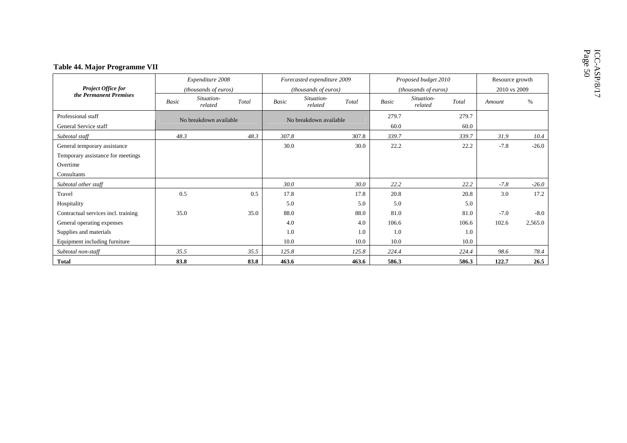|                                             |              | Expenditure 2008       |       |       | Forecasted expenditure 2009 |       |               | Proposed budget 2010  |       | Resource growth |         |
|---------------------------------------------|--------------|------------------------|-------|-------|-----------------------------|-------|---------------|-----------------------|-------|-----------------|---------|
| Project Office for                          |              | (thousands of euros)   |       |       | (thousands of euros)        |       |               | (thousands of euros)  |       | 2010 vs 2009    |         |
| the Permanent Premises                      | <b>Basic</b> | Situation-<br>related  | Total | Basic | Situation-<br>related       | Total | Basic         | Situation-<br>related | Total | Amount          | $\%$    |
| Professional staff<br>General Service staff |              | No breakdown available |       |       | No breakdown available      |       | 279.7<br>60.0 | 279.7<br>60.0         |       |                 |         |
| Subtotal staff                              | 48.3         |                        | 48.3  | 307.8 |                             | 307.8 | 339.7         |                       | 339.7 | 31.9            | 10.4    |
| General temporary assistance                |              |                        |       | 30.0  |                             | 30.0  | 22.2          |                       | 22.2  | $-7.8$          | $-26.0$ |
| Temporary assistance for meetings           |              |                        |       |       |                             |       |               |                       |       |                 |         |
| Overtime                                    |              |                        |       |       |                             |       |               |                       |       |                 |         |
| Consultants                                 |              |                        |       |       |                             |       |               |                       |       |                 |         |
| Subtotal other staff                        |              |                        |       | 30.0  |                             | 30.0  | 22.2          |                       | 22.2  | $-7.8$          | $-26.0$ |
| Travel                                      | 0.5          |                        | 0.5   | 17.8  |                             | 17.8  | 20.8          |                       | 20.8  | 3.0             | 17.2    |
| Hospitality                                 |              |                        |       | 5.0   |                             | 5.0   | 5.0           |                       | 5.0   |                 |         |
| Contractual services incl. training         | 35.0         |                        | 35.0  | 88.0  |                             | 88.0  | 81.0          |                       | 81.0  | $-7.0$          | $-8.0$  |
| General operating expenses                  |              |                        |       | 4.0   |                             | 4.0   | 106.6         |                       | 106.6 | 102.6           | 2,565.0 |
| Supplies and materials                      |              |                        |       | 1.0   |                             | 1.0   | 1.0           |                       | 1.0   |                 |         |
| Equipment including furniture               |              |                        |       | 10.0  |                             | 10.0  | 10.0          |                       | 10.0  |                 |         |
| Subtotal non-staff                          | 35.5         |                        | 35.5  | 125.8 |                             | 125.8 | 224.4         |                       | 224.4 | 98.6            | 78.4    |
| <b>Total</b>                                | 83.8         |                        | 83.8  | 463.6 |                             | 463.6 | 586.3         |                       | 586.3 | 122.7           | 26.5    |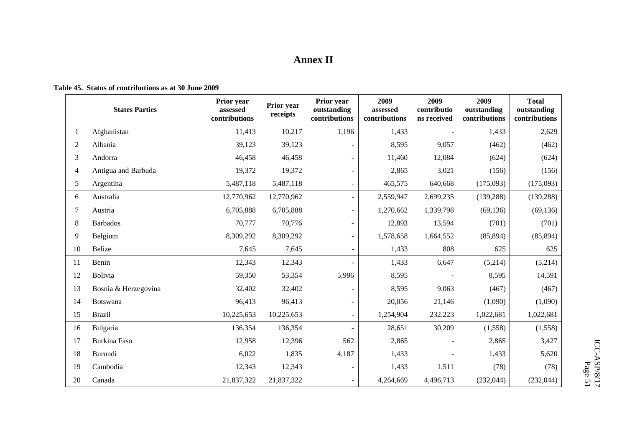## **Annex II**

### **Table 45. Status of contributions as at 30 June 2009**

|                | <b>States Parties</b> | Prior year<br>assessed<br>contributions | Prior year<br>receipts | Prior year<br>outstanding<br>contributions | 2009<br>assessed<br>contributions | 2009<br>contributio<br>ns received | 2009<br>outstanding<br>contributions | <b>Total</b><br>outstanding<br>contributions |
|----------------|-----------------------|-----------------------------------------|------------------------|--------------------------------------------|-----------------------------------|------------------------------------|--------------------------------------|----------------------------------------------|
| 1              | Afghanistan           | 11,413                                  | 10,217                 | 1,196                                      | 1,433                             |                                    | 1,433                                | 2,629                                        |
| $\mathfrak{2}$ | Albania               | 39,123                                  | 39,123                 |                                            | 8,595                             | 9,057                              | (462)                                | (462)                                        |
| 3              | Andorra               | 46,458                                  | 46,458                 |                                            | 11,460                            | 12,084                             | (624)                                | (624)                                        |
| $\overline{4}$ | Antigua and Barbuda   | 19,372                                  | 19,372                 |                                            | 2,865                             | 3,021                              | (156)                                | (156)                                        |
| 5              | Argentina             | 5,487,118                               | 5,487,118              | $\sim$                                     | 465,575                           | 640,668                            | (175,093)                            | (175,093)                                    |
| 6              | Australia             | 12,770,962                              | 12,770,962             | $\sim$                                     | 2,559,947                         | 2,699,235                          | (139, 288)                           | (139, 288)                                   |
| 7              | Austria               | 6,705,888                               | 6,705,888              | $\sim$                                     | 1,270,662                         | 1,339,798                          | (69, 136)                            | (69, 136)                                    |
| 8              | <b>Barbados</b>       | 70,777                                  | 70,776                 | ÷                                          | 12,893                            | 13,594                             | (701)                                | (701)                                        |
| 9              | Belgium               | 8,309,292                               | 8,309,292              | $\sim$                                     | 1,578,658                         | 1,664,552                          | (85, 894)                            | (85, 894)                                    |
| 10             | Belize                | 7,645                                   | 7,645                  | $\overline{\phantom{a}}$                   | 1,433                             | 808                                | 625                                  | 625                                          |
| 11             | Benin                 | 12,343                                  | 12,343                 |                                            | 1,433                             | 6,647                              | (5,214)                              | (5,214)                                      |
| 12             | Bolivia               | 59,350                                  | 53,354                 | 5,996                                      | 8,595                             |                                    | 8,595                                | 14,591                                       |
| 13             | Bosnia & Herzegovina  | 32,402                                  | 32,402                 |                                            | 8,595                             | 9,063                              | (467)                                | (467)                                        |
| 14             | Botswana              | 96,413                                  | 96,413                 |                                            | 20,056                            | 21,146                             | (1,090)                              | (1,090)                                      |
| 15             | <b>Brazil</b>         | 10,225,653                              | 10,225,653             | $\blacksquare$                             | 1,254,904                         | 232,223                            | 1,022,681                            | 1,022,681                                    |
| 16             | Bulgaria              | 136,354                                 | 136,354                |                                            | 28,651                            | 30,209                             | (1,558)                              | (1,558)                                      |
| 17             | Burkina Faso          | 12,958                                  | 12,396                 | 562                                        | 2,865                             |                                    | 2,865                                | 3,427                                        |
| 18             | Burundi               | 6,022                                   | 1,835                  | 4,187                                      | 1,433                             |                                    | 1,433                                | 5,620                                        |
| 19             | Cambodia              | 12,343                                  | 12,343                 |                                            | 1,433                             | 1,511                              | (78)                                 | (78)                                         |
| 20             | Canada                | 21,837,322                              | 21,837,322             | $\overline{a}$                             | 4,264,669                         | 4,496,713                          | (232, 044)                           | (232, 044)                                   |

ICC-ASP/8/17  $\frac{\text{ICC-ASP/8/17}}{\text{Page 51}}$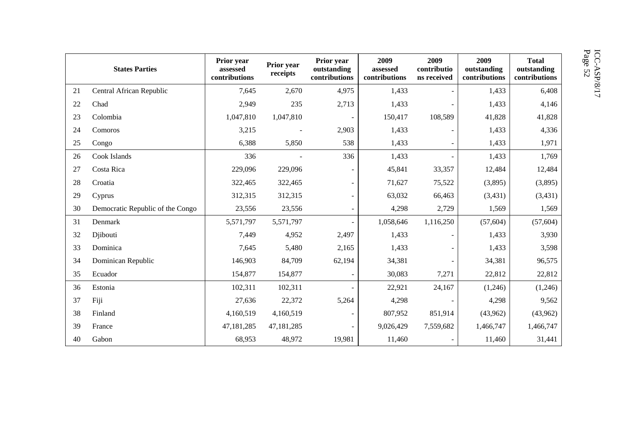|    | <b>States Parties</b>            | Prior year<br>assessed<br>contributions | Prior year<br>receipts | Prior year<br>outstanding<br>contributions | 2009<br>assessed<br>contributions | 2009<br>contributio<br>ns received | 2009<br>outstanding<br>contributions | <b>Total</b><br>outstanding<br>contributions |
|----|----------------------------------|-----------------------------------------|------------------------|--------------------------------------------|-----------------------------------|------------------------------------|--------------------------------------|----------------------------------------------|
| 21 | Central African Republic         | 7,645                                   | 2,670                  | 4,975                                      | 1,433                             |                                    | 1,433                                | 6,408                                        |
| 22 | Chad                             | 2,949                                   | 235                    | 2,713                                      | 1,433                             |                                    | 1,433                                | 4,146                                        |
| 23 | Colombia                         | 1,047,810                               | 1,047,810              |                                            | 150,417                           | 108,589                            | 41,828                               | 41,828                                       |
| 24 | Comoros                          | 3,215                                   |                        | 2,903                                      | 1,433                             |                                    | 1,433                                | 4,336                                        |
| 25 | Congo                            | 6,388                                   | 5,850                  | 538                                        | 1,433                             |                                    | 1,433                                | 1,971                                        |
| 26 | Cook Islands                     | 336                                     |                        | 336                                        | 1,433                             |                                    | 1,433                                | 1,769                                        |
| 27 | Costa Rica                       | 229,096                                 | 229,096                |                                            | 45,841                            | 33,357                             | 12,484                               | 12,484                                       |
| 28 | Croatia                          | 322,465                                 | 322,465                |                                            | 71,627                            | 75,522                             | (3,895)                              | (3,895)                                      |
| 29 | Cyprus                           | 312,315                                 | 312,315                |                                            | 63,032                            | 66,463                             | (3, 431)                             | (3, 431)                                     |
| 30 | Democratic Republic of the Congo | 23,556                                  | 23,556                 |                                            | 4,298                             | 2,729                              | 1,569                                | 1,569                                        |
| 31 | Denmark                          | 5,571,797                               | 5,571,797              |                                            | 1,058,646                         | 1,116,250                          | (57, 604)                            | (57, 604)                                    |
| 32 | Djibouti                         | 7,449                                   | 4,952                  | 2,497                                      | 1,433                             |                                    | 1,433                                | 3,930                                        |
| 33 | Dominica                         | 7,645                                   | 5,480                  | 2,165                                      | 1,433                             |                                    | 1,433                                | 3,598                                        |
| 34 | Dominican Republic               | 146,903                                 | 84,709                 | 62,194                                     | 34,381                            |                                    | 34,381                               | 96,575                                       |
| 35 | Ecuador                          | 154,877                                 | 154,877                |                                            | 30,083                            | 7,271                              | 22,812                               | 22,812                                       |
| 36 | Estonia                          | 102,311                                 | 102,311                |                                            | 22,921                            | 24,167                             | (1,246)                              | (1,246)                                      |
| 37 | Fiji                             | 27,636                                  | 22,372                 | 5,264                                      | 4,298                             |                                    | 4,298                                | 9,562                                        |
| 38 | Finland                          | 4,160,519                               | 4,160,519              |                                            | 807,952                           | 851,914                            | (43,962)                             | (43,962)                                     |
| 39 | France                           | 47, 181, 285                            | 47,181,285             |                                            | 9,026,429                         | 7,559,682                          | 1,466,747                            | 1,466,747                                    |
| 40 | Gabon                            | 68,953                                  | 48,972                 | 19,981                                     | 11,460                            |                                    | 11,460                               | 31,441                                       |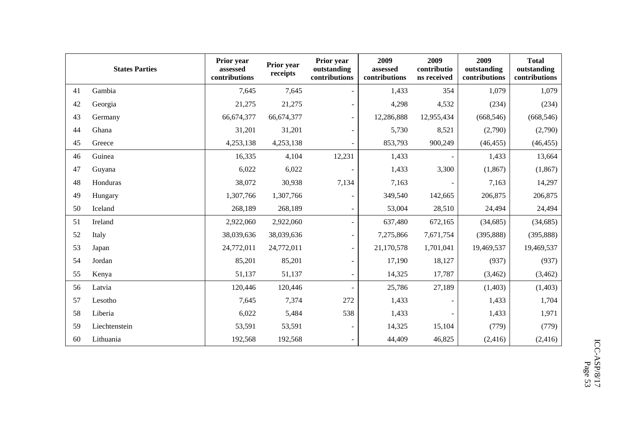|    | <b>States Parties</b> | Prior year<br>assessed<br>contributions | Prior year<br>receipts | Prior year<br>outstanding<br>contributions | 2009<br>assessed<br>contributions | 2009<br>contributio<br>ns received | 2009<br>outstanding<br>contributions | <b>Total</b><br>outstanding<br>contributions |
|----|-----------------------|-----------------------------------------|------------------------|--------------------------------------------|-----------------------------------|------------------------------------|--------------------------------------|----------------------------------------------|
| 41 | Gambia                | 7,645                                   | 7,645                  |                                            | 1,433                             | 354                                | 1,079                                | 1,079                                        |
| 42 | Georgia               | 21,275                                  | 21,275                 |                                            | 4,298                             | 4,532                              | (234)                                | (234)                                        |
| 43 | Germany               | 66,674,377                              | 66,674,377             | $\sim$                                     | 12,286,888                        | 12,955,434                         | (668, 546)                           | (668, 546)                                   |
| 44 | Ghana                 | 31,201                                  | 31,201                 |                                            | 5,730                             | 8,521                              | (2,790)                              | (2,790)                                      |
| 45 | Greece                | 4,253,138                               | 4,253,138              |                                            | 853,793                           | 900,249                            | (46, 455)                            | (46, 455)                                    |
| 46 | Guinea                | 16,335                                  | 4,104                  | 12,231                                     | 1,433                             |                                    | 1,433                                | 13,664                                       |
| 47 | Guyana                | 6,022                                   | 6,022                  |                                            | 1,433                             | 3,300                              | (1, 867)                             | (1, 867)                                     |
| 48 | Honduras              | 38,072                                  | 30,938                 | 7,134                                      | 7,163                             |                                    | 7,163                                | 14,297                                       |
| 49 | Hungary               | 1,307,766                               | 1,307,766              |                                            | 349,540                           | 142,665                            | 206,875                              | 206,875                                      |
| 50 | Iceland               | 268,189                                 | 268,189                |                                            | 53,004                            | 28,510                             | 24,494                               | 24,494                                       |
| 51 | Ireland               | 2,922,060                               | 2,922,060              |                                            | 637,480                           | 672,165                            | (34, 685)                            | (34, 685)                                    |
| 52 | Italy                 | 38,039,636                              | 38,039,636             | $\blacksquare$                             | 7,275,866                         | 7,671,754                          | (395, 888)                           | (395, 888)                                   |
| 53 | Japan                 | 24,772,011                              | 24,772,011             |                                            | 21,170,578                        | 1,701,041                          | 19,469,537                           | 19,469,537                                   |
| 54 | Jordan                | 85,201                                  | 85,201                 | $\sim$                                     | 17,190                            | 18,127                             | (937)                                | (937)                                        |
| 55 | Kenya                 | 51,137                                  | 51,137                 | $\overline{\phantom{a}}$                   | 14,325                            | 17,787                             | (3,462)                              | (3, 462)                                     |
| 56 | Latvia                | 120,446                                 | 120,446                |                                            | 25,786                            | 27,189                             | (1,403)                              | (1,403)                                      |
| 57 | Lesotho               | 7,645                                   | 7,374                  | 272                                        | 1,433                             |                                    | 1,433                                | 1,704                                        |
| 58 | Liberia               | 6,022                                   | 5,484                  | 538                                        | 1,433                             |                                    | 1,433                                | 1,971                                        |
| 59 | Liechtenstein         | 53,591                                  | 53,591                 |                                            | 14,325                            | 15,104                             | (779)                                | (779)                                        |
| 60 | Lithuania             | 192,568                                 | 192,568                |                                            | 44,409                            | 46,825                             | (2, 416)                             | (2, 416)                                     |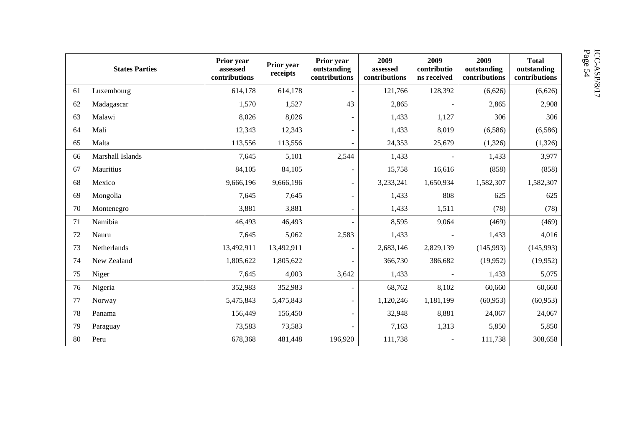|    | <b>States Parties</b> | Prior year<br>assessed<br>contributions | Prior year<br>receipts | Prior year<br>outstanding<br>contributions | 2009<br>assessed<br>contributions | 2009<br>contributio<br>ns received | 2009<br>outstanding<br>contributions | <b>Total</b><br>outstanding<br>contributions |
|----|-----------------------|-----------------------------------------|------------------------|--------------------------------------------|-----------------------------------|------------------------------------|--------------------------------------|----------------------------------------------|
| 61 | Luxembourg            | 614,178                                 | 614,178                |                                            | 121,766                           | 128,392                            | (6,626)                              | (6,626)                                      |
| 62 | Madagascar            | 1,570                                   | 1,527                  | 43                                         | 2,865                             |                                    | 2,865                                | 2,908                                        |
| 63 | Malawi                | 8,026                                   | 8,026                  |                                            | 1,433                             | 1,127                              | 306                                  | 306                                          |
| 64 | Mali                  | 12,343                                  | 12,343                 | $\overline{\phantom{0}}$                   | 1,433                             | 8,019                              | (6,586)                              | (6,586)                                      |
| 65 | Malta                 | 113,556                                 | 113,556                |                                            | 24,353                            | 25,679                             | (1,326)                              | (1,326)                                      |
| 66 | Marshall Islands      | 7,645                                   | 5,101                  | 2,544                                      | 1,433                             |                                    | 1,433                                | 3,977                                        |
| 67 | Mauritius             | 84,105                                  | 84,105                 | $\overline{\phantom{0}}$                   | 15,758                            | 16,616                             | (858)                                | (858)                                        |
| 68 | Mexico                | 9,666,196                               | 9,666,196              | ۰                                          | 3,233,241                         | 1,650,934                          | 1,582,307                            | 1,582,307                                    |
| 69 | Mongolia              | 7,645                                   | 7,645                  | $\overline{\phantom{0}}$                   | 1,433                             | 808                                | 625                                  | 625                                          |
| 70 | Montenegro            | 3,881                                   | 3,881                  | $\overline{\phantom{0}}$                   | 1,433                             | 1,511                              | (78)                                 | (78)                                         |
| 71 | Namibia               | 46,493                                  | 46,493                 |                                            | 8,595                             | 9,064                              | (469)                                | (469)                                        |
| 72 | Nauru                 | 7,645                                   | 5,062                  | 2,583                                      | 1,433                             |                                    | 1,433                                | 4,016                                        |
| 73 | Netherlands           | 13,492,911                              | 13,492,911             | $\overline{\phantom{a}}$                   | 2,683,146                         | 2,829,139                          | (145,993)                            | (145,993)                                    |
| 74 | New Zealand           | 1,805,622                               | 1,805,622              |                                            | 366,730                           | 386,682                            | (19,952)                             | (19,952)                                     |
| 75 | Niger                 | 7,645                                   | 4,003                  | 3,642                                      | 1,433                             |                                    | 1,433                                | 5,075                                        |
| 76 | Nigeria               | 352,983                                 | 352,983                |                                            | 68,762                            | 8,102                              | 60,660                               | 60,660                                       |
| 77 | Norway                | 5,475,843                               | 5,475,843              | $\overline{\phantom{0}}$                   | 1,120,246                         | 1,181,199                          | (60, 953)                            | (60, 953)                                    |
| 78 | Panama                | 156,449                                 | 156,450                |                                            | 32,948                            | 8,881                              | 24,067                               | 24,067                                       |
| 79 | Paraguay              | 73,583                                  | 73,583                 |                                            | 7,163                             | 1,313                              | 5,850                                | 5,850                                        |
| 80 | Peru                  | 678,368                                 | 481,448                | 196,920                                    | 111,738                           |                                    | 111,738                              | 308,658                                      |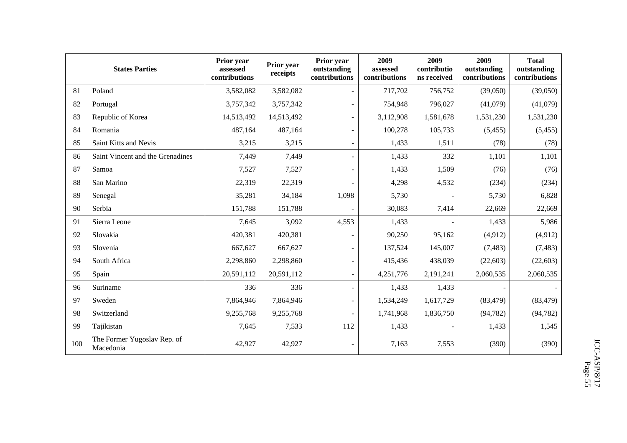|     | <b>States Parties</b>                    | Prior year<br>assessed<br>contributions | Prior year<br>receipts | Prior year<br>outstanding<br>contributions | 2009<br>assessed<br>contributions | 2009<br>contributio<br>ns received | 2009<br>outstanding<br>contributions | <b>Total</b><br>outstanding<br>contributions |
|-----|------------------------------------------|-----------------------------------------|------------------------|--------------------------------------------|-----------------------------------|------------------------------------|--------------------------------------|----------------------------------------------|
| 81  | Poland                                   | 3,582,082                               | 3,582,082              | $\sim$                                     | 717,702                           | 756,752                            | (39,050)                             | (39,050)                                     |
| 82  | Portugal                                 | 3,757,342                               | 3,757,342              |                                            | 754,948                           | 796,027                            | (41,079)                             | (41,079)                                     |
| 83  | Republic of Korea                        | 14,513,492                              | 14,513,492             |                                            | 3,112,908                         | 1,581,678                          | 1,531,230                            | 1,531,230                                    |
| 84  | Romania                                  | 487,164                                 | 487,164                |                                            | 100,278                           | 105,733                            | (5, 455)                             | (5, 455)                                     |
| 85  | Saint Kitts and Nevis                    | 3,215                                   | 3,215                  | $\blacksquare$                             | 1,433                             | 1,511                              | (78)                                 | (78)                                         |
| 86  | Saint Vincent and the Grenadines         | 7,449                                   | 7,449                  |                                            | 1,433                             | 332                                | 1,101                                | 1,101                                        |
| 87  | Samoa                                    | 7,527                                   | 7,527                  |                                            | 1,433                             | 1,509                              | (76)                                 | (76)                                         |
| 88  | San Marino                               | 22,319                                  | 22,319                 |                                            | 4,298                             | 4,532                              | (234)                                | (234)                                        |
| 89  | Senegal                                  | 35,281                                  | 34,184                 | 1,098                                      | 5,730                             |                                    | 5,730                                | 6,828                                        |
| 90  | Serbia                                   | 151,788                                 | 151,788                |                                            | 30,083                            | 7,414                              | 22,669                               | 22,669                                       |
| 91  | Sierra Leone                             | 7,645                                   | 3,092                  | 4,553                                      | 1,433                             |                                    | 1,433                                | 5,986                                        |
| 92  | Slovakia                                 | 420,381                                 | 420,381                |                                            | 90,250                            | 95,162                             | (4,912)                              | (4, 912)                                     |
| 93  | Slovenia                                 | 667,627                                 | 667,627                | $\overline{\phantom{a}}$                   | 137,524                           | 145,007                            | (7, 483)                             | (7, 483)                                     |
| 94  | South Africa                             | 2,298,860                               | 2,298,860              |                                            | 415,436                           | 438,039                            | (22, 603)                            | (22, 603)                                    |
| 95  | Spain                                    | 20,591,112                              | 20,591,112             |                                            | 4,251,776                         | 2,191,241                          | 2,060,535                            | 2,060,535                                    |
| 96  | Suriname                                 | 336                                     | 336                    |                                            | 1,433                             | 1,433                              |                                      |                                              |
| 97  | Sweden                                   | 7,864,946                               | 7,864,946              | $\blacksquare$                             | 1,534,249                         | 1,617,729                          | (83, 479)                            | (83, 479)                                    |
| 98  | Switzerland                              | 9,255,768                               | 9,255,768              | $\sim$                                     | 1,741,968                         | 1,836,750                          | (94, 782)                            | (94, 782)                                    |
| 99  | Tajikistan                               | 7,645                                   | 7,533                  | 112                                        | 1,433                             |                                    | 1,433                                | 1,545                                        |
| 100 | The Former Yugoslav Rep. of<br>Macedonia | 42,927                                  | 42,927                 |                                            | 7,163                             | 7,553                              | (390)                                | (390)                                        |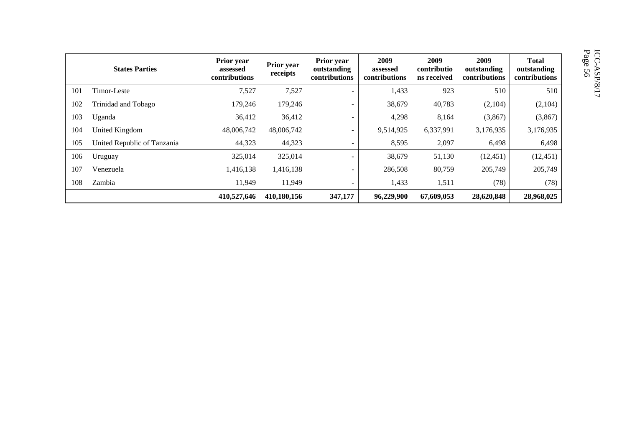|     | <b>States Parties</b>       | Prior year<br>assessed<br>contributions | Prior year<br>receipts | Prior year<br>outstanding<br>contributions | 2009<br>assessed<br>contributions | 2009<br>contributio<br>ns received | 2009<br>outstanding<br>contributions | <b>Total</b><br>outstanding<br>contributions |
|-----|-----------------------------|-----------------------------------------|------------------------|--------------------------------------------|-----------------------------------|------------------------------------|--------------------------------------|----------------------------------------------|
| 101 | Timor-Leste                 | 7,527                                   | 7,527                  | $\overline{\phantom{a}}$                   | 1,433                             | 923                                | 510                                  | 510                                          |
| 102 | Trinidad and Tobago         | 179,246                                 | 179,246                | $\overline{\phantom{0}}$                   | 38,679                            | 40,783                             | (2,104)                              | (2,104)                                      |
| 103 | Uganda                      | 36,412                                  | 36,412                 | $\overline{\phantom{0}}$                   | 4,298                             | 8,164                              | (3,867)                              | (3,867)                                      |
| 104 | United Kingdom              | 48,006,742                              | 48,006,742             | $\overline{\phantom{0}}$                   | 9,514,925                         | 6,337,991                          | 3,176,935                            | 3,176,935                                    |
| 105 | United Republic of Tanzania | 44,323                                  | 44,323                 |                                            | 8,595                             | 2,097                              | 6,498                                | 6,498                                        |
| 106 | Uruguay                     | 325,014                                 | 325,014                | $\overline{\phantom{0}}$                   | 38,679                            | 51,130                             | (12, 451)                            | (12, 451)                                    |
| 107 | Venezuela                   | 1,416,138                               | 1,416,138              | $\overline{\phantom{a}}$                   | 286,508                           | 80,759                             | 205,749                              | 205,749                                      |
| 108 | Zambia                      | 11,949                                  | 11,949                 | $\overline{\phantom{0}}$                   | 1,433                             | 1,511                              | (78)                                 | (78)                                         |
|     |                             | 410,527,646                             | 410,180,156            | 347,177                                    | 96,229,900                        | 67,609,053                         | 28,620,848                           | 28,968,025                                   |